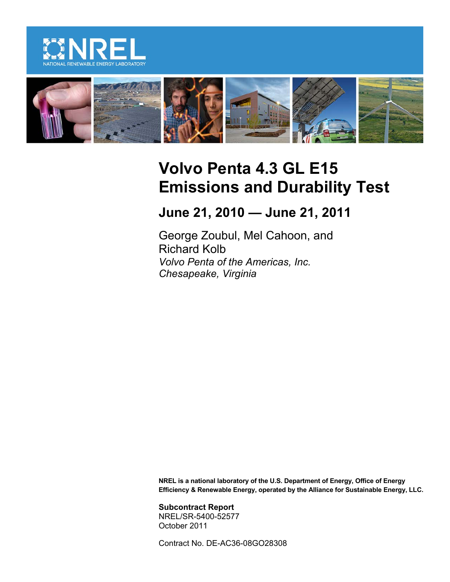



# **Volvo Penta 4.3 GL E15 Emissions and Durability Test**

**June 21, 2010 — June 21, 2011**

George Zoubul, Mel Cahoon, and Richard Kolb *Volvo Penta of the Americas, Inc. Chesapeake, Virginia*

**NREL is a national laboratory of the U.S. Department of Energy, Office of Energy Efficiency & Renewable Energy, operated by the Alliance for Sustainable Energy, LLC.**

**Subcontract Report** NREL/SR-5400-52577 October 2011

Contract No. DE-AC36-08GO28308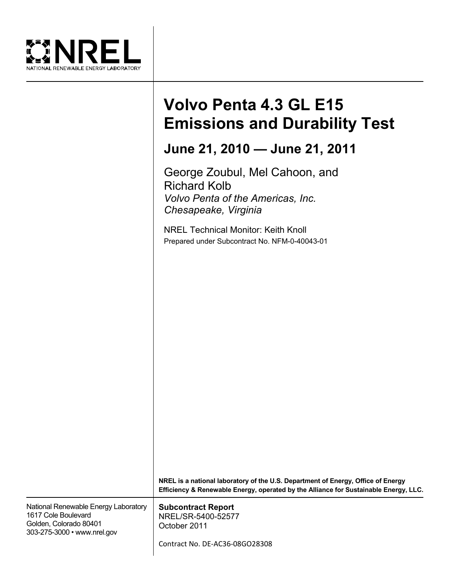

# **Volvo Penta 4.3 GL E15 Emissions and Durability Test**

# **June 21, 2010 — June 21, 2011**

George Zoubul, Mel Cahoon, and Richard Kolb *Volvo Penta of the Americas, Inc. Chesapeake, Virginia*

NREL Technical Monitor: Keith Knoll Prepared under Subcontract No. NFM-0-40043-01

|                                                                                                                      | NREL is a national laboratory of the U.S. Department of Energy, Office of Energy<br>Efficiency & Renewable Energy, operated by the Alliance for Sustainable Energy, LLC. |
|----------------------------------------------------------------------------------------------------------------------|--------------------------------------------------------------------------------------------------------------------------------------------------------------------------|
| National Renewable Energy Laboratory<br>1617 Cole Boulevard<br>Golden, Colorado 80401<br>303-275-3000 • www.nrel.gov | <b>Subcontract Report</b><br>NREL/SR-5400-52577<br>October 2011<br>Contract No. DE-AC36-08GO28308                                                                        |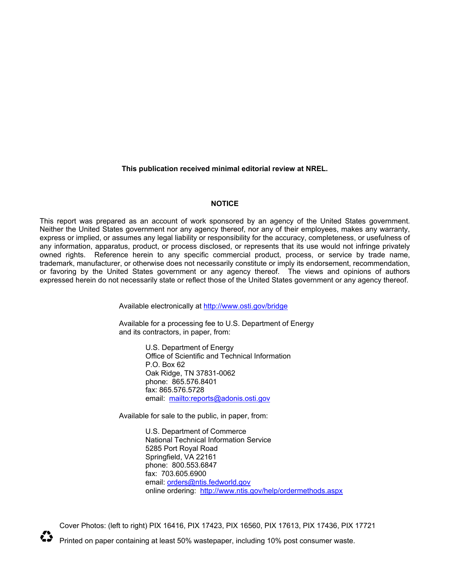**This publication received minimal editorial review at NREL.**

#### **NOTICE**

This report was prepared as an account of work sponsored by an agency of the United States government. Neither the United States government nor any agency thereof, nor any of their employees, makes any warranty, express or implied, or assumes any legal liability or responsibility for the accuracy, completeness, or usefulness of any information, apparatus, product, or process disclosed, or represents that its use would not infringe privately owned rights. Reference herein to any specific commercial product, process, or service by trade name, trademark, manufacturer, or otherwise does not necessarily constitute or imply its endorsement, recommendation, or favoring by the United States government or any agency thereof. The views and opinions of authors expressed herein do not necessarily state or reflect those of the United States government or any agency thereof.

Available electronically at<http://www.osti.gov/bridge>

Available for a processing fee to U.S. Department of Energy and its contractors, in paper, from:

> U.S. Department of Energy Office of Scientific and Technical Information P.O. Box 62 Oak Ridge, TN 37831-0062 phone: 865.576.8401 fax: 865.576.5728 email: <mailto:reports@adonis.osti.gov>

Available for sale to the public, in paper, from:

U.S. Department of Commerce National Technical Information Service 5285 Port Royal Road Springfield, VA 22161 phone: 800.553.6847 fax: 703.605.6900 email: [orders@ntis.fedworld.gov](mailto:orders@ntis.fedworld.gov) online ordering: <http://www.ntis.gov/help/ordermethods.aspx>

Cover Photos: (left to right) PIX 16416, PIX 17423, PIX 16560, PIX 17613, PIX 17436, PIX 17721



Printed on paper containing at least 50% wastepaper, including 10% post consumer waste.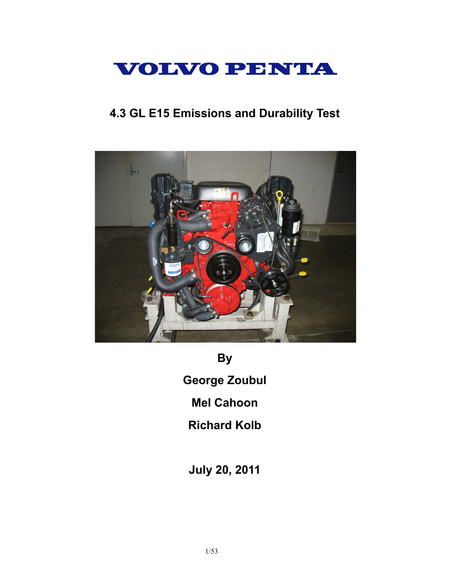

# **4.3 GL E15 Emissions and Durability Test**



**By**

**George Zoubul**

**Mel Cahoon**

**Richard Kolb**

**July 20, 2011**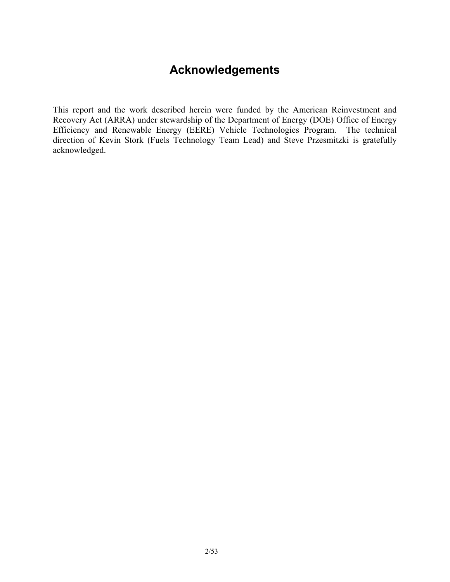# **Acknowledgements**

This report and the work described herein were funded by the American Reinvestment and Recovery Act (ARRA) under stewardship of the Department of Energy (DOE) Office of Energy Efficiency and Renewable Energy (EERE) Vehicle Technologies Program. The technical direction of Kevin Stork (Fuels Technology Team Lead) and Steve Przesmitzki is gratefully acknowledged.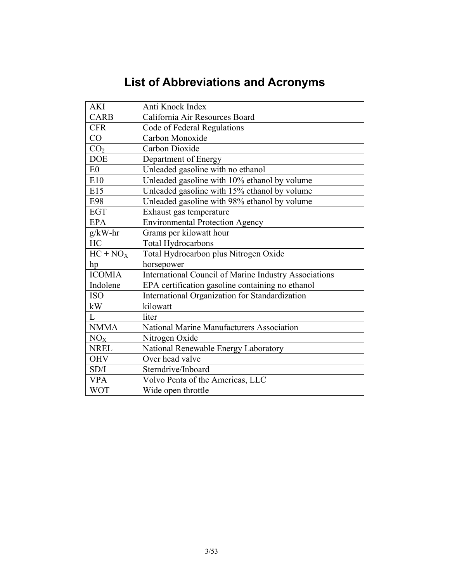# **List of Abbreviations and Acronyms**

| <b>AKI</b>      | Anti Knock Index                                      |
|-----------------|-------------------------------------------------------|
| <b>CARB</b>     | California Air Resources Board                        |
| <b>CFR</b>      | Code of Federal Regulations                           |
| CO              | Carbon Monoxide                                       |
| CO <sub>2</sub> | Carbon Dioxide                                        |
| <b>DOE</b>      | Department of Energy                                  |
| E <sub>0</sub>  | Unleaded gasoline with no ethanol                     |
| E10             | Unleaded gasoline with 10% ethanol by volume          |
| E15             | Unleaded gasoline with 15% ethanol by volume          |
| E98             | Unleaded gasoline with 98% ethanol by volume          |
| <b>EGT</b>      | Exhaust gas temperature                               |
| <b>EPA</b>      | <b>Environmental Protection Agency</b>                |
| $g/kW-hr$       | Grams per kilowatt hour                               |
| HC              | <b>Total Hydrocarbons</b>                             |
| $HC + NO_X$     | Total Hydrocarbon plus Nitrogen Oxide                 |
| hp              | horsepower                                            |
| <b>ICOMIA</b>   | International Council of Marine Industry Associations |
| Indolene        | EPA certification gasoline containing no ethanol      |
| <b>ISO</b>      | International Organization for Standardization        |
| kW              | kilowatt                                              |
| L               | liter                                                 |
| <b>NMMA</b>     | National Marine Manufacturers Association             |
| NO <sub>X</sub> | Nitrogen Oxide                                        |
| <b>NREL</b>     | National Renewable Energy Laboratory                  |
| <b>OHV</b>      | Over head valve                                       |
| SD/I            | Sterndrive/Inboard                                    |
| <b>VPA</b>      | Volvo Penta of the Americas, LLC                      |
| <b>WOT</b>      | Wide open throttle                                    |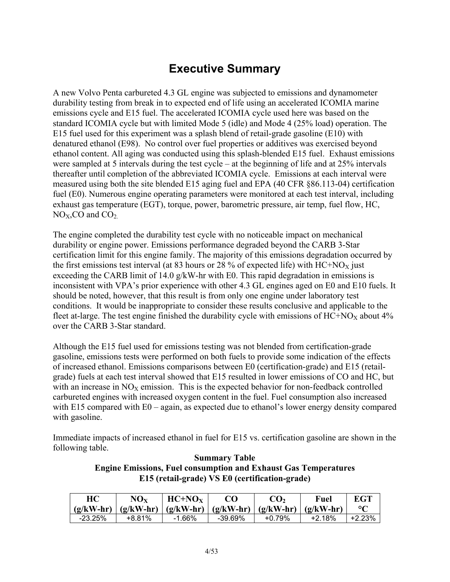# **Executive Summary**

A new Volvo Penta carbureted 4.3 GL engine was subjected to emissions and dynamometer durability testing from break in to expected end of life using an accelerated ICOMIA marine emissions cycle and E15 fuel. The accelerated ICOMIA cycle used here was based on the standard ICOMIA cycle but with limited Mode 5 (idle) and Mode 4 (25% load) operation. The E15 fuel used for this experiment was a splash blend of retail-grade gasoline (E10) with denatured ethanol (E98). No control over fuel properties or additives was exercised beyond ethanol content. All aging was conducted using this splash-blended E15 fuel. Exhaust emissions were sampled at 5 intervals during the test cycle – at the beginning of life and at 25% intervals thereafter until completion of the abbreviated ICOMIA cycle. Emissions at each interval were measured using both the site blended E15 aging fuel and EPA (40 CFR §86.113-04) certification fuel (E0). Numerous engine operating parameters were monitored at each test interval, including exhaust gas temperature (EGT), torque, power, barometric pressure, air temp, fuel flow, HC,  $NO<sub>X</sub>, CO$  and  $CO<sub>2</sub>$ .

The engine completed the durability test cycle with no noticeable impact on mechanical durability or engine power. Emissions performance degraded beyond the CARB 3-Star certification limit for this engine family. The majority of this emissions degradation occurred by the first emissions test interval (at 83 hours or 28 % of expected life) with  $HC+NO<sub>X</sub>$  just exceeding the CARB limit of 14.0 g/kW-hr with E0. This rapid degradation in emissions is inconsistent with VPA's prior experience with other 4.3 GL engines aged on E0 and E10 fuels. It should be noted, however, that this result is from only one engine under laboratory test conditions. It would be inappropriate to consider these results conclusive and applicable to the fleet at-large. The test engine finished the durability cycle with emissions of  $HC+NO<sub>X</sub>$  about 4% over the CARB 3-Star standard.

Although the E15 fuel used for emissions testing was not blended from certification-grade gasoline, emissions tests were performed on both fuels to provide some indication of the effects of increased ethanol. Emissions comparisons between E0 (certification-grade) and E15 (retailgrade) fuels at each test interval showed that E15 resulted in lower emissions of CO and HC, but with an increase in  $NO<sub>X</sub>$  emission. This is the expected behavior for non-feedback controlled carbureted engines with increased oxygen content in the fuel. Fuel consumption also increased with E15 compared with E0 – again, as expected due to ethanol's lower energy density compared with gasoline.

Immediate impacts of increased ethanol in fuel for E15 vs. certification gasoline are shown in the following table.

#### **Summary Table Engine Emissions, Fuel consumption and Exhaust Gas Temperatures E15 (retail-grade) VS E0 (certification-grade)**

| HC          | $\bf NO_{X}$ | $HC+NOx$                            | റ       | $\mathrm{C}\mathbf{O}_2$ | Fuel        | <b>EGT</b>         |
|-------------|--------------|-------------------------------------|---------|--------------------------|-------------|--------------------|
| $(g/kW-hr)$ |              | $(g/kW-hr)$ $(g/kW-hr)$ $(g/kW-hr)$ |         | $(g/kW-hr)$              | $(g/kW-hr)$ | $\circ$ $\epsilon$ |
| $-23.25%$   | +8.81%       | $-1.66\%$                           | -39.69% | $+0.79%$                 | $+2.18%$    |                    |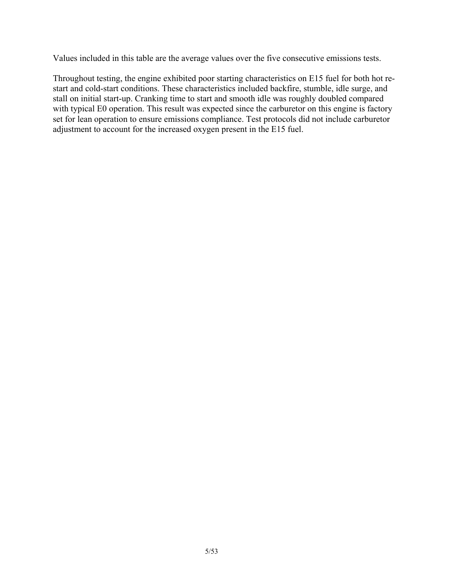Values included in this table are the average values over the five consecutive emissions tests.

Throughout testing, the engine exhibited poor starting characteristics on E15 fuel for both hot restart and cold-start conditions. These characteristics included backfire, stumble, idle surge, and stall on initial start-up. Cranking time to start and smooth idle was roughly doubled compared with typical E0 operation. This result was expected since the carburetor on this engine is factory set for lean operation to ensure emissions compliance. Test protocols did not include carburetor adjustment to account for the increased oxygen present in the E15 fuel.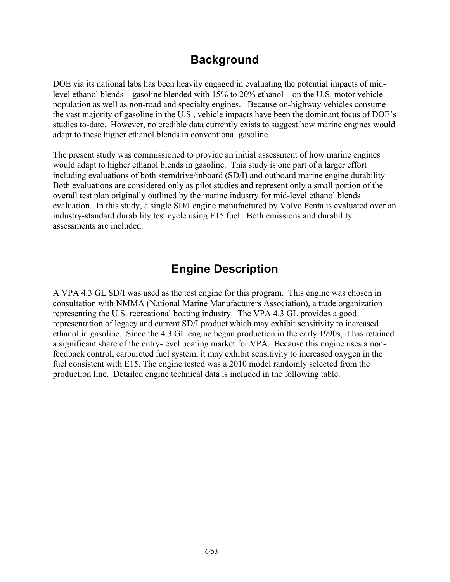# **Background**

DOE via its national labs has been heavily engaged in evaluating the potential impacts of midlevel ethanol blends – gasoline blended with 15% to 20% ethanol – on the U.S. motor vehicle population as well as non-road and specialty engines. Because on-highway vehicles consume the vast majority of gasoline in the U.S., vehicle impacts have been the dominant focus of DOE's studies to-date. However, no credible data currently exists to suggest how marine engines would adapt to these higher ethanol blends in conventional gasoline.

The present study was commissioned to provide an initial assessment of how marine engines would adapt to higher ethanol blends in gasoline. This study is one part of a larger effort including evaluations of both sterndrive/inboard (SD/I) and outboard marine engine durability. Both evaluations are considered only as pilot studies and represent only a small portion of the overall test plan originally outlined by the marine industry for mid-level ethanol blends evaluation. In this study, a single SD/I engine manufactured by Volvo Penta is evaluated over an industry-standard durability test cycle using E15 fuel. Both emissions and durability assessments are included.

# **Engine Description**

A VPA 4.3 GL SD/I was used as the test engine for this program. This engine was chosen in consultation with NMMA (National Marine Manufacturers Association), a trade organization representing the U.S. recreational boating industry. The VPA 4.3 GL provides a good representation of legacy and current SD/I product which may exhibit sensitivity to increased ethanol in gasoline. Since the 4.3 GL engine began production in the early 1990s, it has retained a significant share of the entry-level boating market for VPA. Because this engine uses a nonfeedback control, carbureted fuel system, it may exhibit sensitivity to increased oxygen in the fuel consistent with E15. The engine tested was a 2010 model randomly selected from the production line. Detailed engine technical data is included in the following table.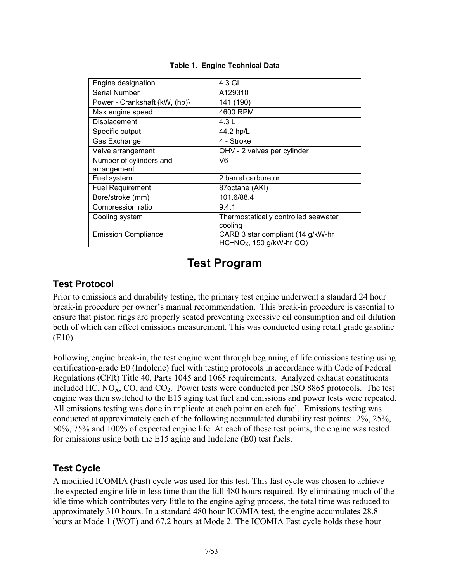| Engine designation            | 4.3 GL                               |
|-------------------------------|--------------------------------------|
| <b>Serial Number</b>          | A129310                              |
| Power - Crankshaft {kW, (hp)} | 141 (190)                            |
| Max engine speed              | 4600 RPM                             |
| Displacement                  | 4.3 L                                |
| Specific output               | 44.2 hp/L                            |
| Gas Exchange                  | 4 - Stroke                           |
| Valve arrangement             | OHV - 2 valves per cylinder          |
| Number of cylinders and       | V6                                   |
| arrangement                   |                                      |
| Fuel system                   | 2 barrel carburetor                  |
| <b>Fuel Requirement</b>       | 87octane (AKI)                       |
| Bore/stroke (mm)              | 101.6/88.4                           |
| Compression ratio             | 9.4:1                                |
| Cooling system                | Thermostatically controlled seawater |
|                               | cooling                              |
| <b>Emission Compliance</b>    | CARB 3 star compliant (14 g/kW-hr    |
|                               | $HC + NOx$ , 150 g/kW-hr CO)         |

#### **Table 1. Engine Technical Data**

# **Test Program**

### **Test Protocol**

Prior to emissions and durability testing, the primary test engine underwent a standard 24 hour break-in procedure per owner's manual recommendation. This break-in procedure is essential to ensure that piston rings are properly seated preventing excessive oil consumption and oil dilution both of which can effect emissions measurement. This was conducted using retail grade gasoline (E10).

Following engine break-in, the test engine went through beginning of life emissions testing using certification-grade E0 (Indolene) fuel with testing protocols in accordance with Code of Federal Regulations (CFR) Title 40, Parts 1045 and 1065 requirements. Analyzed exhaust constituents included HC,  $NO<sub>X</sub>$ , CO, and CO<sub>2</sub>. Power tests were conducted per ISO 8865 protocols. The test engine was then switched to the E15 aging test fuel and emissions and power tests were repeated. All emissions testing was done in triplicate at each point on each fuel. Emissions testing was conducted at approximately each of the following accumulated durability test points: 2%, 25%, 50%, 75% and 100% of expected engine life. At each of these test points, the engine was tested for emissions using both the E15 aging and Indolene (E0) test fuels.

### **Test Cycle**

A modified ICOMIA (Fast) cycle was used for this test. This fast cycle was chosen to achieve the expected engine life in less time than the full 480 hours required. By eliminating much of the idle time which contributes very little to the engine aging process, the total time was reduced to approximately 310 hours. In a standard 480 hour ICOMIA test, the engine accumulates 28.8 hours at Mode 1 (WOT) and 67.2 hours at Mode 2. The ICOMIA Fast cycle holds these hour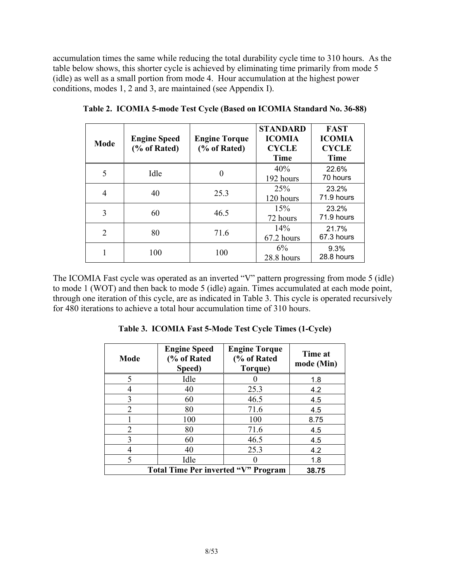accumulation times the same while reducing the total durability cycle time to 310 hours. As the table below shows, this shorter cycle is achieved by eliminating time primarily from mode 5 (idle) as well as a small portion from mode 4. Hour accumulation at the highest power conditions, modes 1, 2 and 3, are maintained (see Appendix I).

| Mode | <b>Engine Speed</b><br>(% of Rated) | <b>Engine Torque</b><br>(% of Rated) | <b>STANDARD</b><br><b>ICOMIA</b><br><b>CYCLE</b><br><b>Time</b> | <b>FAST</b><br><b>ICOMIA</b><br><b>CYCLE</b><br><b>Time</b> |
|------|-------------------------------------|--------------------------------------|-----------------------------------------------------------------|-------------------------------------------------------------|
|      | Idle                                | $\theta$                             | 40%<br>192 hours                                                | 22.6%<br>70 hours                                           |
| 4    | 40                                  | 25.3                                 | 25 <sup>%</sup><br>120 hours                                    | 23.2%<br>71.9 hours                                         |
| 3    | 60                                  | 46.5                                 | 15%<br>72 hours                                                 | 23.2%<br>71.9 hours                                         |
| 2    | 80                                  | 71.6                                 | 14%<br>67.2 hours                                               | 21.7%<br>67.3 hours                                         |
|      | 100                                 | 100                                  | 6%<br>28.8 hours                                                | 9.3%<br>28.8 hours                                          |

**Table 2. ICOMIA 5-mode Test Cycle (Based on ICOMIA Standard No. 36-88)**

The ICOMIA Fast cycle was operated as an inverted "V" pattern progressing from mode 5 (idle) to mode 1 (WOT) and then back to mode 5 (idle) again. Times accumulated at each mode point, through one iteration of this cycle, are as indicated in Table 3. This cycle is operated recursively for 480 iterations to achieve a total hour accumulation time of 310 hours.

**Table 3. ICOMIA Fast 5-Mode Test Cycle Times (1-Cycle)**

| Mode | <b>Engine Speed</b><br>(% of Rated<br>Speed) | <b>Engine Torque</b><br>(% of Rated<br>Torque) | Time at<br>mode (Min) |
|------|----------------------------------------------|------------------------------------------------|-----------------------|
| 5    | Idle                                         |                                                | 1.8                   |
|      | 40                                           | 25.3                                           | 4.2                   |
| 3    | 60                                           | 46.5                                           | 4.5                   |
| 2    | 80                                           | 71.6                                           | 4.5                   |
|      | 100                                          | 100                                            | 8.75                  |
| 2    | 80                                           | 71.6                                           | 4.5                   |
| 3    | 60                                           | 46.5                                           | 4.5                   |
|      | 40                                           | 25.3                                           | 4.2                   |
| 5    | Idle                                         |                                                | 1.8                   |
|      | <b>Total Time Per inverted "V" Program</b>   |                                                | 38.75                 |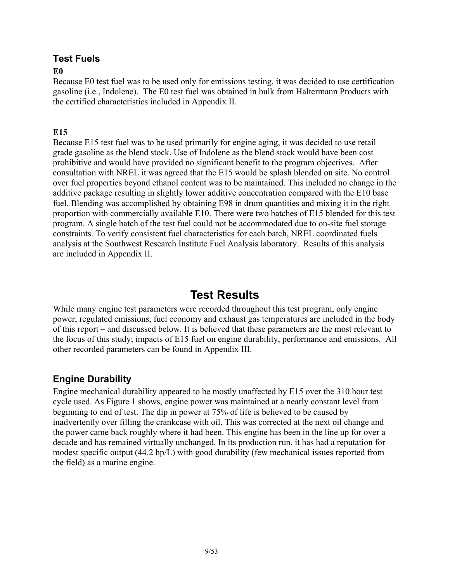### **Test Fuels**

#### **E0**

Because E0 test fuel was to be used only for emissions testing, it was decided to use certification gasoline (i.e., Indolene). The E0 test fuel was obtained in bulk from Haltermann Products with the certified characteristics included in Appendix II.

#### **E15**

Because E15 test fuel was to be used primarily for engine aging, it was decided to use retail grade gasoline as the blend stock. Use of Indolene as the blend stock would have been cost prohibitive and would have provided no significant benefit to the program objectives. After consultation with NREL it was agreed that the E15 would be splash blended on site. No control over fuel properties beyond ethanol content was to be maintained. This included no change in the additive package resulting in slightly lower additive concentration compared with the E10 base fuel. Blending was accomplished by obtaining E98 in drum quantities and mixing it in the right proportion with commercially available E10. There were two batches of E15 blended for this test program. A single batch of the test fuel could not be accommodated due to on-site fuel storage constraints. To verify consistent fuel characteristics for each batch, NREL coordinated fuels analysis at the Southwest Research Institute Fuel Analysis laboratory. Results of this analysis are included in Appendix II.

# **Test Results**

While many engine test parameters were recorded throughout this test program, only engine power, regulated emissions, fuel economy and exhaust gas temperatures are included in the body of this report – and discussed below. It is believed that these parameters are the most relevant to the focus of this study; impacts of E15 fuel on engine durability, performance and emissions. All other recorded parameters can be found in Appendix III.

### **Engine Durability**

Engine mechanical durability appeared to be mostly unaffected by E15 over the 310 hour test cycle used. As Figure 1 shows, engine power was maintained at a nearly constant level from beginning to end of test. The dip in power at 75% of life is believed to be caused by inadvertently over filling the crankcase with oil. This was corrected at the next oil change and the power came back roughly where it had been. This engine has been in the line up for over a decade and has remained virtually unchanged. In its production run, it has had a reputation for modest specific output (44.2 hp/L) with good durability (few mechanical issues reported from the field) as a marine engine.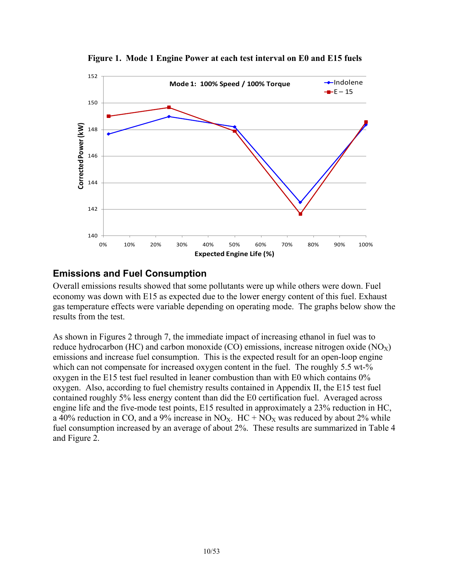

**Figure 1. Mode 1 Engine Power at each test interval on E0 and E15 fuels**

### **Emissions and Fuel Consumption**

Overall emissions results showed that some pollutants were up while others were down. Fuel economy was down with E15 as expected due to the lower energy content of this fuel. Exhaust gas temperature effects were variable depending on operating mode. The graphs below show the results from the test.

As shown in Figures 2 through 7, the immediate impact of increasing ethanol in fuel was to reduce hydrocarbon (HC) and carbon monoxide (CO) emissions, increase nitrogen oxide ( $NO<sub>X</sub>$ ) emissions and increase fuel consumption. This is the expected result for an open-loop engine which can not compensate for increased oxygen content in the fuel. The roughly 5.5 wt-% oxygen in the E15 test fuel resulted in leaner combustion than with E0 which contains 0% oxygen. Also, according to fuel chemistry results contained in Appendix II, the E15 test fuel contained roughly 5% less energy content than did the E0 certification fuel. Averaged across engine life and the five-mode test points, E15 resulted in approximately a 23% reduction in HC, a 40% reduction in CO, and a 9% increase in NO<sub>X</sub>. HC + NO<sub>X</sub> was reduced by about 2% while fuel consumption increased by an average of about 2%. These results are summarized in Table 4 and Figure 2.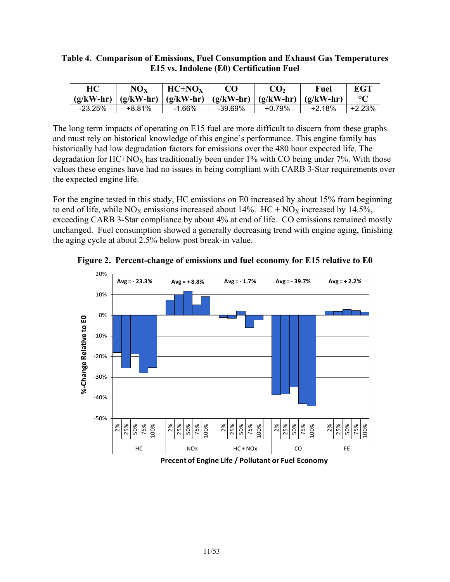#### **Table 4. Comparison of Emissions, Fuel Consumption and Exhaust Gas Temperatures E15 vs. Indolene (E0) Certification Fuel**

| HC        | $\rm{NO_{X}}$ | $HC+NOx$                                                                |            | CO <sub>2</sub> | Fuel   | EGT    |
|-----------|---------------|-------------------------------------------------------------------------|------------|-----------------|--------|--------|
|           |               | $(g/kW-hr)$ $(g/kW-hr)$ $(g/kW-hr)$ $(g/kW-hr)$ $(g/kW-hr)$ $(g/kW-hr)$ |            |                 |        |        |
| $-23.25%$ | +8.81%        | $-1.66\%$                                                               | $-39.69\%$ | +0.79%          | +2.18% | +2.23% |

The long term impacts of operating on E15 fuel are more difficult to discern from these graphs and must rely on historical knowledge of this engine's performance. This engine family has historically had low degradation factors for emissions over the 480 hour expected life. The degradation for  $HC+NO<sub>X</sub>$  has traditionally been under 1% with CO being under 7%. With those values these engines have had no issues in being compliant with CARB 3-Star requirements over the expected engine life.

For the engine tested in this study, HC emissions on E0 increased by about 15% from beginning to end of life, while  $NO<sub>X</sub>$  emissions increased about 14%. HC +  $NO<sub>X</sub>$  increased by 14.5%, exceeding CARB 3-Star compliance by about 4% at end of life. CO emissions remained mostly unchanged. Fuel consumption showed a generally decreasing trend with engine aging, finishing the aging cycle at about 2.5% below post break-in value.



**Figure 2. Percent-change of emissions and fuel economy for E15 relative to E0**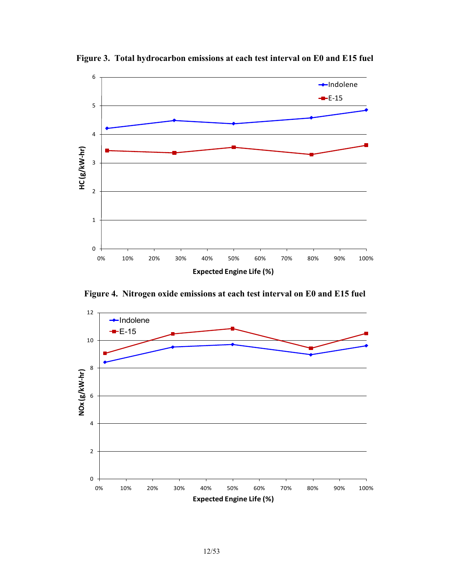

**Figure 3. Total hydrocarbon emissions at each test interval on E0 and E15 fuel**

**Figure 4. Nitrogen oxide emissions at each test interval on E0 and E15 fuel**

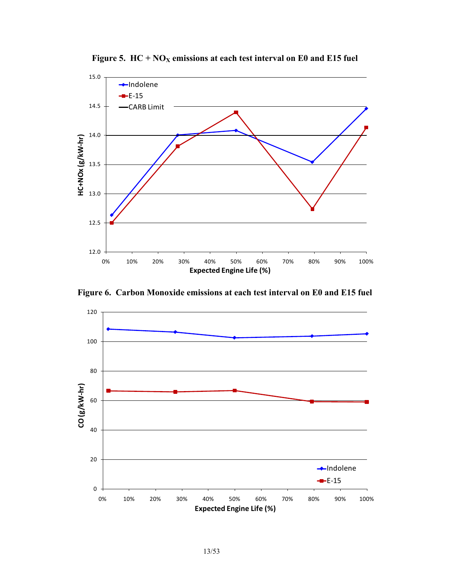

Figure 5.  $HC + NO<sub>X</sub>$  emissions at each test interval on E0 and E15 fuel

**Figure 6. Carbon Monoxide emissions at each test interval on E0 and E15 fuel**

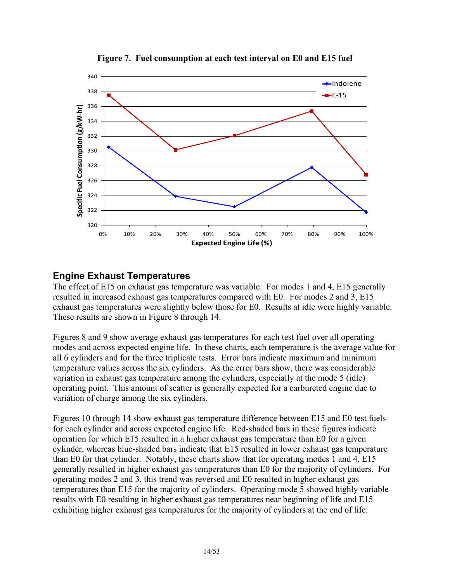

**Figure 7. Fuel consumption at each test interval on E0 and E15 fuel**

### **Engine Exhaust Temperatures**

The effect of E15 on exhaust gas temperature was variable. For modes 1 and 4, E15 generally resulted in increased exhaust gas temperatures compared with E0. For modes 2 and 3, E15 exhaust gas temperatures were slightly below those for E0. Results at idle were highly variable. These results are shown in Figure 8 through 14.

Figures 8 and 9 show average exhaust gas temperatures for each test fuel over all operating modes and across expected engine life. In these charts, each temperature is the average value for all 6 cylinders and for the three triplicate tests. Error bars indicate maximum and minimum temperature values across the six cylinders. As the error bars show, there was considerable variation in exhaust gas temperature among the cylinders, especially at the mode 5 (idle) operating point. This amount of scatter is generally expected for a carbureted engine due to variation of charge among the six cylinders.

Figures 10 through 14 show exhaust gas temperature difference between E15 and E0 test fuels for each cylinder and across expected engine life. Red-shaded bars in these figures indicate operation for which E15 resulted in a higher exhaust gas temperature than E0 for a given cylinder, whereas blue-shaded bars indicate that E15 resulted in lower exhaust gas temperature than E0 for that cylinder. Notably, these charts show that for operating modes 1 and 4, E15 generally resulted in higher exhaust gas temperatures than E0 for the majority of cylinders. For operating modes 2 and 3, this trend was reversed and E0 resulted in higher exhaust gas temperatures than E15 for the majority of cylinders. Operating mode 5 showed highly variable results with E0 resulting in higher exhaust gas temperatures near beginning of life and E15 exhibiting higher exhaust gas temperatures for the majority of cylinders at the end of life.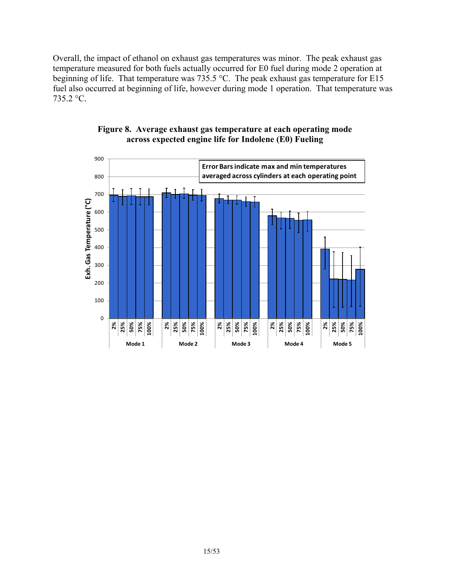Overall, the impact of ethanol on exhaust gas temperatures was minor. The peak exhaust gas temperature measured for both fuels actually occurred for E0 fuel during mode 2 operation at beginning of life. That temperature was 735.5 °C. The peak exhaust gas temperature for E15 fuel also occurred at beginning of life, however during mode 1 operation. That temperature was 735.2 °C.



#### **Figure 8. Average exhaust gas temperature at each operating mode across expected engine life for Indolene (E0) Fueling**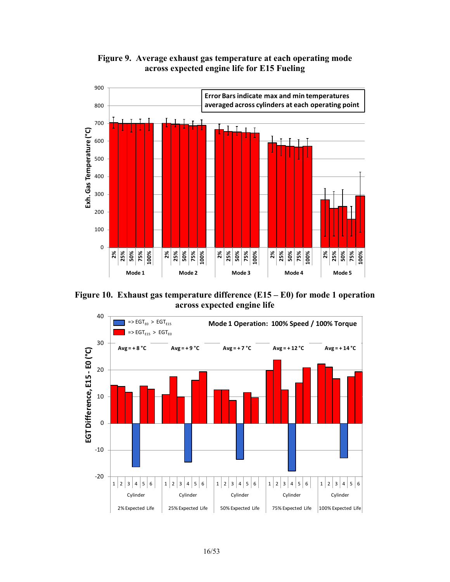



**Figure 10. Exhaust gas temperature difference (E15 – E0) for mode 1 operation across expected engine life**

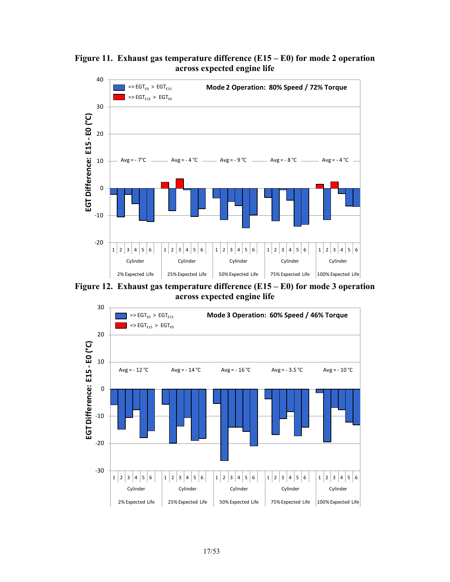

**Figure 11. Exhaust gas temperature difference (E15 – E0) for mode 2 operation across expected engine life**

**Figure 12. Exhaust gas temperature difference (E15 – E0) for mode 3 operation across expected engine life**

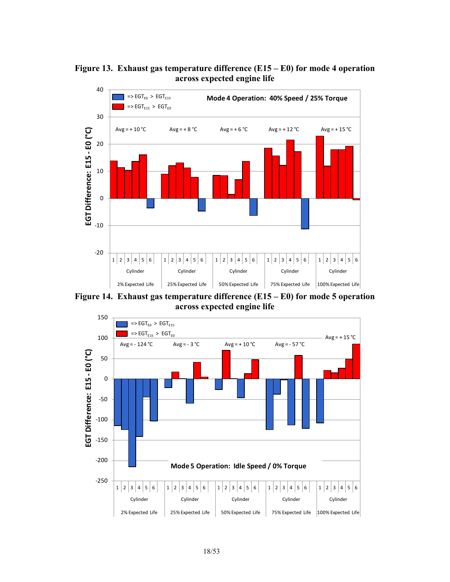



**Figure 14. Exhaust gas temperature difference (E15 – E0) for mode 5 operation across expected engine life**

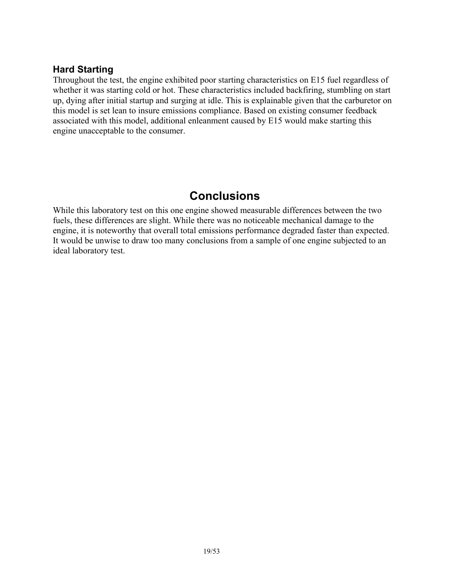### **Hard Starting**

Throughout the test, the engine exhibited poor starting characteristics on E15 fuel regardless of whether it was starting cold or hot. These characteristics included backfiring, stumbling on start up, dying after initial startup and surging at idle. This is explainable given that the carburetor on this model is set lean to insure emissions compliance. Based on existing consumer feedback associated with this model, additional enleanment caused by E15 would make starting this engine unacceptable to the consumer.

# **Conclusions**

While this laboratory test on this one engine showed measurable differences between the two fuels, these differences are slight. While there was no noticeable mechanical damage to the engine, it is noteworthy that overall total emissions performance degraded faster than expected. It would be unwise to draw too many conclusions from a sample of one engine subjected to an ideal laboratory test.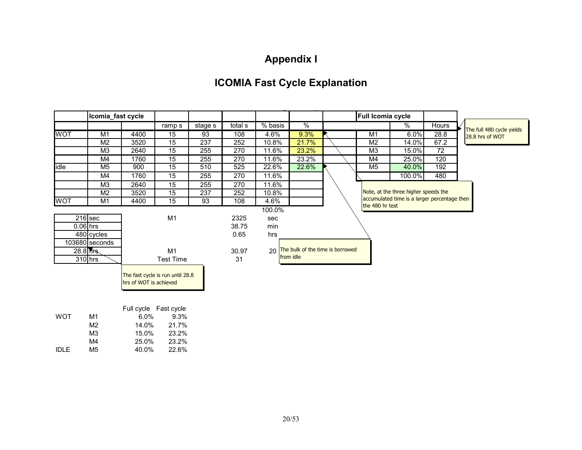# **Appendix I**

# **ICOMIA Fast Cycle Explanation**

|            | Icomia_fast cycle |                        |                                  |         |         |         |               |                                     | Full Icomia cycle |                                              |              |                                              |
|------------|-------------------|------------------------|----------------------------------|---------|---------|---------|---------------|-------------------------------------|-------------------|----------------------------------------------|--------------|----------------------------------------------|
|            |                   |                        | ramp s                           | stage s | total s | % basis | $\frac{9}{6}$ |                                     |                   | %                                            | <b>Hours</b> |                                              |
| <b>WOT</b> | M <sub>1</sub>    | 4400                   | 15                               | 93      | 108     | 4.6%    | 9.3%          |                                     | M1                | 6.0%                                         | 28.8         | The full 480 cycle yields<br>28.8 hrs of WOT |
|            | M <sub>2</sub>    | 3520                   | $\overline{15}$                  | 237     | 252     | 10.8%   | 21.7%         |                                     | M <sub>2</sub>    | 14.0%                                        | 67.2         |                                              |
|            | M <sub>3</sub>    | 2640                   | 15                               | 255     | 270     | 11.6%   | 23.2%         |                                     | M <sub>3</sub>    | 15.0%                                        | 72           |                                              |
|            | M4                | 1760                   | 15                               | 255     | 270     | 11.6%   | 23.2%         |                                     | M4                | 25.0%                                        | 120          |                                              |
| idle       | M5                | 900                    | 15                               | 510     | 525     | 22.6%   | 22.6%         |                                     | M <sub>5</sub>    | 40.0%                                        | 192          |                                              |
|            | M4                | 1760                   | 15                               | 255     | 270     | 11.6%   |               |                                     |                   | 100.0%                                       | 480          |                                              |
|            | M <sub>3</sub>    | 2640                   | 15                               | 255     | 270     | 11.6%   |               |                                     |                   |                                              |              |                                              |
|            | M <sub>2</sub>    | 3520                   | 15                               | 237     | 252     | 10.8%   |               |                                     |                   | Note, at the three higher speeds the         |              |                                              |
| <b>WOT</b> | M1                | 4400                   | $\overline{15}$                  | 93      | 108     | 4.6%    |               |                                     |                   | accumulated time is a larger percentage then |              |                                              |
|            |                   |                        |                                  |         |         | 100.0%  |               |                                     | the 480 hr test   |                                              |              |                                              |
|            | $216$ sec         |                        | M <sub>1</sub>                   |         | 2325    | sec     |               |                                     |                   |                                              |              |                                              |
|            | $0.06$ hrs        |                        |                                  |         | 38.75   | min     |               |                                     |                   |                                              |              |                                              |
|            | 480 cycles        |                        |                                  |         | 0.65    | hrs     |               |                                     |                   |                                              |              |                                              |
|            | $103680$ seconds  |                        |                                  |         |         |         |               |                                     |                   |                                              |              |                                              |
|            | 28.8 hrs.         |                        | M <sub>1</sub>                   |         | 30.97   |         |               | 20 The bulk of the time is borrowed |                   |                                              |              |                                              |
|            | $310$ hrs         |                        | <b>Test Time</b>                 |         | 31      |         | from idle     |                                     |                   |                                              |              |                                              |
|            |                   |                        |                                  |         |         |         |               |                                     |                   |                                              |              |                                              |
|            |                   |                        | The fast cycle is run until 28.8 |         |         |         |               |                                     |                   |                                              |              |                                              |
|            |                   | hrs of WOT is achieved |                                  |         |         |         |               |                                     |                   |                                              |              |                                              |
|            |                   |                        |                                  |         |         |         |               |                                     |                   |                                              |              |                                              |
|            |                   |                        |                                  |         |         |         |               |                                     |                   |                                              |              |                                              |
|            |                   |                        | Full cycle Fast cycle            |         |         |         |               |                                     |                   |                                              |              |                                              |
| <b>WOT</b> | M <sub>1</sub>    | 6.0%                   | 9.3%                             |         |         |         |               |                                     |                   |                                              |              |                                              |

|     |       | $9.3\%$ |
|-----|-------|---------|
| M2. | 14.0% | 21.7%   |
| MЗ  | 15.0% | 23.2%   |
| M4  | 25.0% | 23.2%   |
| M5. | 40.0% | 22.6%   |
|     | M1    | $6.0\%$ |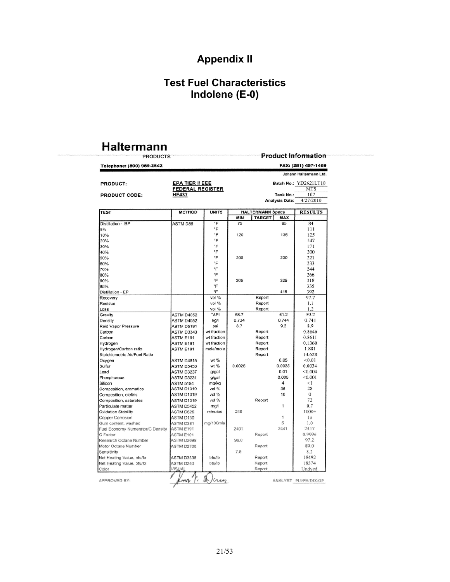# **Appendix II**

# **Test Fuel Characteristics Indolene (E-0)**

# **Haltermann**

| <b>EPA TIER II EEE</b><br><b>FEDERAL REGISTER</b><br><b>METHOD</b><br><b>UNITS</b><br>°F<br>۰F<br>۰F<br>°F<br>°F<br>°F<br>°F<br>°F<br>°F | MIN<br>75<br>120<br>200                                                                                                                                                   | <b>HALTERMANN Specs</b><br><b>TARGET</b> | Tank No.:<br><b>Analysis Date:</b><br>MAX<br>95<br>135                       | FAX: (281) 457-1469<br>Johann Haltermann Ltd.<br>Batch No.: YD2621LT10<br><b>MTS</b><br>107<br>4/27/2010<br><b>RESULTS</b><br>84<br>111 |
|------------------------------------------------------------------------------------------------------------------------------------------|---------------------------------------------------------------------------------------------------------------------------------------------------------------------------|------------------------------------------|------------------------------------------------------------------------------|-----------------------------------------------------------------------------------------------------------------------------------------|
|                                                                                                                                          |                                                                                                                                                                           |                                          |                                                                              |                                                                                                                                         |
|                                                                                                                                          |                                                                                                                                                                           |                                          |                                                                              |                                                                                                                                         |
|                                                                                                                                          |                                                                                                                                                                           |                                          |                                                                              |                                                                                                                                         |
|                                                                                                                                          |                                                                                                                                                                           |                                          |                                                                              |                                                                                                                                         |
|                                                                                                                                          |                                                                                                                                                                           |                                          |                                                                              |                                                                                                                                         |
|                                                                                                                                          |                                                                                                                                                                           |                                          |                                                                              |                                                                                                                                         |
|                                                                                                                                          |                                                                                                                                                                           |                                          |                                                                              |                                                                                                                                         |
|                                                                                                                                          |                                                                                                                                                                           |                                          |                                                                              |                                                                                                                                         |
|                                                                                                                                          |                                                                                                                                                                           |                                          |                                                                              |                                                                                                                                         |
|                                                                                                                                          |                                                                                                                                                                           |                                          |                                                                              |                                                                                                                                         |
|                                                                                                                                          |                                                                                                                                                                           |                                          |                                                                              | 125                                                                                                                                     |
|                                                                                                                                          |                                                                                                                                                                           |                                          |                                                                              | 147                                                                                                                                     |
|                                                                                                                                          |                                                                                                                                                                           |                                          |                                                                              | 171                                                                                                                                     |
|                                                                                                                                          |                                                                                                                                                                           |                                          |                                                                              | 200                                                                                                                                     |
|                                                                                                                                          |                                                                                                                                                                           |                                          | 230                                                                          | 221                                                                                                                                     |
|                                                                                                                                          |                                                                                                                                                                           |                                          |                                                                              | 233                                                                                                                                     |
|                                                                                                                                          |                                                                                                                                                                           |                                          |                                                                              | 244                                                                                                                                     |
| °F                                                                                                                                       |                                                                                                                                                                           |                                          |                                                                              | 266                                                                                                                                     |
| °F                                                                                                                                       | 305                                                                                                                                                                       |                                          | 325                                                                          | 318                                                                                                                                     |
| °F                                                                                                                                       |                                                                                                                                                                           |                                          |                                                                              | 335                                                                                                                                     |
| °F                                                                                                                                       |                                                                                                                                                                           |                                          | 415                                                                          | 392                                                                                                                                     |
| vol %                                                                                                                                    |                                                                                                                                                                           | Report                                   |                                                                              | 97.7                                                                                                                                    |
| vol %                                                                                                                                    |                                                                                                                                                                           | Report                                   |                                                                              | 1.1                                                                                                                                     |
| vol %                                                                                                                                    |                                                                                                                                                                           | Report                                   |                                                                              | 1.2                                                                                                                                     |
| °API<br><b>ASTM D4052</b>                                                                                                                | 58.7                                                                                                                                                                      |                                          | 61.2                                                                         | 59.2                                                                                                                                    |
|                                                                                                                                          | 0.734                                                                                                                                                                     |                                          | 0.744                                                                        | 0.741                                                                                                                                   |
| <b>ASTM D4052</b><br>kg/l                                                                                                                |                                                                                                                                                                           |                                          |                                                                              |                                                                                                                                         |
|                                                                                                                                          |                                                                                                                                                                           |                                          |                                                                              | 8.9                                                                                                                                     |
|                                                                                                                                          |                                                                                                                                                                           |                                          |                                                                              | 0.8646                                                                                                                                  |
|                                                                                                                                          |                                                                                                                                                                           |                                          |                                                                              | 0.8611                                                                                                                                  |
|                                                                                                                                          |                                                                                                                                                                           |                                          |                                                                              | 0.1360                                                                                                                                  |
|                                                                                                                                          |                                                                                                                                                                           |                                          |                                                                              | 1.881                                                                                                                                   |
|                                                                                                                                          |                                                                                                                                                                           |                                          |                                                                              | 14.628                                                                                                                                  |
| ASTM D4815                                                                                                                               |                                                                                                                                                                           |                                          |                                                                              | < 0.01                                                                                                                                  |
| ASTM D5453                                                                                                                               |                                                                                                                                                                           |                                          |                                                                              | 0.0034                                                                                                                                  |
| <b>ASTM D3237</b>                                                                                                                        |                                                                                                                                                                           |                                          |                                                                              | < 0.004                                                                                                                                 |
| <b>ASTM D3231</b>                                                                                                                        |                                                                                                                                                                           |                                          |                                                                              | < 0.001                                                                                                                                 |
| mg/kg                                                                                                                                    |                                                                                                                                                                           |                                          | 4                                                                            | <1                                                                                                                                      |
| <b>ASTM D1319</b><br>vol %                                                                                                               |                                                                                                                                                                           |                                          |                                                                              | 28                                                                                                                                      |
| vol %<br><b>ASTM D1319</b>                                                                                                               |                                                                                                                                                                           |                                          | 10                                                                           | $\Omega$                                                                                                                                |
| vol %<br>ASTM D1319                                                                                                                      |                                                                                                                                                                           | Report                                   |                                                                              | 72                                                                                                                                      |
| ASTM D5452<br>mg/l                                                                                                                       |                                                                                                                                                                           |                                          | 1                                                                            | 0.7                                                                                                                                     |
| minutes<br>ASTM D525                                                                                                                     | 240                                                                                                                                                                       |                                          |                                                                              | $1000+$                                                                                                                                 |
| ASTM D130                                                                                                                                |                                                                                                                                                                           |                                          | 1                                                                            | la                                                                                                                                      |
| ASTM D381                                                                                                                                |                                                                                                                                                                           |                                          | 5                                                                            | 1.0                                                                                                                                     |
| ASTM E191                                                                                                                                | 2401                                                                                                                                                                      |                                          | 2441                                                                         | 2417                                                                                                                                    |
| ASTM E191                                                                                                                                |                                                                                                                                                                           | Report                                   |                                                                              | 0.9996                                                                                                                                  |
| <b>ASTM D2699</b>                                                                                                                        | 96.0                                                                                                                                                                      |                                          |                                                                              | 97.2                                                                                                                                    |
| ASTM D2700                                                                                                                               |                                                                                                                                                                           |                                          |                                                                              | 89.0                                                                                                                                    |
|                                                                                                                                          |                                                                                                                                                                           |                                          |                                                                              | 8.2                                                                                                                                     |
|                                                                                                                                          |                                                                                                                                                                           |                                          |                                                                              | 18492                                                                                                                                   |
|                                                                                                                                          |                                                                                                                                                                           |                                          |                                                                              | 18374                                                                                                                                   |
|                                                                                                                                          |                                                                                                                                                                           | Report                                   |                                                                              |                                                                                                                                         |
| ASTM E191<br>ASTM E191<br>ASTM E191<br><b>ASTM 5184</b><br>ASTM D240                                                                     | ASTM D5191<br>psi<br>ASTM D3343<br>wt fraction<br>wt fraction<br>wt fraction<br>mole/mole<br>wt%<br>wt %<br>g/gal<br>g/gal<br>mg/100mis<br>ASTM D3338<br>btu/lb<br>btu/lb | 8.7<br>0.0025<br>7.5                     | Report<br>Report<br>Report<br>Report<br>Report<br>Report<br>Report<br>Report | 9.2<br>0.05<br>0.0035<br>0.01<br>0.005<br>35                                                                                            |

ANALYST\_PLVPH/DIX/GP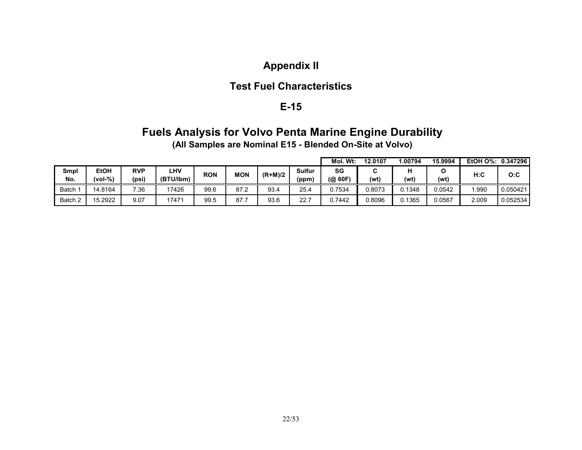# **Appendix II**

### **Test Fuel Characteristics**

### **E-15**

# **Fuels Analysis for Volvo Penta Marine Engine Durability**

**(All Samples are Nominal E15 - Blended On-Site at Volvo)**

|         |             |            |            |      |                          |      |           | Mol.<br>W <sub>t</sub> | 12.0107 | .00794 | 15.9994 | EtOH O%: | 0.347296 |     |     |
|---------|-------------|------------|------------|------|--------------------------|------|-----------|------------------------|---------|--------|---------|----------|----------|-----|-----|
| Smpl    | <b>EtOH</b> | <b>RVP</b> | <b>LHV</b> |      | <b>RON</b><br><b>MON</b> |      | $(R+M)/2$ |                        | Sulfur  | SG     | ⌒<br>u  |          |          | H:C | O:C |
| No.     | $(vol-% )$  | (psi)      | (BTU/lbm)  |      |                          |      | (ppm)     | (@ 60F)                | (wť     | (wt)   | (wt)    |          |          |     |     |
| Batch   | 14.8164     | 7.36       | 17426      | 99.6 | 87.2                     | 93.4 | 25.4      | 0.7534                 | 0.8073  | 0.1348 | 0.0542  | .990     | 0.050421 |     |     |
| Batch 2 | 15.2922     | 9.07       | 17471      | 99.5 | 87.7                     | 93.6 | 22.7      | 0.7442                 | 0.8096  | 0.1365 | 0.0567  | 2.009    | 0.052534 |     |     |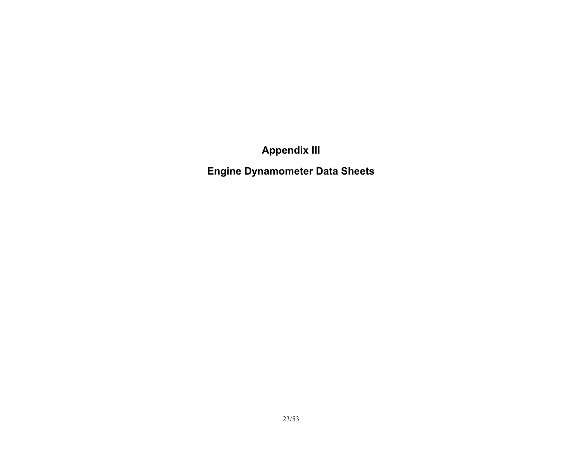**Appendix III**

**Engine Dynamometer Data Sheets**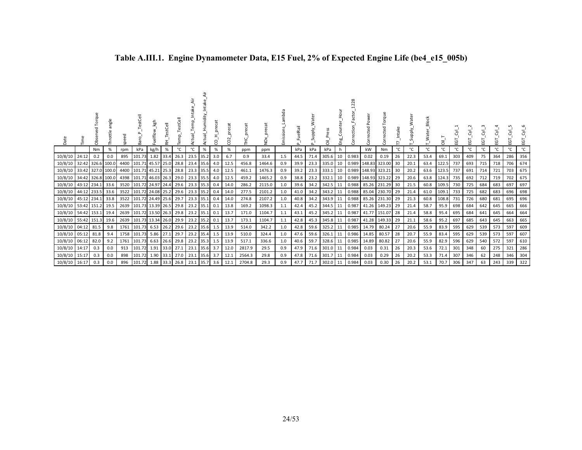| Date          |       | Obsi  | angle<br>ottle | speed | TestCell<br>Bar        | kgh        | estCell<br>푽 | estCell<br>Temp | emp.<br>g | Humidity<br>ctual<br>╭ | S    | $\sim$<br>ğ | ecat<br>舌 | ð      | Emissions_Lambda | FuelRail<br>$\sim$ | ater | Press<br>ᄛ | mo<br>H<br>Coun<br>Eng | actor <sub>.</sub><br>ection<br>Corre | Pow<br>Š    | Torque<br>ected        | Intake | ater<br><b>Alddn</b><br>S | Block<br>Water_ | ā.    | EGT. | EGT | ਨੋਂ<br>EGT | ĒΘ  | ġ   | EGT |
|---------------|-------|-------|----------------|-------|------------------------|------------|--------------|-----------------|-----------|------------------------|------|-------------|-----------|--------|------------------|--------------------|------|------------|------------------------|---------------------------------------|-------------|------------------------|--------|---------------------------|-----------------|-------|------|-----|------------|-----|-----|-----|
|               |       | Nm    | %              | rpm   | kPa                    | kg/h       | %            | °C              | °C        | $\%$                   | $\%$ | %           | ppm       | ppm    |                  | kPa                | kPa  | kPa        |                        |                                       | kW          | Nm                     | °C     | °C                        | °C              | °C    | °C   | ℃   | °C         | °C  | °C  | °C  |
| 10/8/10       | 24:12 | 0.2   | 0.0            | 895   | 101.73                 | 1.82       | 33.4         | 26.3            | 23.5      | 35.2                   | 3.0  | 6.7         | 0.9       | 33.4   | 1.5              | 44.5               | 71.4 | 305.6      | 10                     | 0.983                                 | 0.02        | 0.19                   | 26     | 22.3                      | 53.4            | 69.1  | 303  | 409 | 75         | 364 | 286 | 356 |
| 10/8/10       | 32:42 |       | 326.6 100.0    | 4400  | 101.71 45.57 25.0      |            |              | 28.8            | 23.4      | 35.6                   | 4.0  | 12.5        | 456.8     | 1464.6 | 0.9              | 39.9               | 23.3 | 335.0      | 10                     |                                       |             | 0.989 148.83 323.00    | 30     | 20.1                      | 63.4            | 122.5 | 737  | 693 | 715        | 718 | 706 | 674 |
| 10/8/10 33:42 |       |       | 327.0 100.0    | 4400  | 101.71 45.21 25.3      |            |              | 28.8            |           | 23.3 35.5              | 4.0  | 12.5        | 461.1     | 1476.3 | 0.9              | 39.2               |      | 23.3 333.1 | 10                     |                                       |             | 0.989 148.93 323.21    | 30     | 20.2                      | 63.6            | 123.5 | 737  | 691 | 714        | 721 | 703 | 675 |
| 10/8/10 34:42 |       |       | 326.8 100.0    |       | 4398 101.71 46.03 26.3 |            |              | 29.0            |           | 23.3 35.5              | 4.0  | 12.5        | 459.2     | 1465.2 | 0.9              | 38.8               | 23.2 | 332.1      | 10                     |                                       |             | 0.989 148.93 323.22 29 |        | 20.6                      | 63.8            | 124.3 | 735  | 692 | 712        | 719 | 702 | 675 |
| 10/8/10 43:12 |       | 234.1 | 33.6           | 3520  | 101.72 24.97 24.4      |            |              | 29.6            |           | 23.3 35.3              | 0.4  | 14.0        | 286.2     | 2115.0 | 1.0              | 39.6               | 34.2 | 342.5 11   |                        |                                       |             | 0.988 85.26 231.29     | 30     | 21.5                      | 60.8            | 109.5 | 730  | 725 | 684        | 683 | 697 | 697 |
| 10/8/10 44:12 |       | 233.5 | 33.6           | 3522  | 101.72 24.08 25.2 29.6 |            |              |                 |           | 23.3 35.2              | 0.4  | 14.0        | 277.5     | 2101.2 | 1.0              | 41.0               | 34.2 | 343.2 11   |                        |                                       |             | 0.988 85.04 230.70     | 29     | 21.4                      | 61.0            | 109.1 | 733  | 725 | 682        | 683 | 696 | 698 |
| 10/8/10 45:12 |       | 234.1 | 33.8           | 3522  | 101.72 24.49 25.6      |            |              | 29.7            | 23.3      | 35.1                   | 0.4  | 14.0        | 274.8     | 2107.2 | 1.0              | 40.8               | 34.2 | 343.9 11   |                        |                                       |             | 0.988 85.26 231.30     | -29    | 21.3                      | 60.8            | 108.8 | 731  | 726 | 680        | 681 | 695 | 696 |
| 10/8/10 53:42 |       | 151.2 | 19.5           | 2639  | 101.73 13.39 26.5      |            |              | 29.8            | 23.2      | 35.1                   | 0.1  | 13.8        | 169.2     | 1098.3 | 1.1              | 42.4               | 45.2 | 344.5 11   |                        |                                       |             | 0.987 41.26 149.23     | 29     | 21.4                      | 58.7            | 95.9  | 698  | 684 | 642        | 645 | 665 | 666 |
| 10/8/10 54:42 |       | 153.1 | 19.4           | 2639  | 101.72 13.50 26.3      |            |              | 29.8            | 23.2      | 35.1                   | 0.1  | 13.7        | 171.0     | 1104.7 | 1.1              | 43.1               | 45.2 | 345.2 11   |                        | 0.987                                 |             | 41.77 151.07           | 28     | 21.4                      | 58.8            | 95.4  | 695  | 684 | 641        | 645 | 664 | 664 |
| 10/8/10 55:42 |       | 151.3 | 19.6           | 2639  | 101.73                 | 13.34 26.0 |              | 29.9            | 23.2      | 35.2                   | 0.1  | 13.7        | 173.1     | 1104.7 | 1.1              | 42.8               | 45.3 | 345.8 11   |                        | 0.987                                 | 41.28       | 149.33                 | 29     | 21.1                      | 58.6            | 95.2  | 697  | 685 | 643        | 645 | 663 | 665 |
| 10/8/10 04:12 |       | 81.5  | 9.8            | 1761  | 101.73                 | 6.53       | 26.2         | 29.6            | 23.2      | 35.6                   | -1.5 | 13.9        | 514.0     | 342.2  | 1.0              | 42.8               | 59.6 | 325.2      | 11                     | 0.985                                 | 14.79       | 80.24                  | 27     | 20.6                      | 55.9            | 83.9  | 595  | 629 | 539        | 573 | 597 | 609 |
| 10/8/10 05:12 |       | 81.8  | 9.4            | 1758  | 101.73                 | 5.86       | 27.1         | 29.7            | 23.2      | 35.4                   | 1.5  | 13.9        | 510.0     | 324.4  | 1.0              | 47.6               | 59.6 | 326.1      | 11                     |                                       | 0.986 14.85 | 80.57                  | 28     | 20.7                      | 55.9            | 83.4  | 595  | 629 | 539        | 573 | 597 | 607 |
| 10/8/10 06:12 |       | 82.0  | 9.2            | 1761  | 101.73                 | 6.63       | 26.6         | 29.8            | 23.2      | 35.3                   | 1.5  | 13.9        | 517.1     | 336.6  | 1.0              | 40.6               | 59.7 | 328.6 11   |                        | 0.985                                 | 14.89       | 80.82                  | 27     | 20.6                      | 55.9            | 82.9  | 596  | 629 | 540        | 572 | 597 | 610 |
| 10/8/10 14:17 |       | 0.3   | 0.0            | 913   | 101.72                 | 1.91       | 33.0         | 27.1            | 23.1      | 35.6                   | 3.7  | 12.0        | 2817.9    | 29.5   | 0.9              | 47.9               | 71.6 | 301.0      | 11                     | 0.984                                 | 0.03        | 0.31                   | 26     | 20.3                      | 53.6            | 72.1  | 301  | 348 | 60         | 275 | 321 | 286 |
| 10/8/10 15:17 |       | 0.3   | 0.0            | 898   | 101.72                 | 1.90       | 33.1         | 27.0            | 23.1      | 35.6                   | 3.7  | 12.1        | 2564.3    | 29.8   | 0.9              | 47.8               | 71.6 | 301.7      | 11                     | 0.984                                 | 0.03        | 0.29                   | 26     | 20.2                      | 53.3            | 71.4  | 307  | 346 | 62         | 248 | 346 | 304 |
| 10/8/10 16:17 |       | 0.3   | 0.0            | 896   | 101.72                 | 1.88       | 33.3         | 26.8            | 23.1      | 35.7                   | 3.6  | 12.1        | 2704.8    | 29.3   | 0.9              | 47.7               | 71.7 | 302.0      | 11                     | 0.984                                 | 0.03        | 0.30                   | 26     | 20.2                      | 53.1            | 70.7  | 306  | 347 | 63         | 243 | 339 | 322 |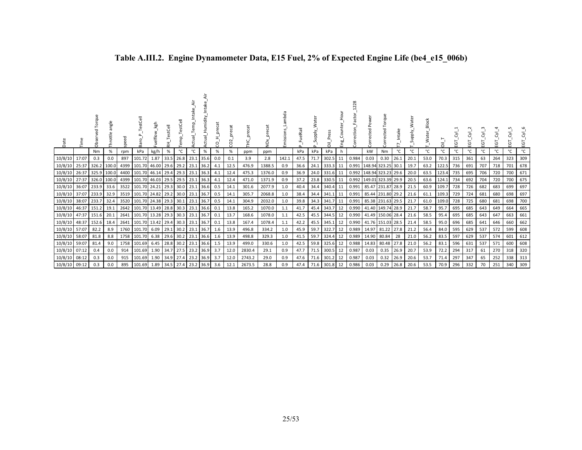| Date          | Ĕ     | Obs        | angle<br>Throttle | speed | TestCell<br>Baro                 | Fuelflow_kgh                     | TestCell<br>꾿 | _TestCell<br>Temp <sub>.</sub> | Intake<br>Actual_Temp | Humidity | precat<br>8 | precat<br>$\sim$<br>g | precat<br>ں<br>H | ğ      | mbda<br>Emissions | FuelRail<br>$\sim$ | ater<br>Supply.<br>$\Delta$ | 등             | Hour<br>Eng.<br>E | <b>Corp</b> | Corrected Pow       | orque<br>⊢<br>Corrected | Intake |      | <b>Block</b><br>$\frac{1}{2}$ Water | $\frac{1}{2}$ | EGT | EGT. | EGT. | EGT. | ΞGΤ | ਣੰ<br>EGT |
|---------------|-------|------------|-------------------|-------|----------------------------------|----------------------------------|---------------|--------------------------------|-----------------------|----------|-------------|-----------------------|------------------|--------|-------------------|--------------------|-----------------------------|---------------|-------------------|-------------|---------------------|-------------------------|--------|------|-------------------------------------|---------------|-----|------|------|------|-----|-----------|
|               |       | Nm         | %                 | rpm   | kPa                              | kg/h                             | %             | °C                             | °C                    | $\%$     | %           | %                     | ppm              | ppm    |                   | kPa                | kPa                         | kPa           | h                 |             | kW                  | Nm                      | °C     | °C   | °C                                  | °C            | °C  | °C   | °C   | °C   | °c  | °C        |
| 10/8/10       | 17:07 | 0.3        | 0.0               | 897   | 101.72                           | 1.87                             | 33.5          |                                | 26.8 23.1 35.6        |          | 0.0         | 0.1                   | 3.9              | 2.8    | 142.1             | 47.5               | 71.7                        | $302.5$ 11    |                   | 0.984       | 0.03                | 0.30                    | 26.1   | 20.1 | 53.0                                | 70.3          | 315 | 361  | 63   | 264  | 323 | 309       |
| 10/8/10       | 25:37 | 326.2      | 100.0             | 4399  |                                  | 101.70 46.00                     | 29.6          | 29.2                           | 23.1 36.2             |          | 4.1         | 12.5                  | 476.9            | 1388.5 | 0.9               | 36.6               | 24.1                        | 333.3 11      |                   |             | 0.991 148.94 323.25 |                         | 30.1   | 19.7 | 63.2                                | 122.5         | 736 | 691  | 707  | 718  | 701 | 678       |
| 10/8/10       | 26:37 | 325.9      | 100.0             | 4400  | 101.70 46.14 29.4                |                                  |               |                                | 29.3 23.1 36.3        |          | 4.1         | 12.4                  | 475.3            | 1376.0 | 0.9               | 36.9               | 24.0                        | 331.6 11      |                   |             | 0.992 148.94 323.23 |                         | 29.6   | 20.0 | 63.5                                | 123.4         | 735 | 695  | 706  | 720  | 700 | 671       |
| 10/8/10       | 27:37 | 326.0      | 100.0             | 4399  |                                  | 101.70 46.03 29.5 29.5 23.1 36.3 |               |                                |                       |          | 4.1         | 12.4                  | 471.0            | 1371.9 | 0.9               | 37.2               | 23.8                        | $330.5$ 11    |                   |             | 0.992 149.01 323.39 |                         | 29.9   | 20.5 | 63.6                                | 124.1         | 734 | 692  | 704  | 720  | 700 | 675       |
| 10/8/10       | 36:07 | 233.9      | 33.6              | 3522  | 101.70 24.21 29.3                |                                  |               | 30.0                           | 23.1 36.6             |          | 0.5         | 14.1                  | 301.6            | 2077.9 | 1.0               | 40.4               | 34.4                        | 340.4 11      |                   | 0.991       |                     | 85.47 231.87            | 28.9   | 21.5 | 60.9                                | 109.7         | 728 | 726  | 682  | 683  | 699 | 697       |
| 10/8/10       | 37:07 | 233.9 32.9 |                   | 3519  |                                  | 101.70 24.82 29.2 30.0 23.1 36.7 |               |                                |                       |          | 0.5         | 14.1                  | 305.7            | 2068.8 | 1.0               | 38.4               | 34.4                        | 341.1 11      |                   | 0.991       |                     | 85.44 231.80            | 29.2   | 21.6 | 61.1                                | 109.3         | 729 | 724  | 681  | 680  | 698 | 697       |
| 10/8/10       | 38:07 | 233.7      | 32.4              | 3520  | 101.70 24.38 29.3 30.1           |                                  |               |                                | 23.1 36.7             |          | 0.5         | 14.1                  | 304.9            | 2032.0 | 1.0               | 39.8               |                             | 34.3 341.7 11 |                   | 0.991       |                     | 85.38 231.63            | 29.5   | 21.7 | 61.0                                | 109.0         | 728 | 725  | 680  | 681  | 698 | 700       |
| 10/8/10       | 46:37 | 151.2      | 19.1              | 2642  | 101.70 13.49 28.8 30.3 23.1 36.6 |                                  |               |                                |                       |          | 0.1         | 13.8                  | 165.2            | 1070.0 | 1.1               | 41.7               | 45.4                        | 343.7         | 12                | 0.990       |                     | 41.40 149.74            | 28.9   | 21.7 | 58.7                                | 95.7          | 695 | 685  | 643  | 649  | 664 | 665       |
| 10/8/10       | 47:37 | 151.6      | 20.1              | 2641  | 101.70 13.28                     |                                  |               |                                | 29.3 30.3 23.1 36.7   |          | 0.1         | 13.7                  | 168.6            | 1078.0 | 1.1               | 42.5               | 45.5                        | 344.5         | 12                | 0.990       |                     | 41.49 150.06            | 28.4   | 21.6 | 58.5                                | 95.4          | 695 | 685  | 643  | 647  | 663 | 661       |
| 10/8/10       | 48:37 | 152.6      | 18.4              | 2641  | 101.70 13.42 29.4 30.3 23.1 36.7 |                                  |               |                                |                       |          | 0.1         | 13.8                  | 167.4            | 1078.4 | 1.1               | 42.2               |                             | 45.5 345.1    | 12                | 0.990       |                     | 41.76 151.03 28.5       |        | 21.4 | 58.5                                | 95.0          | 696 | 685  | 641  | 646  | 660 | 662       |
| 10/8/10       | 57:07 | 82.2       | 8.9               | 1760  | 101.70                           | 6.09                             | 29.1          | 30.2                           | 23.1 36.7             |          | - 1.6       | 13.9                  | 496.8            | 334.2  | 1.0               | 45.9               | 59.7                        | 322.7         | 12                | 0.989       | 14.97               | 81.22                   | 27.8   | 21.2 | 56.4                                | 84.0          | 595 | 629  | 537  | 572  | 599 | 608       |
| 10/8/10       | 58:07 | 81.8       | 8.8               | 1758  | 101.70                           | 6.38                             | 29.6          |                                | 30.2 23.1 36.6        |          | -1.6        | 13.9                  | 498.8            | 329.3  | 1.0               | 41.5               | 59.7                        | 324.4         | 12                |             | 0.989 14.90 80.84   |                         | 28     | 21.0 | 56.2                                | 83.5          | 597 | 629  | 537  | 574  | 601 | 612       |
| 10/8/10       | 59:07 | 81.4       | 9.0               | 1758  | 101.69                           | 6.45                             |               |                                | 28.8 30.2 23.1 36.6   |          | 1.5         | 13.9                  | 499.0            | 330.6  | 1.0               | 42.5               | 59.8                        | 325.6         | 12                | 0.988       | 14.83               | 80.48                   | 27.8   | 21.0 | 56.2                                | 83.1          | 596 | 631  | 537  | 571  | 600 | 608       |
| 10/8/10       | 07:12 | 0.4        | 0.0               | 914   | 101.69                           | 1.90                             |               |                                | 34.7 27.5 23.2 36.9   |          | 3.7         | 12.0                  | 2830.4           | 29.1   | 0.9               | 47.7               | 71.5                        | $300.5$ 12    |                   | 0.987       | 0.03                | 0.35                    | 26.9   | 20.7 | 53.9                                | 72.2          | 294 | 317  | 61   | 270  | 318 | 320       |
| 10/8/10       | 08:12 | 0.3        | 0.0               | 915   | 101.69                           | 1.90                             |               | 34.9 27.4                      | 23.2 36.9             |          | 3.7         | 12.0                  | 2743.2           | 29.0   | 0.9               | 47.6               | 71.6                        | 301.2         | 12                | 0.987       | 0.03                | 0.32                    | 26.9   | 20.6 | 53.7                                | 71.4          | 297 | 347  | 65   | 252  | 338 | 313       |
| 10/8/10 09:12 |       | 0.3        | 0.0               | 895   | 101.69 1.89                      |                                  |               | 34.5 27.4                      | 23.2 36.9             |          | 3.6         | 12.1                  | 2673.5           | 28.8   | 0.9               | 47.4               |                             | 71.6 301.8 12 |                   | 0.986       | 0.03                | 0.29                    | 26.8   | 20.6 | 53.5                                | 70.9          | 296 | 332  | 70   | 251  | 340 | 309       |

# **Table A.III.2. Engine Dynamometer Data, E15 Fuel, 2% of Expected Engine Life (be4\_e15\_006b)**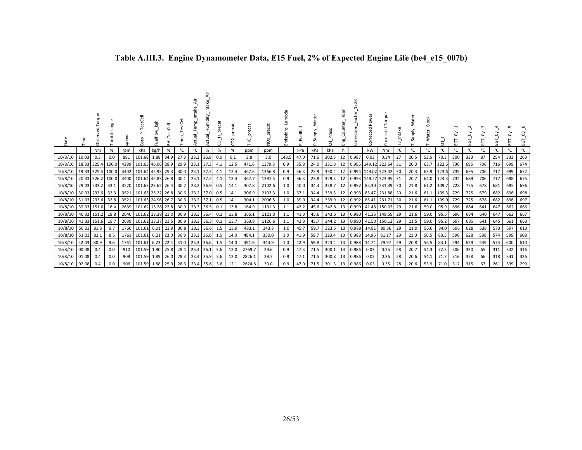| Date          |            | Torque<br>Obse    | angle<br>ottle    | ᄝ<br>āg | estCell<br>ಸ<br>m            | ksh<br>elflow | stCell<br>끉 |      |           | Humidity<br>ರ | precat<br>O<br>Ō | precat<br>$\sim$<br>O | $\overline{\sigma}$<br>prec | š      | mbda<br>missions | uelRail<br><sup>n</sup> | ater<br>≳<br>Supply<br>C. | Press<br>ᄛ |    | actor<br>ction<br>orre | こ<br>è<br>cted<br>O | que<br>cted<br>$\left( \right)$ |     | ater<br>ylddn<br>S. | <b>Block</b><br>ate | ᄛ          | ن   | $\sim$<br>ن | ن   | 5<br>ய | 5<br>111 | ਣ<br>ㅎ |
|---------------|------------|-------------------|-------------------|---------|------------------------------|---------------|-------------|------|-----------|---------------|------------------|-----------------------|-----------------------------|--------|------------------|-------------------------|---------------------------|------------|----|------------------------|---------------------|---------------------------------|-----|---------------------|---------------------|------------|-----|-------------|-----|--------|----------|--------|
|               |            | Nm                | %                 | rpm     | kPa                          | kg/h          | %           | °C   | °C        | $\%$          | %                | $\%$                  | ppm                         | ppm    |                  | kPa                     | kPa                       | kPa        |    |                        | kW                  | Nm                              | °C  | °C                  | °C                  | °C         |     | °C          | °C  | °C     | °c       | °C     |
| 10/8/10       | 10:03      | 0.3               | 0.0               | 891     | 101.68                       | 1.88          | 34.9        | 27.3 | 23.2 36.8 |               | 0.0              | 0.1                   | 3.8                         | 3.0    | 143.5            | 47.0                    | 71.6                      | 302.3      | 12 | 0.987                  | 0.03                | 0.34                            | 27  | 20.5                | 53.5                | 70.3       | 300 | 333         | 87  | 254    | 333      | 263    |
| 10/8/10       |            | 18:33 325.4       | 100.0             | 4399    | 101.65 46.06 28.9            |               |             | 29.9 | 23.1 37.3 |               | 4.1              | 12.5                  | 471.6                       | 1379.3 | 0.9              | 35.8                    | 24.0                      | 331.8      | 12 |                        |                     | 0.995 149.12 323.64             | -31 | 20.3                | 63.7                | 122.6      | 736 | 695         | 706 | 716    | 699      | 674    |
| 10/8/10       |            | 19:33 325.5 100.0 |                   | 4402    | 101.64 45.93 29.3            |               |             | 30.0 | 23.1 37.3 |               | 4.1              | 12.4                  | 467.6                       | 1366.8 | 0.9              | 36.3                    | 23.9                      | 330.4      | 12 |                        |                     | 0.994 149.02 323.42             | 30  | 20.3                | 63.9                | 123.6      | 735 | 695         | 706 | 717    | 699      | 672    |
| 10/8/10       |            |                   | 20:33 326.2 100.0 |         | 4400 101.64 45.83 26.8 30.1  |               |             |      | 23.1 37.2 |               | 4.1              | 12.4                  | 467.7                       | 1391.5 | 0.9              | 36.3                    | 23.8                      | $329.3$ 12 |    |                        |                     | 0.993 149.27 323.95             | -31 | 20.7                |                     | 64.0 124.3 | 732 | 689         | 706 | 717    | 698      | 675    |
| 10/8/10       |            | 29:03 233.2       | 33.1              |         | 3520 101.63 23.62 26.4       |               |             | 30.7 | 23.2 36.9 |               | 0.5              | 14.1                  | 307.8                       | 2102.6 | 1.0              | 40.0                    | 34.4                      | 338.7      | 12 |                        |                     | 0.992 85.30 231.39              | 30  | 21.8                | 61.2                | 109.7      | 728 | 725         | 678 | 681    | 695      | 696    |
| 10/8/10       |            | 30:03 233.6       | 32.3              | 3521    | 101.63 25.22 26.8            |               |             | 30.6 | 23.2 37.0 |               | 0.5              | 14.1                  | 306.9                       | 2102.3 | 1.0              | 37.1                    | 34.4                      | 339.3      | 12 |                        |                     | 0.993 85.47 231.88              | 30  | 21.6                |                     | 61.1 109.3 | 729 | 725         | 679 | 682    | 696      | 698    |
| 10/8/10       |            | 31:03 233.6       | 32.8              | 3521    | 101.63 24.96 26.7            |               |             | 30.6 | 23.2 37.1 |               | 0.5              | 14.1                  | 304.1                       | 2096.5 | 1.0              | 39.0                    | 34.4                      | 339.9      | 12 |                        |                     | 0.992 85.41 231.71              | 30  | 21.6                | 61.1                | 109.0      | 729 | 725         | 678 | 682    | 696      | 697    |
| 10/8/10       |            | 39:33 151.6       | 18.4              |         | 2639 101.62 13.28 22.8       |               |             | 30.9 |           | 23.3 36.5     | 0.1              | 13.8                  | 164.9                       | 1131.3 | 1.1              | 42.2                    | 45.6                      | 342.8      | 13 |                        |                     | 0.990 41.48 150.02              | 29  | 21.6                | 59.0                | 95.9       | 696 | 684         | 641 | 647    | 662      | 666    |
| 10/8/10       |            | 40:33 151.2       | 18.8              |         | 2640   101.62   13.38   23.0 |               |             | 30.9 | 23.3 36.4 |               | 0.1              | 13.8                  | 165.1                       | 1121.0 | 1.1              | 41.3                    | 45.6                      | 343.6      | 13 |                        |                     | 0.990 41.36 149.59              | 29  | 21.6                | 59.0                | 95.5       | 696 | 684         | 640 | 647    | 662      | 667    |
| 10/8/10       |            | 41:33 151.6       | 18.7              |         | 2639 101.62 13.37 23.5       |               |             | 30.9 | 23.3 36.3 |               | 0.1              | 13.7                  | 163.8                       | 1126.6 | 1.1              | 42.3                    | 45.7                      | 344.2      | 13 |                        |                     | 0.990 41.50 150.12              | 29  | 21.5                | 59.0                | 95.2       | 697 | 685         | 641 | 645    | 661      | 663    |
| 10/8/10       | 50:03 81.3 |                   | 9.7               | 1760    | 101.61                       | 6.01          | 22.9        | 30.8 | 23.3 36.6 |               | 1.5              | 13.9                  | 483.1                       | 343.3  | 1.0              | 45.7                    | 59.7                      | 323.5      | 13 | 0.988                  | 14.81               | 80.36                           | 29  | 21.0                | 56.6                | 84.0       | 596 | 628         | 538 | 573    | 597      | 613    |
| 10/8/10       | 51:03 82.1 |                   | 8.5               | 1761    | 101.61                       | 6.21          | 23.0        | 30.9 | 23.3 36.6 |               | 1.5              | 14.0                  | 484.1                       | 350.0  | 1.0              | 41.9                    | 59.7                      | 323.4      | 13 |                        | 0.988 14.96 81.17   |                                 | 29  | 21.0                | 56.5                | 83.5       | 596 | 628         | 538 | 574    | 599      | 608    |
| 10/8/10       | 52:03      | 80.9              | 9.6               | 1761    | 101.61                       | 6.23          | 22.4        | 31.0 | 23.3 36.6 |               | 1.5              | 14.0                  | 491.9                       | 344.9  | 1.0              | 42.9                    | 59.8                      | 323.4      | 13 |                        | 0.988 14.74         | 79.97                           | 29  | 20.8                | 56.5                | 83.1       | 594 | 629         | 539 | 573    | 600      | 610    |
| 10/8/10       | 00:08      | 0.4               | 0.0               | 910     | 101.59 1.90                  |               | 25.8        | 28.4 | 23.4 36.1 |               | 3.6              | 12.0                  | 2769.7                      | 29.6   | 0.9              | 47.3                    | 71.5                      | 300.1      | 13 | 0.986                  | 0.03                | 0.35                            | 28  | 20.7                | 54.3                | 72.3       | 306 | 330         | 65  | 311    | 332      | 316    |
| 10/8/10       | 01:08      | 0.4               | 0.0               | 909     | 101.59                       | 1.89          | 26.0        | 28.3 | 23.4      | 35.9          | 3.6              | 12.0                  | 2826.1                      | 29.7   | 0.9              | 47.1                    | 71.5                      | 300.8      | 13 | 0.986                  | 0.03                | 0.36                            | 28  | 20.6                | 54.1                | 71.7       | 316 | 328         | 66  | 318    | 341      | 326    |
| 10/8/10 02:08 |            | 0.4               | 0.0               | 906     | 101.59 1.88                  |               | 25.9        | 28.3 | 23.4 35.6 |               | 3.6              | 12.1                  | 2624.8                      | 30.0   | 0.9              | 47.0                    | 71.5                      | 301.3      | 13 | 0.986                  | 0.03                | 0.35                            | 28  | 20.6                | 53.9                | 71.0       | 312 | 315         | 67  | 261    | 339      | 299    |

# **Table A.III.3. Engine Dynamometer Data, E15 Fuel, 2% of Expected Engine Life (be4\_e15\_007b)**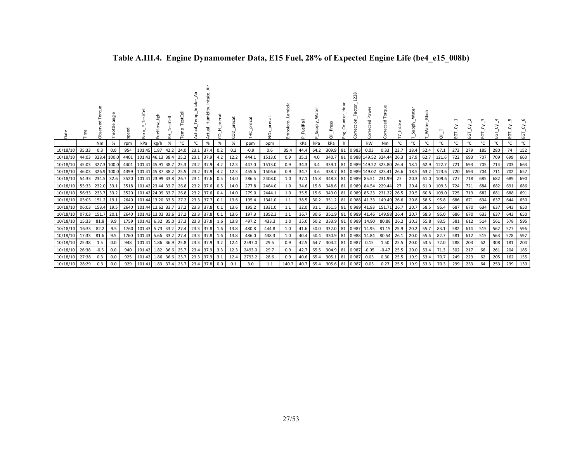| Date     |                  | ಗೆ     | angle<br>Throttle |      | estCell<br>Ba          | kgh       | tCell<br>₹ |      |             | Humidity | ecat<br>O | ႙    | precat | precat<br>δ.<br>2 | mbda<br>Emissions | uelRail |      | Ĕ<br>ま   | Hour<br>ى<br>Eng |       | $\overline{a}$<br>Powe<br>Corrected | Torque<br>ected     |      | Water<br>Supply | Block<br>T_Water | ត     | Ġ   | Ġ   | ن   | Σ,<br>업 | Σ,<br>EGT | Σ,<br>Ēδ |
|----------|------------------|--------|-------------------|------|------------------------|-----------|------------|------|-------------|----------|-----------|------|--------|-------------------|-------------------|---------|------|----------|------------------|-------|-------------------------------------|---------------------|------|-----------------|------------------|-------|-----|-----|-----|---------|-----------|----------|
|          |                  | Nm     | %                 | rpm  | kPa                    | kg/h      | %          | °C   | °C          | $\%$     | %         | %    | ppm    | ppm               |                   | kPa     | kPa  | kPa      | h                |       | kW                                  | Nm                  | °C   | °C              | °С               | °C    | °C  | °C  | °C  | °C      | °c        | °C       |
| 10/18/10 | 35:33            | 0.3    | 0.0               | 954  | 101.45                 | 1.87 42.2 |            | 24.0 | 23.1 37.4   |          | 0.2       | 0.2  | $-0.9$ | 0.6               | 35.4              | 44.4    | 64.2 | 309.9 81 |                  | 0.983 | 0.03                                | 0.33                | 23.7 | 18.4            | 52.4             | 67.1  | 273 | 279 | 185 | 280     | 74        | 152      |
| 10/18/10 | 44:03            |        | 328.4 100.0       | 4401 | 101.43 46.13 38.4      |           |            | 25.2 | 23.1 37.9   |          | 4.2       | 12.2 | 444.1  | 1513.0            | 0.9               | 35.1    | 4.0  | 340.7    | 81               |       |                                     | 0.988 149.52 324.44 | 26.3 | 17.9            | 62.7             | 121.6 | 722 | 693 | 707 | 709     | 699       | 660      |
| 10/18/10 | 45:03            |        | 327.3 100.0       | 4401 | 101.41 45.91 38.7      |           |            | 25.3 | 23.2 37.9   |          | 4.2       | 12.3 | 447.0  | 1513.0            | 0.9               | 34.3    | 3.4  | 339.1    | 81               |       |                                     | 0.989 149.22 323.80 | 26.4 | 18.1            | 62.9             | 122.7 | 721 | 693 | 705 | 714     | 703       | 663      |
| 10/18/10 | 46:03            |        | 326.9 100.0       | 4399 | 101.41 45.87 38.2      |           |            | 25.5 | 23.2 37.9   |          | 4.2       | 12.3 | 455.6  | 1506.6            | 0.9               | 34.7    | 3.6  | 338.7    | 81               |       | 0.989 149.02 323.41                 |                     | 26.6 | 18.5            | 63.2             | 123.6 | 720 | 694 | 704 | 711     | 702       | 657      |
| 10/18/10 | 54:33 234.5 32.6 |        |                   | 3520 | 101.41 23.99 33.8      |           |            | 26.7 | 23.1 37.6   |          | 0.5       | 14.0 | 286.5  | 2408.0            | 1.0               | 37.1    | 15.8 | 348.3 81 |                  |       |                                     | 0.989 85.51 231.99  | 27   | 20.3            | 61.0             | 109.6 | 727 | 718 | 685 | 682     | 689       | 690      |
| 10/18/10 | 55:33 232.0 33.1 |        |                   |      | 3518 101.42 23.44 33.7 |           |            | 26.8 | 23.2 37.6   |          | 0.5       | 14.0 | 277.8  | 2464.0            | 1.0               | 34.6    | 15.8 | 348.6 81 |                  | 0.989 |                                     | 84.54 229.44        | 27   | 20.4            | 61.0             | 109.3 | 724 | 721 | 684 | 682     | 691       | 686      |
| 10/18/10 | 56:33 233.7      |        | 33.2              | 3520 | 101.42 24.09 33.7      |           |            | 26.8 | 23.2 37.6   |          | 0.4       | 14.0 | 279.0  | 2444.1            | 1.0               | 35.5    | 15.6 | 349.0    | 81               | 0.989 |                                     | 85.23 231.22        | 26.5 | 20.5            | 60.8             | 109.0 | 725 | 719 | 682 | 681     | 688       | 691      |
| 10/18/10 | 05:03            | 151.2  | 19.1              | 2640 | 101.44 13.20 33.5      |           |            | 27.2 | 23.3 37.7   |          | 0.1       | 13.6 | 195.4  | 1341.0            | 1.1               | 38.5    | 30.2 | 351.2    | 81               |       |                                     | 0.988 41.33 149.49  | 26.6 | 20.8            | 58.5             | 95.8  | 686 | 671 | 634 | 637     | 644       | 650      |
| 10/18/10 | 06:03   153.4    |        | 19.5              |      | 2640 101.44 12.62 33.7 |           |            | 27.2 | $23.3$ 37.8 |          | 0.1       | 13.6 | 195.2  | 1331.0            | 1.1               | 32.0    | 31.1 | 351.5    | 81               |       | 0.989 41.93 151.71                  |                     | 26.7 | 20.7            | 58.5             | 95.4  | 687 | 670 | 634 | 637     | 643       | 650      |
| 10/18/10 | 07:03 151.7      |        | 20.1              |      | 2640 101.43 13.03 33.6 |           |            | 27.2 | 23.3 37.8   |          | 0.1       | 13.6 | 197.3  | 1352.3            | 1.1               | 36.7    | 30.6 | 351.9    | 81               | 0.989 |                                     | 41.46 149.98 26.4   |      | 20.7            | 58.3             | 95.0  | 686 | 670 | 633 | 637     | 643       | 650      |
| 10/18/10 | 15:33            | 81.8   | 9.9               | 1759 | 101.43 6.32 35.0       |           |            | 27.3 | 23.3 37.8   |          | 1.6       | 13.8 | 497.2  | 433.3             | 1.0               | 35.0    | 50.2 | 333.9    | 81               | 0.989 | 14.90                               | 80.88               | 26.2 | 20.3            | 55.8             | 83.5  | 581 | 612 | 514 | 561     | 578       | 595      |
| 10/18/10 | 16:33            | 82.2   | 9.5               | 1760 | 101.43 5.73 33.2       |           |            | 27.4 | 23.3 37.8   |          | 1.6       | 13.8 | 480.8  | 444.8             | 1.0               | 41.6    | 50.0 | 332.0 81 |                  | 0.987 | 14.95                               | 81.15               | 25.9 | 20.2            | 55.7             | 83.1  | 582 | 614 | 515 | 562     | 577       | 596      |
| 10/18/10 | 17:33            | 81.6   | 9.5               | 1760 | 101.43                 | 5.66 33.2 |            | 27.4 | 23.3 37.8   |          | 1.6       | 13.8 | 486.0  | 438.3             | 1.0               | 40.4    | 50.4 | 330.9    | 81               | 0.988 | 14.84                               | 80.54               | 26.1 | 20.0            | 55.6             | 82.7  | 581 | 612 | 515 | 563     | 578       | 597      |
| 10/18/10 | 25:38            | 1.5    | 0.0               | 948  | 101.41 1.86 36.9       |           |            | 25.8 | 23.3 37.9   |          | 3.2       | 12.4 | 2597.0 | 29.5              | 0.9               | 42.5    | 64.7 | 304.2 81 |                  | 0.987 | 0.15                                | 1.50                | 25.5 | 20.0            | 53.5             | 72.0  | 288 | 203 | 62  | 308     | 181       | 204      |
| 10/18/10 | 26:38            | $-0.5$ | 0.0               | 940  | 101.42 1.82 36.6       |           |            | 25.7 | 23.4 37.9   |          | 3.3       | 12.3 | 2493.0 | 29.7              | 0.9               | 42.7    | 65.5 | 304.9    | 81               | 0.987 | $-0.05$                             | $-0.47$             | 25.5 | 20.0            | 53.4             | 71.3  | 302 | 217 | 66  | 261     | 204       | 185      |
| 10/18/10 | 27:38            | 0.3    | 0.0               | 925  | 101.42                 | 1.86 36.6 |            | 25.7 | 23.3 37.9   |          | 3.1       | 12.4 | 2793.2 | 28.6              | 0.9               | 40.6    | 65.4 | 305.1    | 81               | 0.987 | 0.03                                | 0.30                | 25.5 | 19.9            | 53.4             | 70.7  | 249 | 229 | 62  | 205     | 162       | 155      |
| 10/18/10 | 28:29            | 0.3    | 0.0               | 929  | 101.41 1.83 37.4       |           |            | 25.7 | 23.4 37.8   |          | 0.0       | 0.1  | 3.0    | 1.1               | 140.7             | 40.7    | 65.4 | 305.6 81 |                  | 0.987 | 0.03                                | 0.27                | 25.5 | 19.9            | 53.3             | 70.3  | 299 | 233 | 64  | 253     | 239       | 130      |

# **Table A.III.4. Engine Dynamometer Data, E15 Fuel, 28% of Expected Engine Life (be4\_e15\_008b)**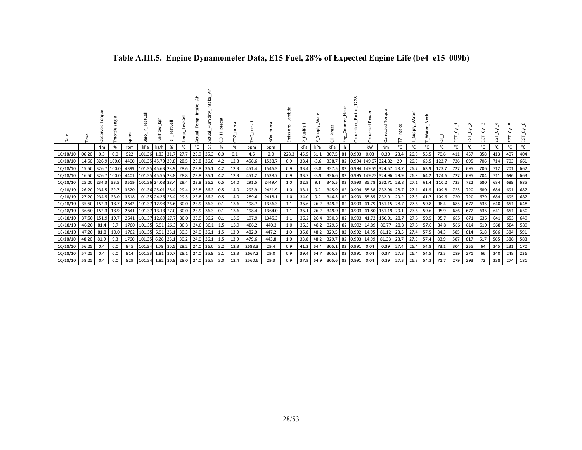| Date     |             | Šã    | angle<br>Throttle | ᄝ<br>spe | TestCell<br>Baro  |            | estCell<br>玉 | emp  | Temp<br>ಸ<br>n<br>Sc | Intake<br>Humidity<br>ಸ<br>n<br>S | ී<br>$\omega$<br>뉸<br>g | preca<br>ö<br>O | ecat<br>존 | š      | Lambda<br>Emissions | elRail | ater<br>Supply. | ā              | 요.<br>민 | 28<br>Correction | Pow<br>집<br>ğ       | orque<br>⊢<br>ected <sup>-</sup><br>م | ntak | ater<br>Viddns | <b>Block</b><br>ਨ<br>≥ | ā     | ပ္မ | ပ္ဗ | Ġ   | EGT | ΕGΤ | ΣŚ<br>EGT |
|----------|-------------|-------|-------------------|----------|-------------------|------------|--------------|------|----------------------|-----------------------------------|-------------------------|-----------------|-----------|--------|---------------------|--------|-----------------|----------------|---------|------------------|---------------------|---------------------------------------|------|----------------|------------------------|-------|-----|-----|-----|-----|-----|-----------|
|          |             | Nm    | %                 | rpm      | kPa               | kg/h       | %            | °C   | °C                   | %                                 | %                       | %               | ppm       | ppm    |                     | kPa    | kPa             | kPa            | h       |                  | kW                  | Nm                                    | °C   | °C             | °C                     | ℃     | °C  | °C  | °C  | °C  | °C  | °C        |
| 10/18/10 | 06:20       | 0.3   | 0.0               | 922      | 101.36            | 1.83 31.7  |              | 27.7 | 23.9                 | 35.3                              | 0.0                     | 0.1             | 4.5       | 2.0    | 228.3               | 45.5   | 61.1            | 307.5          | 81      | 0.993            | 0.03                | 0.30                                  | 28.4 | 26.8           | 55.5                   | 70.6  | 411 | 457 | 358 | 413 | 407 | 404       |
| 10/18/10 | 14:50       |       | 326.9 100.0       | 4400     | 101.35 45.70 29.8 |            |              | 28.5 | 23.8                 | 36.0                              | 4.2                     | 12.3            | 456.6     | 1538.7 | 0.9                 | 33.4   | $-3.6$          | 338.7          | 82      |                  | 0.994 149.67 324.82 |                                       | 29   | 26.5           | 63.5                   | 122.7 | 726 | 695 | 706 | 714 | 703 | 661       |
| 10/18/10 | 15:50       |       | 326.7 100.0       | 4399     | 101.35 45.63 28.9 |            |              | 28.6 | 23.8                 | 36.1                              | 4.2                     | 12.3            | 451.4     | 1546.3 | 0.9                 | 33.4   | $-3.8$          | 337.5          | 82      | 0.994            | 149.55 324.57       |                                       | 28.7 | 26.7           | 63.9                   | 123.7 | 727 | 695 | 706 | 712 | 701 | 662       |
| 10/18/10 | 16:50       |       | 326.7 100.0       | 4401     | 101.35 45.55 28.8 |            |              | 28.8 | 23.8 36.1            |                                   | 4.2                     | 12.3            | 451.2     | 1538.7 | 0.9                 | 33.7   | $-3.9$          | 336.6          | 82      | 0.995            | 149.73 324.96 29.9  |                                       |      | 26.9           | 64.2                   | 124.6 | 727 | 695 | 704 | 711 | 696 | 663       |
| 10/18/10 | 25:20       | 234.3 | 33.5              | 3519     | 101.36 24.08 28.4 |            |              | 29.4 | 23.8                 | 36.2                              | 0.5                     | 14.0            | 291.5     | 2449.4 | 1.0                 | 32.9   | 9.1             | 345.5 82       |         | 0.993            | 85.78 232.71        |                                       | 28.8 | 27.1           | 61.4                   | 110.2 | 723 | 722 | 680 | 684 | 689 | 685       |
| 10/18/10 | 26:20       | 234.5 | 32.7              | 3520     | 101.36 25.01 28.4 |            |              | 29.4 | 23.8 36.3            |                                   | 0.5                     | 14.0            | 293.9     | 2421.9 | 1.0                 | 33.1   | 9.2             | 345.9          | 82      | 0.994            |                     | 85.88 232.98 28.7                     |      | 27.1           | 61.5                   | 109.8 | 725 | 720 | 680 | 684 | 691 | 687       |
| 10/18/10 | 27:20       | 234.5 | 33.0              | 3518     | 101.35 24.26 28.4 |            |              | 29.5 | 23.8                 | 36.3                              | 0.5                     | 14.0            | 289.6     | 2418.1 | 1.0                 | 34.0   | 9.2             | 346.3          | 82      | 0.993            |                     | 85.85 232.91                          | 29.2 | 27.3           | 61.7                   | 109.6 | 720 | 720 | 679 | 684 | 695 | 687       |
| 10/18/10 | 35:50 152.3 |       | 18.7              | 2642     | 101.37            | 12.98 26.6 |              | 30.0 | 23.9                 | 36.3                              | 0.1                     | 13.6            | 198.7     | 1356.3 | 1.1                 | 35.6   | 26.2            | 349.2          | 82      | 0.993            |                     | 41.79 151.15                          | 28.7 | 27.6           | 59.8                   | 96.4  | 685 | 672 | 633 | 640 | 651 | 648       |
| 10/18/10 | 36:50 152.3 |       | 18.9              | 2641     | 101.37            | 13.13 27.0 |              | 30.0 | 23.9                 | 36.3                              | 0.1                     | 13.6            | 198.4     | 1364.0 | 1.1                 | 35.1   | 26.2            | 349.9          | 82      | 0.993            | 41.80               | 151.19                                | 29.1 | 27.6           | 59.6                   | 95.9  | 686 | 672 | 635 | 641 | 651 | 650       |
| 10/18/10 | 37:50 151.9 |       | .19.7             | 2641     | 101.37            | 12.89 27.7 |              | 30.0 | 23.9                 | 36.2                              | 0.1                     | 13.6            | 197.9     | 1345.3 | 1.1                 | 36.2   | 26.4            | 350.3 82       |         | 0.993            |                     | 41.72 150.91                          | 28.7 | 27.5           | 59.5                   | 95.7  | 685 | 671 | 635 | 641 | 653 | 649       |
| 10/18/10 | 46:20       | 81.4  | 9.7               | 1760     | 101.35            | 5.91 26.3  |              | 30.3 | 24.0                 | 36.1                              | 1.5                     | 13.9            | 486.2     | 440.3  | 1.0                 | 35.5   | 48.2            | 329.5 82       |         | 0.992            | 14.89               | 80.77                                 | 28.3 | 27.5           | 57.6                   | 84.8  | 586 | 614 | 519 | 568 | 584 | 589       |
| 10/18/10 | 47:20       | 81.8  | 10.0              | 1762     | 101.35            | 5.91 26.1  |              | 30.3 | 24.0 36.1            |                                   | 1.5                     | 13.9            | 482.0     | 447.2  | 1.0                 | 36.8   | 48.2            | 329.5 82       |         | 0.992            | 14.95               | 81.12                                 | 28.5 | 27.4           | 57.5                   | 84.3  | 585 | 614 | 518 | 566 | 584 | 591       |
| 10/18/10 | 48:20       | 81.9  | 9.3               | 1760     | 101.35            | 6.26 26.1  |              | 30.2 | 24.0 36.1            |                                   | 1.5                     | 13.9            | 479.6     | 443.8  | 1.0                 | 33.8   | 48.2            | 329.7          | 82      | 0.993            | 14.99               | 81.33                                 | 28.7 | 27.5           | 57.4                   | 83.9  | 587 | 617 | 517 | 565 | 586 | 588       |
| 10/18/10 | 56:25       | 0.4   | 0.0               | 945      | 101.34            | 1.79 30.5  |              | 28.2 | 24.0 36.0            |                                   | 3.2                     | 12.3            | 2688.3    | 29.4   | 0.9                 | 41.2   | 64.4            | 305.1          | 82      | 0.991            | 0.04                | 0.39                                  | 27.4 | 26.4           | 54.8                   | 73.1  | 304 | 255 | 64  | 345 | 231 | 170       |
| 10/18/10 | 57:25       | 0.4   | 0.0               | 914      | 101.33            | 1.81 30.7  |              | 28.1 | 24.0 35.9            |                                   | 3.1                     | 12.3            | 2667.2    | 29.0   | 0.9                 | 39.4   | 64.7            | 305.3 82       |         | 0.991            | 0.04                | 0.37                                  | 27.3 | 26.4           | 54.5                   | 72.3  | 289 | 271 | 66  | 340 | 248 | 236       |
| 10/18/10 | 58:25       | 0.4   | 0.0               | 929      | 101.34            | 1.82 30.9  |              | 28.0 | 24.0 35.8            |                                   | 3.0                     | 12.4            | 2560.6    | 29.3   | 0.9                 | 37.9   | 64.9            | 305.6 82 0.991 |         |                  | 0.04                | 0.39                                  | 27.3 |                | 26.3 54.3              | 71.7  | 279 | 293 | 72  | 338 | 274 | 181       |

### **Table A.III.5. Engine Dynamometer Data, E15 Fuel, 28% of Expected Engine Life (be4\_e15\_009b)**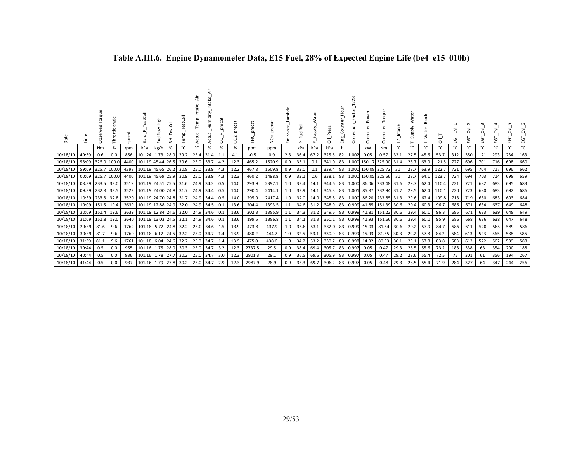| Date     |                   | orau<br>ä  | angle<br>Throttle | ુ<br>웄 | stCell<br>æ            | kgh<br>Fuelflow | stCell<br>푽 | emp  | Temp<br>g | Intak<br>Humidity<br>gu | eca<br>ă,<br>g | precat<br>g |        | š      | mbda<br>Emissio | uelRail<br>௳ | ater<br>Supply.<br>$\Omega$ | $\overline{5}$ | $rac{1}{2}$<br>Eng | 228<br>Factor<br>Correction | Powe<br>ᄝ<br>š | Torque<br>cted     | ntake | ater<br>S | <b>Block</b><br>ater | $\overline{\overline{\sigma}}$ | ᅝ   | $\sim$<br>Σ.<br>Ξ | EGT | ė   | LO.<br>ĒΘ | Σ,<br>EGT |
|----------|-------------------|------------|-------------------|--------|------------------------|-----------------|-------------|------|-----------|-------------------------|----------------|-------------|--------|--------|-----------------|--------------|-----------------------------|----------------|--------------------|-----------------------------|----------------|--------------------|-------|-----------|----------------------|--------------------------------|-----|-------------------|-----|-----|-----------|-----------|
|          |                   | Nm         | %                 | rpm    | kPa                    | kg/h            | $\%$        | °C   | °C        | %                       | $\%$           | %           | ppm    | ppm    |                 | kPa          | kPa                         | kPa            | h                  |                             | kW             | Nm                 | °C    | °C        | °C                   | °C                             | °C  | °C                | °C  | °C  | °C        | °C        |
| 10/18/10 | 49:39             | 0.6        | 0.0               | 856    | 101.24                 | 1.73            | 28.9        | 29.2 | 25.4 31.4 |                         | 1.1            | 4.1         | $-0.5$ | 0.9    | 2.8             | 36.4         | 67.2                        | 325.6          | 82                 | 1.002                       | 0.05           | 0.57               | 32.1  | 27.5      | 45.6                 | 53.7                           | 312 | 350               | 121 | 293 | 234       | 163       |
| 10/18/10 | 58:09             |            | 326.0 100.0       | 4400   | 101.19 45.44 26.5      |                 |             | 30.6 | 25.0 33.7 |                         | 4.2            | 12.3        | 465.2  | 1520.9 | 0.9             | 33.1         | 0.1                         | 341.0          | 83                 | 1.000                       |                | 150.17 325.90 31.4 |       | 28.7      | 63.9                 | 121.5                          | 727 | 696               | 701 | 716 | 698       | 660       |
| 10/18/10 | 59:09             |            | 325.7 100.0       | 4398   | 101.19 45.65 26.2      |                 |             | 30.8 | 25.0 33.9 |                         | 4.3            | 12.2        | 467.8  | 1509.8 | 0.9             | 33.0         | 1.1                         | 339.4          | 83                 | 1.000                       |                | 150.08 325.72      | 31    | 28.7      | 63.9                 | 122.7                          | 721 | 695               | 704 | 717 | 696       | 662       |
| 10/18/10 | 00:09 325.7 100.0 |            |                   | 4400   | 101.19 45.69 25.9      |                 |             | 30.9 | 25.0 33.9 |                         | 4.3            | 12.3        | 460.2  | 1498.8 | 0.9             | 33.1         | 0.6                         | 338.1          | 83                 | 1.000                       |                | 150.05 325.66      | 31    | 28.7      | 64.1                 | 123.7                          | 724 | 694               | 703 | 714 | 698       | 659       |
| 10/18/10 | 08:39             | 233.5 33.0 |                   | 3519   | 101.19 24.51 25.5      |                 |             | 31.6 | 24.9 34.3 |                         | 0.5            | 14.0        | 293.9  | 2397.1 | 1.0             | 32.4         | 14.1                        | 344.6          | 83                 | 1.000                       | 86.06          | 233.48 31.6        |       | 29.7      | 62.4                 | 110.4                          | 721 | 721               | 682 | 683 | 695       | 683       |
| 10/18/10 | 09:39 232.8 33.5  |            |                   | 3522   | 101.19 24.00 24.8 31.7 |                 |             |      | 24.9 34.4 |                         | 0.5            | 14.0        | 290.4  | 2414.1 | 1.0             | 32.9         | 14.1                        | 345.3          | 83                 | 1.001                       | 85.87          | 232.94 31.7        |       | 29.5      | 62.4                 | 110.1                          | 720 | 723               | 680 | 683 | 692       | 686       |
| 10/18/10 | 10:39             | 233.8 32.8 |                   | 3520   | 101.19 24.70 24.8      |                 |             | 31.7 | 24.9 34.4 |                         | 0.5            | 14.0        | 295.0  | 2417.4 | 1.0             | 32.0         | 14.0                        | 345.8          | 83                 | 1.000                       | 86.20          | 233.85             | 31.3  | 29.6      | 62.4                 | 109.8                          | 718 | 719               | 680 | 683 | 693       | 684       |
| 10/18/10 | 19:09             | 151.5 19.4 |                   | 2639   | 101.19 12.88 24.9      |                 |             | 32.0 | 24.9 34.5 |                         | 0.1            | 13.6        | 204.4  | 1393.5 | 1.1             | 34.6         | 31.2                        | 348.9          |                    | 83 0.999                    |                | 41.85 151.39       | 30.6  | 29.4      | 60.3                 | 96.7                           | 686 | 671               | 634 | 637 | 649       | 648       |
| 10/18/10 | 20:09             | 151.4 19.6 |                   | 2639   | 101.19 12.84 24.6      |                 |             | 32.0 |           | 24.9 34.6               | 0.1            | 13.6        | 202.3  | 1385.9 |                 | 34.3         | 31.2                        | 349.6          |                    | 83 0.999                    | 41.81          | 151.22             | 30.6  | 29.4      | 60.1                 | 96.3                           | 685 | 671               | 633 | 639 | 648       | 649       |
| 10/18/10 | 21:09             | 151.8 19.0 |                   | 2640   | 101.19 13.03 24.5      |                 |             | 32.1 | 24.9 34.6 |                         | 0.1            | 13.6        | 199.5  | 1386.8 |                 | 34.1         | 31.3                        | 350.1          |                    | 83 0.999                    |                | 41.93 151.66       | 30.6  | 29.4      | 60.1                 | 95.9                           | 686 | 668               | 636 | 638 | 647       | 648       |
| 10/18/10 | 29:39             | 81.6       | 9.6               | 1762   | 101.18 5.72 24.8       |                 |             | 32.2 |           | 25.0 34.6               | 1.5            | 13.9        | 473.8  | 437.9  | 1.0             | 36.6         | 53.1                        | 332.0          |                    | 83 0.999                    | 15.03          | 81.54 30.6         |       | 29.2      | 57.9                 | 84.7                           | 586 | 611               | 520 | 565 | 589       | 586       |
| 10/18/10 | 30:39             | 81.7       | 9.6               | 1760   | 101.18 6.12 24.5       |                 |             | 32.2 | 25.0 34.7 |                         | 1.4            | 13.9        | 480.2  | 444.7  | 1.0             | 32.5         | 53.1                        | 330.0          |                    | 83 0.999                    | 15.03          | 81.55 30.3         |       | 29.2      | 57.8                 | 84.2                           | 584 | 613               | 523 | 565 | 588       | 585       |
| 10/18/10 | 31:39             | 81.1       | 9.6               | 1761   | 101.18                 | 6.04            | 24.6        | 32.2 | 25.0 34.7 |                         | 1.4            | 13.9        | 475.0  | 438.6  | 1.0             | 34.2         | 53.2                        | 330.7          |                    | 83 0.998                    | 14.92          | 80.93              | 30.1  | 29.1      | 57.8                 | 83.8                           | 583 | 612               | 522 | 562 | 589       | 588       |
| 10/18/10 | 39:44             | 0.5        | 0.0               | 955    | 101.16 1.75            |                 | 28.0        | 30.3 | 25.0 34.7 |                         | 3.2            | 12.3        | 2737.5 | 29.5   | 0.9             | 38.4         | 69.4                        | 305.7          | 83                 | 0.997                       | 0.05           | 0.47               | 29.3  | 28.5      | 55.6                 | 73.2                           | 188 | 338               | 63  | 354 | 200       | 188       |
| 10/18/10 | 40:44             | 0.5        | 0.0               | 936    | 101.16 1.78            |                 | 27.7        | 30.2 | 25.0 34.7 |                         | 3.0            | 12.3        | 2901.3 | 29.1   | 0.9             | 36.5         | 69.6                        | 305.9          | 83                 | 0.997                       | 0.05           | 0.47               | 29.2  | 28.6      | 55.4                 | 72.5                           | 75  | 301               | 61  | 356 | 194       | 267       |
| 10/18/10 | 41:44             | 0.5        | 0.0               | 937    | 101.16 1.79 27.8       |                 |             | 30.2 | 25.0 34.7 |                         | 2.9            | 12.3        | 2987.9 | 28.9   | 0.9             | 35.3         | 69.7                        | 306.2 83 0.997 |                    |                             | 0.05           | 0.48               | 29.3  | 28.5      | 55.4                 | 71.9                           | 284 | 327               | 64  | 347 | 244       | 256       |

# **Table A.III.6. Engine Dynamometer Data, E15 Fuel, 28% of Expected Engine Life (be4\_e15\_010b)**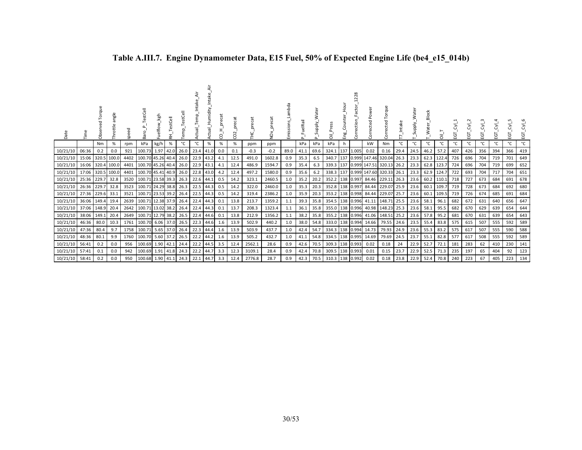| Date           |                  | orque<br>Ch | angle<br>Throttle | e.   | ਨੋ                | kgh<br>Fuelflow | <b>J</b><br>φ, | emp. | ಕ<br>큲    | Humidity<br>ā | ecat<br>έ<br>ς | precat<br>$\sim$<br>8 |        | $\overline{2}$ | ambda.<br>missions | uelRail | Supply. | $\bar{5}$           | Eng | 28<br>ection | ected                 | Б<br>Torq<br>ected            | _Intake<br>∼ | Water<br>Supply. | <b>Block</b><br>3. | ᄛ          | 5   | 5   | 5   | 5<br>ш | ن<br>ш | ਣਂ<br>EGT    |
|----------------|------------------|-------------|-------------------|------|-------------------|-----------------|----------------|------|-----------|---------------|----------------|-----------------------|--------|----------------|--------------------|---------|---------|---------------------|-----|--------------|-----------------------|-------------------------------|--------------|------------------|--------------------|------------|-----|-----|-----|--------|--------|--------------|
|                |                  | Nm          | %                 | rpm  | kPa               | kg/h            | %              | °C   | °C        | $\%$          | $\%$           | %                     | ppm    | ppm            |                    | kPa     | kPa     | kPa                 | h   |              | kW                    | Nm                            | °C           | °C               | °C                 | °C         | ℃   | °C  | °C  | °C     | °۲     | $^{\circ}$ C |
| 10/21/10       | 06:36            | 0.2         | 0.0               | 921  | 100.73            | 1.97            | 42.0           | 26.0 | 23.4 41.0 |               | 0.0            | 0.1                   | $-0.3$ | $-0.2$         | 89.0               | 41.1    | 69.6    | 324.1 137           |     | 1.005        | 0.02                  | 0.16                          | 29.4         | 24.5             | 46.2               | 57.2       | 407 | 426 | 356 | 394    | 366    | 419          |
| 10/21/10       | 15:06 320.5      |             | 100.0             | 4402 | 100.70 45.26 40.4 |                 |                | 26.0 | 22.9      | 43.2          | 4.1            | 12.5                  | 491.0  | 1602.8         | 0.9                | 35.3    | 6.5     | 340.7 137           |     |              |                       | 0.999 147.46 320.04           | 26.3         | 23.3             |                    | 62.3 122.4 | 726 | 696 | 704 | 719    | 701    | 649          |
| 10/21/10       | 16:06 320.4      |             | 100.0             | 4401 | 100.70 45.26 40.4 |                 |                | 26.0 | 22.9      | 43.1          | 4.1            | 12.4                  | 486.9  | 1594.7         | 0.9                | 35.4    | 6.3     | 339.3 137           |     |              | 0.999 147.51          | 320.13                        | 26.2         | 23.3             |                    | 62.8 123.7 | 724 | 696 | 704 | 719    | 699    | 652          |
| 10/21/10       | 17:06 320.5      |             | 100.0             | 4401 | 100.70 45.41 40.9 |                 |                | 26.0 | 22.8      | 43.0          | 4.2            | 12.4                  | 497.2  | 1580.0         | 0.9                | 35.6    | 6.2     |                     |     |              |                       | 338.3 137 0.999 147.60 320.33 | 26.1         | 23.3             |                    | 62.9 124.7 | 722 | 693 | 704 | 717    | 704    | 651          |
| 10/21/10       | 25:36 229.7      |             | 32.8              | 3520 | 100.71 23.58 39.3 |                 |                | 26.3 | 22.6      | 44.1          | 0.5            | 14.2                  | 323.1  | 2460.5         | 1.0                | 35.2    | 20.2    | 352.2 138 0.997     |     |              | 84.46                 | 229.11                        | 26.3         | 23.6             |                    | 60.2 110.1 | 718 | 727 | 673 | 684    | 691    | 678          |
| 10/21/10       | 26:36 229.7      |             | 32.8              | 3523 | 100.71 24.29 38.8 |                 |                | 26.3 |           | 22.5 44.3     | 0.5            | 14.2                  | 322.0  | 2460.0         | 1.0                | 35.3    | 20.3    |                     |     |              |                       | 352.8 138 0.997 84.44 229.07  | 25.9         | 23.6             |                    | 60.1 109.7 | 719 | 728 | 673 | 684    | 692    | 680          |
| 10/21/10       | 27:36 229.6      |             | 33.1              | 3521 | 100.71 23.53 39.2 |                 |                | 26.4 | 22.5      | 44.3          | 0.5            | 14.2                  | 319.4  | 2386.2         | 1.0                | 35.9    | 20.3    | 353.2 138 0.998     |     |              |                       | 84.44 229.07                  | 25.7         | 23.6             |                    | 60.1 109.5 | 719 | 726 | 674 | 685    | 691    | 684          |
| 10/21/10       | 36:06 149.4      |             | 19.4              | 2639 | 100.71 12.38 37.9 |                 |                | 26.4 | 22.4      | 44.3          | 0.1            | 13.8                  | 213.7  | 1359.2         | 1.1                | 39.3    | 35.8    | 354.5 138 0.996     |     |              | 41.11                 | 148.71                        | 25.5         | 23.6             | 58.1               | 96.1       | 682 | 672 | 631 | 640    | 656    | 647          |
| 10/21/10       | 37:06 148.9 20.4 |             |                   | 2642 | 100.71 13.02 38.2 |                 |                | 26.4 | 22.4      | 44.3          | 0.1            | 13.7                  | 208.3  | 1323.4         | 1.1                | 36.1    | 35.8    | 355.0 138 0.996     |     |              | 40.98                 | 148.23 25.3                   |              | 23.6             | 58.1               | 95.5       | 682 | 670 | 629 | 639    | 654    | 644          |
| 10/21/10       | 38:06            | 149.1       | 20.4              | 2649 | 100.71 12.79 38.2 |                 |                | 26.5 | 22.4      | 44.6          | 0.1            | 13.8                  | 212.9  | 1356.2         | 1.1                | 38.2    | 35.8    | 355.2 138 0.996     |     |              | 41.06                 | 148.51                        | 25.2         | 23.6             | 57.8               | 95.2       | 681 | 670 | 631 | 639    | 654    | 643          |
| 10/21/10       | 46:36            | 80.0        | 10.3              | 1761 | 100.70 6.06 37.0  |                 |                | 26.5 | 22.3      | 44.6          | -1.6           | 13.9                  | 502.9  | 440.2          | 1.0                | 38.0    | 54.8    | 333.0 138 0.994     |     |              | 14.66                 | 79.55                         | 24.6         | 23.5             | 55.4               | 83.8       | 575 | 615 | 507 | 555    | 592    | 589          |
| 10/21/10       | 47:36            | 80.4        | 9.7               | 1758 | 100.71 5.65 37.0  |                 |                | 26.4 | 22.3 44.4 |               | 1.6            | 13.9                  | 503.9  | 437.7          | 1.0                | 42.4    | 54.7    |                     |     |              | 334.3 138 0.994 14.73 | 79.93                         | 24.9         | 23.6             | 55.3               | 83.2       | 575 | 617 | 507 | 555    | 590    | 588          |
| 10/21/10       | 48:36            | 80.1        | 9.9               | 1760 | 100.70 5.60 37.2  |                 |                | 26.5 | 22.2      | 44.2          | 1.6            | 13.9                  | 505.2  | 432.7          | 1.0                | 41.1    | 54.8    | 334.5 138 0.995     |     |              | 14.69                 | 79.69                         | 24.5         | 23.7             | 55.1               | 82.8       | 577 | 617 | 508 | 555    | 592    | 589          |
| 10/21/10       | 56:41            | 0.2         | 0.0               | 956  | 100.69 1.90 42.1  |                 |                | 24.4 | 22.2      | 44.5          | 3.5            | 12.4                  | 2562.1 | 28.6           | 0.9                | 42.6    | 70.5    | 309.3 138 0.993     |     |              | 0.02                  | 0.18                          | 24           | 22.9             | 52.7               | 72.1       | 181 | 283 | 62  | 410    | 230    | 141          |
| 10/21/10       | 57:41            | 0.1         | 0.0               | 942  | 100.69 1.91       |                 | 41.8           | 24.3 | 22.2      | 44.7          | 3.3            | 12.3                  | 3109.1 | 28.4           | 0.9                | 42.4    | 70.8    | 309.5   138   0.993 |     |              | 0.01                  | 0.15                          | 23.7         | 22.9             | 52.5               | 71.3       | 235 | 197 | 65  | 404    | 92     | 123          |
| 10/21/10 58:41 |                  | 0.2         | 0.0               | 950  | 100.68 1.90 41.1  |                 |                | 24.3 | 22.1 44.7 |               | 3.3            | 12.4                  | 2776.8 | 28.7           | $0.9^{\circ}$      | 42.3    | 70.5    | 310.3 138 0.992     |     |              | 0.02                  | 0.18                          | 23.8         | 22.9             | 52.4               | 70.8       | 240 | 223 | 67  | 405    | 223    | 134          |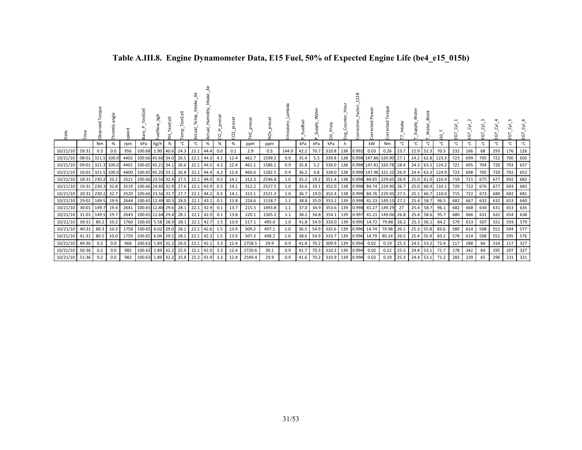| Date     |       | ð          | angle<br>Throttle | g    | estCell<br>æ      | kgh<br>uelflow_ | 盂 | E    | emp       | Humidity<br>ಕ | precat<br>8 | CO <sub>2</sub> | precat<br>Ē. | precat<br>ð. | missions | uelRail<br>щ | Supply. | Press<br>ā | Eng. | 28<br>Z<br>actor<br>έë | Power<br>ected<br>ਠ | Torque<br>orrected       | ntake | Nedn<br>G   | <b>Block</b><br>≷ | ā     | EGT | EGT | Ξ   | ĒΘ  | ίŋ.        | EGT |
|----------|-------|------------|-------------------|------|-------------------|-----------------|---|------|-----------|---------------|-------------|-----------------|--------------|--------------|----------|--------------|---------|------------|------|------------------------|---------------------|--------------------------|-------|-------------|-------------------|-------|-----|-----|-----|-----|------------|-----|
|          |       | Nm         | %                 | rpm  | kPa               | kg/h            | % | °C   | °C        | %             | %           | $\%$            | ppm          | ppm          |          | kPa          | kPa     | kPa        |      |                        | kW                  | Nm                       | ℃     | °C          | °C                | °C    | °C  | °C  | °C  | °С  | °C         | °C  |
| 10/21/10 | 59:31 | 0.3        | 0.0               | 956  | 100.68 1.90 40.6  |                 |   | 24.3 | 22.1      | 44.4          | 0.0         | 0.1             | 2.9          | 0.5          | 144.9    | 42.2         | 70.7    | 310.8      | 138  | 0.992                  | 0.03                | 0.26                     | 23.7  | 22.9 52.3   |                   | 70.3  | 232 | 166 | 68  | 293 | 176        | 126 |
| 10/21/10 | 08:01 |            | 321.5 100.0       | 4402 | 100.66 45.60 34.0 |                 |   | 26.5 | 22.1      | 144.3         | 4.1         | 12.4            | 461.7        | 1599.2       | 0.9      | 35.4         | 5.3     | 339.8      | 138  |                        |                     | 0.998 147.86 320.90 27.1 |       | 24.2 62.8   |                   | 123.3 | 723 | 699 | 705 | 722 | <b>700</b> | 650 |
| 10/21/10 | 09:01 |            | 321.3 100.0       | 4401 | 100.65 45.21 34.1 |                 |   | 26.6 | 22.1      | 44.5          | 4.2         | 12.4            | 461.1        | 1586.1       | 0.9      | 35.8         | 5.2     | 339.0      | 138  |                        | 0.998 147.81        | 320.78 28.4              |       | 24.3 63.2   |                   | 124.2 | 721 | 695 | 704 | 720 | 703        | 657 |
| 10/21/10 | 10:01 | 321.5      | 100.0             | 4400 | 100.65 45.20 33.1 |                 |   | 26.8 | 22.1 44.4 |               | 4.2         | 12.4            | 460.6        | 1582.5       | 0.9      | 36.2         | 4.8     | 338.0      | 138  |                        |                     | 0.999 147.96 321.10 26.9 |       | 24.4 63.3   |                   | 124.9 | 723 | 698 | 705 | 720 | 702        | 652 |
| 10/21/10 | 18:31 | 230.2 33.2 |                   | 3521 | 100.66 23.50 32.4 |                 |   | 27.5 | 22.1 44.0 |               | 0.5         | 14.1            | 312.3        | 2546.8       | 1.0      | 35.2         | 19.2    | 351.4      | 138  | 0.998                  |                     | 84.65 229.65 26.9        |       | 25.0 61.0   |                   | 110.4 | 719 | 721 | 675 | 677 | 692        | 682 |
| 10/21/10 | 19:31 | 230.3      | 32.8              | 3519 | 100.66 24.83 31.9 |                 |   | 27.6 | 22.1 43.9 |               | 0.5         | 14.1            | 312.2        | 2527.5       | 1.0      | 33.6         | 19.1    | 352.0      | 138  | 0.998                  | 84.74               | 229.90 26.7              |       |             | 25.0 60.9         | 110.1 | 720 | 722 | 676 | 677 | 693        | 683 |
| 10/21/10 | 20:31 | 230.2 32.7 |                   | 3520 | 100.66 23.56 31.7 |                 |   | 27.7 | 22.1 44.2 |               | 0.5         | 14.1            | 313.1        | 2521.3       | 1.0      | 36.7         | 19.0    | 352.4      | 138  | 0.999                  | 84.76               | 229.95 27.5              |       | 25.1        | 60.7              | 110.0 | 715 | 722 | 673 | 680 | 692        | 681 |
| 10/21/10 | 29:01 | 149.5 19.9 |                   | 2644 | 100.65 12.49 30.3 |                 |   | 28.0 | 22.1 43.1 |               | 0.1         | 13.8            | 224.6        | 1518.7       | 1.1      | 38.8         | 35.0    | 353.2      | 139  | 0.998                  | 41.23               | 149.15 27.2              |       | 25.4 58.7   |                   | 96.5  | 682 | 667 | 632 | 632 | 653        | 640 |
| 10/21/10 | 30:01 | 149.7      | 19.4              | 2641 | 100.65 12.80 29.6 |                 |   | 28.1 | 22.1 42.9 |               | 0.1         | 13.7            | 215.5        | 1493.8       | 1.1      | 37.0         | 34.9    | 353.6      | 139  | 0.998                  | 41.27               | 149.29 27                |       | 25.4        | 58.7              | 96.1  | 682 | 668 | 630 | 631 | 653        | 635 |
| 10/21/10 | 31:01 | 149.5 19.7 |                   | 2643 | 100.65 12.64 29.4 |                 |   | 28.1 | 22.1 42.9 |               | 0.1         | 13.8            | 220.1        | 1505.2       | 1.1      | 38.2         | 34.8    | 354.1      | 139  |                        | $0.997$ 41.21       | 149.06 26.8              |       | 25.4 58.6   |                   | 95.7  | 680 | 666 | 631 | 632 | 654        | 638 |
| 10/21/10 | 39:31 | 80.2       | 10.2              | 1760 | 100.65 5.58 28.9  |                 |   | 28.1 | 22.1      | 42.7          | 1.5         | 13.9            | 517.1        | 495.0        | 1.0      | 41.8         | 54.9    | 333.0      | 139  | 0.995                  | 14.72               | 79.88                    | 26.2  | 25.3 56.1   |                   | 84.2  | 579 | 613 | 507 | 551 | 593        | 579 |
| 10/21/10 | 40:31 | 80.3       | 10.3              | 1758 | 100.65 6.02 29.0  |                 |   | 28.1 | 22.1 42.6 |               | 1.5         | 13.9            | 509.2        | 497.1        | 1.0      | 36.5         | 54.9    | 332.6      | 139  | 0.996                  | 14.74               | 79.98                    | 26.1  | $25.3$ 55.8 |                   | 83.6  | 580 | 614 | 508 | 551 | 594        | 577 |
| 10/21/10 | 41:31 | 80.5       | 10.0              | 1759 | 100.65 6.04 29.5  |                 |   | 28.1 | 22.1 42.3 |               | 1.5         | 13.9            | 507.3        | 498.2        | 1.0      | 38.6         | 54.9    | 333.7      | 139  | 0.996                  | 14.79               | 80.24                    | 26.5  | 25.4 55.9   |                   | 83.2  | 578 | 614 | 508 | 551 | 595        | 576 |
| 10/21/10 | 49:36 | 0.2        | 0.0               | 968  | 100.63 1.89 32.2  |                 |   | 26.0 | 22.1 42.1 |               | 3.3         | 12.4            | 2758.5       | 29.9         | 0.9      | 41.8         | 70.2    | 309.9      | 139  | 0.994                  | 0.02                | 0.19                     | 25.3  | 24.5 53.2   |                   | 72.4  | 117 | 288 | 64  | 314 | 117        | 327 |
| 10/21/10 | 50:36 | 0.2        | 0.0               | 982  | 100.63 1.89 32.2  |                 |   | 25.9 | 22.1      | 42.0          | 3.3         | 12.4            | 2720.6       | 30.1         | 0.9      | 41.7         | 70.3    | 310.3      | 139  | 0.994                  | 0.02                | 0.22                     | 25.3  | 24.4 53.1   |                   | 71.7  | 178 | 342 | 64  | 295 | 207        | 327 |
| 10/21/10 | 51:36 | 0.2        | 0.0               | 982  | 100.63 1.89 32.2  |                 |   | 25.8 | 22.2 41.9 |               | 3.3         | 12.4            | 2549.4       | 29.9         | 0.9      | 41.6         |         | 70.2 310.9 | 139  | 0.994                  | 0.02                | 0.19                     | 25.3  | 24.4 53.1   |                   | 71.2  | 283 | 239 | 65  | 296 | 231        | 321 |

# **Table A.III.8. Engine Dynamometer Data, E15 Fuel, 50% of Expected Engine Life (be4\_e15\_015b)**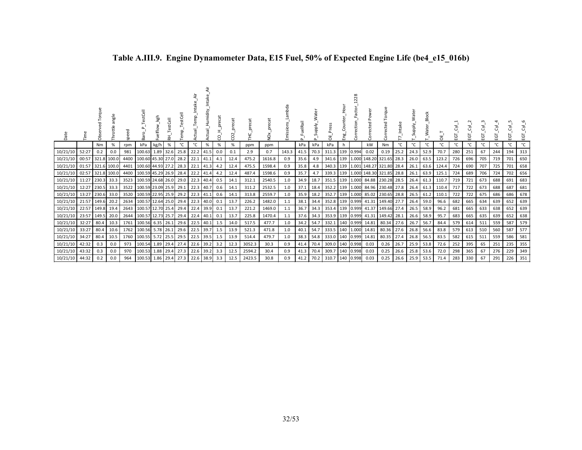| Date     |                  | orque<br>රි | angle<br><b>Throttle</b> | speed | estCell<br>Baro                     | kgh         | estCell<br>푿 |      |             | Humidity<br>al<br>9<br>ă | precat<br>႙ | precat<br>$\mathbf{a}$<br>S | precat | precat<br>ð | Lambda<br>Emissions | FuelRail<br>$\Omega$ | Supply. | Press<br>ā      | Eng. | 28        | Power<br>Corrected | Torque<br>rected<br>δ              | Intake | Supply. | Block<br>Water_ | $\overline{5}$ | ĒΘ  | ĒΘ  | EGT | EGT | ġ   | $\overline{\delta}$<br>EGT |
|----------|------------------|-------------|--------------------------|-------|-------------------------------------|-------------|--------------|------|-------------|--------------------------|-------------|-----------------------------|--------|-------------|---------------------|----------------------|---------|-----------------|------|-----------|--------------------|------------------------------------|--------|---------|-----------------|----------------|-----|-----|-----|-----|-----|----------------------------|
|          |                  | Nm          | %                        | rpm   | kPa                                 | kg/h        | %            | °C   | °C          | $\%$                     | %           | $\%$                        | ppm    | ppm         |                     | kPa                  | kPa     | kPa             |      |           | kW                 | Nm                                 | °C     | °c      | °C              | °C             | °C  | °C  | °C  | ۰c  |     | $^{\circ}$ C               |
| 10/21/10 | 52:27            | 0.2         | 0.0                      | 981   | 100.63                              |             | 1.89 32.6    | 25.8 |             | 22.2 41.5                | 0.0         | 0.1                         | 2.9    | 0.7         | 143.3               | 41.5                 | 70.3    | 311.3           |      | 139 0.994 | 0.02               | 0.19                               | 25.2   | 24.3    | 52.9            | 70.7           | 280 | 251 | 67  | 244 | 194 | 313                        |
| 10/21/10 | 00:57            |             | 321.8 100.0              | 4400  | 100.60 45.30 27.0                   |             |              | 28.2 | $22.1$ 41.1 |                          | 4.1         | 12.4                        | 475.2  | 1616.8      | 0.9                 | 35.6                 | 4.9     | 341.6           |      |           |                    | 139 1.000 148.20 321.65 28.3       |        |         | 26.0 63.5       | 123.2          | 726 | 696 | 705 | 719 | 701 | 650                        |
| 10/21/10 | 01:57            |             | 321.6 100.0              | 4401  | 100.60 44.93 27.2                   |             |              | 28.3 |             | 22.1 41.3                | 4.2         | 12.4                        | 475.5  | 1598.4      | 0.9                 | 35.8                 | 4.8     | 340.3           |      | 139 1.001 |                    | 148.27 321.80                      | 28.4   | 26.1    | 63.6            | 124.4          | 724 | 690 | 707 | 725 | 701 | 658                        |
| 10/21/10 | 02:57            |             | 321.8 100.0              | 4400  | 100.59 45.29 26.9                   |             |              | 28.4 | 22.2 41.4   |                          | 4.2         | 12.4                        | 487.4  | 1598.6      | 0.9                 | 35.7                 | 4.7     |                 |      |           |                    | 339.3 139 1.000 148.30 321.85 28.8 |        | 26.1    | 63.9            | 125.1          | 724 | 689 | 706 | 724 | 702 | 656                        |
| 10/21/10 | 11:27            |             | 230.3 33.3               | 3523  | 100.59 24.68 26.0                   |             |              | 29.0 |             | 22.3 40.4                | 0.5         | 14.1                        | 312.1  | 2540.5      | 1.0                 | 34.9                 | 18.7    | 351.5           |      | 139 1.000 |                    | 84.88 230.28 28.5                  |        | 26.4    | 61.3            | 110.7          | 719 | 721 | 673 | 688 | 691 | 683                        |
| 10/21/10 | 12:27            | 230.5 33.3  |                          | 3522  | 100.59 23.09 25.9                   |             |              | 29.1 | 22.3 40.7   |                          | 0.6         | 14.1                        | 311.2  | 2532.5      | 1.0                 | 37.1                 | 18.4    | 352.2           |      | 139 1.000 |                    | 84.96 230.48 27.8                  |        | 26.4    | 61.3            | 110.4          | 717 | 722 | 673 | 688 | 687 | 681                        |
| 10/21/10 | 13:27            | 230.6 33.0  |                          | 3520  | 100.59 22.95 25.9                   |             |              | 29.2 | $22.3$ 41.1 |                          | 0.6         | 14.1                        | 313.8  | 2559.7      | 1.0                 | 35.9                 | 18.2    | 352.7           |      | 139 1.000 |                    | 85.02 230.65 28.8                  |        | 26.5    | 61.2            | 110.1          | 722 | 722 | 675 | 686 | 686 | 678                        |
| 10/21/10 | 21:57 149.6 20.2 |             |                          |       | 2634 100.57 12.64 25.0              |             |              | 29.4 |             | 22.3 40.0                | 0.1         | 13.7                        | 226.2  | 1482.0      | 1.1                 | 38.1                 | 34.4    | 352.8           |      | 139 0.999 |                    | 41.31 149.40 27.7                  |        | 26.4    | 59.0            | 96.6           | 682 | 665 | 634 | 639 | 652 | 639                        |
| 10/21/10 | 22:57            | 149.8       | 19.4                     | 2643  | 100.57 12.70 25.4                   |             |              | 29.4 |             | 22.4 39.9                | 0.1         | 13.7                        | 221.2  | 1469.0      | 1.1                 | 36.7                 | 34.3    | 353.4           |      | 139 0.999 |                    | 41.37 149.66 27.4                  |        | 26.5    | 58.9            | 96.2           | 681 | 665 | 633 | 638 | 652 | 639                        |
| 10/21/10 | 23:57            | 149.5       | 20.0                     | 2644  | 100.57 12.73 25.7                   |             |              | 29.4 | 22.4 40.1   |                          | 0.1         | 13.7                        | 225.8  | 1470.4      | 1.1                 | 37.6                 | 34.3    | 353.9 139 0.999 |      |           |                    | 41.31 149.42 28.1                  |        | 26.6    | 58.9            | 95.7           | 683 | 665 | 635 | 639 | 652 | 638                        |
| 10/21/10 | 32:27            | 80.4        | 10.3                     | 1761  | 100.56                              | $6.35$ 26.1 |              | 29.6 | $22.5$ 40.1 |                          | 1.5         | 14.0                        | 517.5  | 477.7       | 1.0                 | 34.2                 | 54.7    | 332.1           |      | 140 0.999 | 14.81              | 80.34 27.6                         |        | 26.7    | 56.7            | 84.4           | 579 | 614 | 511 | 559 | 587 | 579                        |
| 10/21/10 | 33:27            | 80.4        | 10.6                     | 1762  | 100.56 5.78 26.1                    |             |              | 29.6 | 22.5 39.7   |                          | 1.5         | 13.9                        | 521.3  | 471.8       | 1.0                 | 40.1                 | 54.7    | 333.5           |      | 140 1.000 | 14.81              | 80.36 27.6                         |        | 26.8    | 56.6            | 83.8           | 579 | 613 | 510 | 560 | 587 | 577                        |
| 10/21/10 | 34:27            | 80.4        | 10.5                     | 1760  | 100.55                              |             | 5.72 25.5    | 29.5 | 22.5 39.5   |                          | 1.5         | 13.9                        | 514.4  | 479.7       | 1.0                 | 38.3                 | 54.8    | 333.0           |      | 140 0.999 | 14.81              | 80.35 27.4                         |        | 26.8    | 56.5            | 83.5           | 582 | 615 | 511 | 559 | 586 | 581                        |
| 10/21/10 | 42:32            | 0.3         | 0.0                      | 973   | 100.54                              |             | 1.89 29.4    | 27.4 | 22.6 39.2   |                          | 3.2         | 12.3                        | 3052.3 | 30.3        | 0.9                 | 41.4                 | 70.4    | 309.0           |      | 140 0.998 | 0.03               | 0.26                               | 26.7   | 25.9    | 53.8            | 72.6           | 252 | 395 | 65  | 251 | 235 | 355                        |
| 10/21/10 | 43:32            | 0.3         | 0.0                      | 970   | 100.53                              |             | 1.88 29.4    | 27.3 | 22.6 39.2   |                          | 3.3         | 12.5                        | 2594.2 | 30.4        | 0.9                 | 41.3                 | 70.4    | 309.7           |      | 140 0.998 | 0.03               | 0.25                               | 26.6   | 25.8    | 53.6            | 72.0           | 298 | 365 | 67  | 276 | 229 | 349                        |
| 10/21/10 | 44:32            | 0.2         | 0.0                      | 964   | 100.53 1.86 29.4 27.3 22.6 38.9 3.3 |             |              |      |             |                          |             | 12.5                        | 2423.5 | 30.8        | 0.9                 | 41.2                 |         | 70.2 310.7      |      | 140 0.998 | 0.03               | 0.25                               | 26.6   |         | 25.9 53.5       | 71.4           | 283 | 330 | 67  | 291 | 226 | 351                        |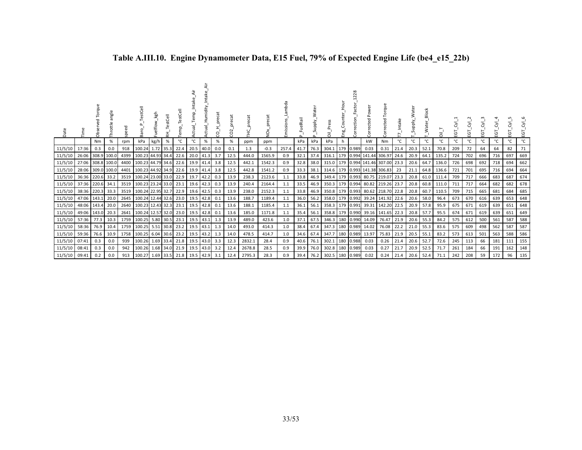| Date            |                  | Torque<br>ᄝ<br>Obsei | angle<br>Throttle | speed | estCell<br>능           | Fuelflow_kgh | $\overline{c}$<br>Test<br>φ. |                | _Temp_Intak<br>Actual | Humidity_<br>Actual_ | 8     | precat<br>$\sim$<br>g | precat<br>FHC. | NOX    | Lambda<br>Emissions | uelRail | Water<br>Supply. | 히         | Hour<br>Eng. | 28<br>Correction | Pow<br><b>Corrected</b> | Torque<br>Corrected      |      | ater<br>Viddin | <b>Block</b><br>_Water_ | ᅙ     | ΕGΤ | ΕGΤ | ৳<br>ũ. | ĒΘ  | ৳<br>ய | Σ.<br>EGT |
|-----------------|------------------|----------------------|-------------------|-------|------------------------|--------------|------------------------------|----------------|-----------------------|----------------------|-------|-----------------------|----------------|--------|---------------------|---------|------------------|-----------|--------------|------------------|-------------------------|--------------------------|------|----------------|-------------------------|-------|-----|-----|---------|-----|--------|-----------|
|                 |                  | Nm                   | $\%$              | rpm   | kPa                    | kg/h         | %                            | °C             | °C                    | %                    | %     | %                     | ppm            | ppm    |                     | kPa     | kPa              | kPa       | h            |                  | kW                      | Nm                       | °C   | °C             | °C                      | °C    | °C  | °C  | °C      | °C  | °C     | °C        |
| 11/5/10         | 17:36            | 0.3                  | 0.0               | 918   | 100.24                 | 1.72         | $-35.3$                      | 22.4           | 20.5                  | 40.0                 | 0.0   | 0.1                   | 1.3            | $-0.3$ | 257.4               | 41.7    | 76.3             | 304.1     | 179          | 0.989            | 0.03                    | 0.31                     | 21.4 | 20.3           | 52.1                    | 70.8  | 209 | 72  | 64      | 64  | 82     | 71        |
| 11/5/10         | 26:06            |                      | 308.9 100.0       | 4399  | 100.23 44.93 34.4      |              |                              | 22.6           | 20.0                  | 41.3                 | 3.7   | 12.5                  | 444.0          | 1565.9 | 0.9                 | 32.1    | 37.4             | 316.1     | 179          |                  |                         | 0.994 141.44 306.97      | 24.6 | 20.9           | 64.1                    | 135.2 | 724 | 702 | 696     | 716 | 697    | 669       |
| 11/5/10         | 27:06            |                      | 308.8 100.0       | 4400  | 100.23 44.79 34.6      |              |                              | 22.6           | 19.9                  | 41.4                 | 3.8   | 12.5                  | 442.1          | 1542.3 | 0.9                 | 32.8    | 38.0             | 315.0     | 179          |                  |                         | 0.994 141.46 307.00 23.3 |      | 20.6           | 64.7                    | 136.0 | 726 | 698 | 692     | 718 | 694    | 662       |
| 11/5/10         | 28:06            |                      | 309.0 100.0       | 4401  | 100.23 44.92 34.9      |              |                              | 22.6           | 19.9                  | 41.4                 | 3.8   | 12.5                  | 442.8          | 1541.2 | 0.9                 | 33.3    | 38.1             | 314.6     | 179          |                  |                         | 0.993 141.38 306.83      | 23   | 21.1           | 64.8                    | 136.6 | 721 | 701 | 695     | 716 | 694    | 664       |
| 11/5/10         | 36:36 220.6 33.2 |                      |                   | 3519  | 100.24 23.00 33.0      |              |                              | 22.9           | 19.7                  | 42.2                 | 0.3   | 13.9                  | 238.3          | 2123.6 | 1.1                 | 33.8    | 46.9             | 349.4     | 179          |                  | 0.993 80.75 219.07      |                          | 23.3 | 20.8           | 61.0                    | 111.4 | 709 | 717 | 666     | 683 | 687    | 674       |
| 11/5/10         | 37:36 220.6 34.1 |                      |                   |       | 3519 100.23 23.24 33.0 |              |                              | 23.1           | 19.6                  | 42.3                 | 0.3   | 13.9                  | 240.4          | 2164.4 | 1.1                 | 33.5    | 46.9             | 350.3     | 179          |                  |                         | 0.994 80.82 219.26 23.7  |      | 20.8           | 60.8                    | 111.0 | 711 | 717 | 664     | 682 | 682    | 678       |
| 11/5/10         | 38:36 220.3 33.3 |                      |                   |       | 3519 100.24 22.95 32.7 |              |                              | 22.9           | 19.6                  | 42.5                 | 0.3   | 13.9                  | 238.0          | 2152.3 | 1.1                 | 33.8    | 46.9             | 350.8     | 179          |                  |                         | 0.993 80.62 218.70 22.8  |      | 20.8           | 60.7                    | 110.5 | 709 | 715 | 665     | 681 | 684    | 685       |
| 11/5/10         | 47:06 143.1      |                      | 20.0              |       | 2645 100.24 12.44 32.6 |              |                              | 23.0           | 19.5                  | 42.8                 | 0.1   | 13.6                  | 188.7          | 1189.4 | 1.1                 |         | $36.0$ 56.2      | 358.0 179 |              |                  |                         | 0.992 39.24 141.92 22.6  |      | 20.6           | 58.0                    | 96.4  | 673 | 670 | 616     | 639 | 653    | 648       |
| 11/5/10         | 48:06 143.4      |                      | 20.0              |       | 2640 100.23 12.43 32.3 |              |                              | 23.1           | 19.5                  | 42.8                 | 0.1   | 13.6                  | 188.1          | 1185.4 | 1.1                 |         | 36.1 56.1        | 358.3 179 |              |                  |                         | 0.991 39.31 142.20 22.5  |      | 20.9           | 57.8                    | 95.9  | 675 | 671 | 619     | 639 | 651    | 648       |
| 11/5/10         | 49:06 143.0      |                      | 20.3              |       | 2641 100.24 12.57 32.0 |              |                              | 23.0           |                       | 19.5 42.8            | 0.1   | 13.6                  | 185.0          | 1171.8 | 1.1                 |         | 35.4 56.1        | 358.8 179 |              |                  |                         | 0.990 39.16 141.65 22.3  |      | 20.8           | 57.7                    | 95.5  | 674 | 671 | 619     | 639 | 651    | 649       |
| 11/5/10         | 57:36            | 77.3                 | 10.3              |       | 1759 100.25            |              | 5.80 30.5                    | 23.1           | 19.5                  | 43.1                 | - 1.3 | 13.9                  | 489.0          | 423.6  | 1.0                 | 37.1    | 67.5             | 346.3     | 180          | 0.990            | 14.09                   | 76.47                    | 21.9 | 20.6           | 55.3                    | 84.2  | 575 | 612 | 500     | 561 | 587    | 588       |
| 11/5/10         | 58:36            | 76.9                 | 10.4              |       | 1759 100.25            |              | 5.51 30.8                    | 23.2           | 19.5                  | 43.1                 | 1.3   | 14.0                  | 493.0          | 414.3  | 1.0                 |         | 38.4 67.4        | 347.3     | 180          | 0.989            | 14.02                   | 76.08                    | 22.2 | 21.0           | 55.3                    | 83.6  | 575 | 609 | 498     | 562 | 587    | 587       |
| 11/5/10         | 59:36            | 76.6                 | 10.9              | 1758  | 100.25                 | 6.04         | 30.6                         | 23.2           | 19.5                  | 43.2                 |       | 14.0                  | 478.5          | 414.7  | 1.0                 | 34.6    | 67.4             | 347.7     | 180          | 0.989            | 13.97                   | 75.83                    | 21.9 | 20.5           | 55.1                    | 83.2  | 573 | 613 | 501     | 563 | 588    | 586       |
| 11/5/10         | 07:41            | 0.3                  | 0.0               | 939   | 100.26                 |              |                              | 1.69 33.4 21.8 |                       | 19.5 43.0            | 3.3   | 12.3                  | 2832.1         | 28.4   | 0.9                 | 40.6    | 76.1             | 302.1     | 180          | 0.988            | 0.03                    | 0.26                     | 21.4 | 20.6           | 52.7                    | 72.6  | 245 | 113 | 66      | 181 | 111    | 155       |
| 11/5/10         | 08:41            | 0.3                  | 0.0               | 942   | 100.26                 | 1.68         | 34.0                         | 21.9           | 19.5                  | 43.0                 | 3.2   | 12.4                  | 2678.8         | 28.5   | 0.9                 | 39.9    | 76.0             | 302.8     | 180          | 0.989            | 0.03                    | 0.27                     | 21.7 | 20.9           | 52.5                    | 71.7  | 261 | 184 | 66      | 191 | 162    | 148       |
| $11/5/10$ 09:41 |                  | 0.2                  | 0.0               | 913   | 100.27                 |              | 1.69 33.5                    | 21.8           | 19.5                  | 42.9                 | 3.1   | 12.4                  | 2795.3         | 28.3   | 0.9                 | 39.4    | 76.2             | 302.5 180 |              | 0.989            | 0.02                    | 0.24                     | 21.4 | 20.6           | 52.4                    | 71.1  | 242 | 208 | 59      | 172 | 96     | 135       |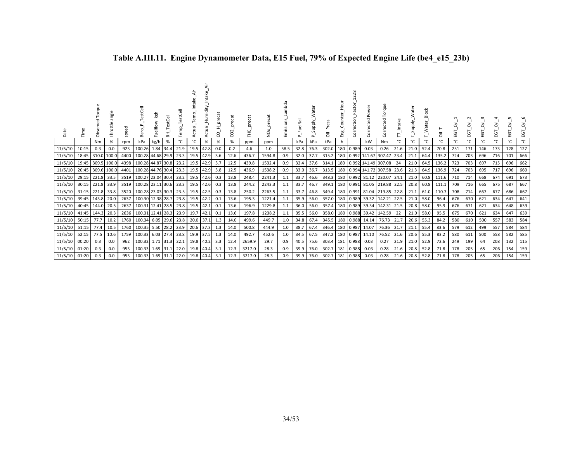| Date          | Ě           | orque<br>ರ<br>Obs | angle<br>Throttle | speed | estCell<br>Bar         | Fuelflow_kgh | estCell<br>۴<br>盂 | TestC<br>Temp_ | ä٢<br>Actual_Temp | Actual_Humidity | precat<br>႙ | precat<br>CO <sub>2</sub> | precat<br>노<br>도 | $\check{\mathrm{Q}}$ | Lambda<br>Emissions | FuelRail<br>$\Omega$ | Supply.<br>$\sim$ | Press<br>ᄛ | Eng. | 28<br>$\sim$<br>Correction | Power<br>Corrected          | Torque<br>ected |      | Supply. | _Water_Block | $\overline{a}$ | <u>یں</u> | EGT | EGT | Ξg  | Σ,<br>Ξg | $\overline{\delta}$<br>EGT. |
|---------------|-------------|-------------------|-------------------|-------|------------------------|--------------|-------------------|----------------|-------------------|-----------------|-------------|---------------------------|------------------|----------------------|---------------------|----------------------|-------------------|------------|------|----------------------------|-----------------------------|-----------------|------|---------|--------------|----------------|-----------|-----|-----|-----|----------|-----------------------------|
|               |             | Nm                | %                 | rpm   | kPa                    | kg/h         | $\%$              | °C             | °C                | %               | $\%$        | $\%$                      | ppm              | ppm                  |                     | kPa                  | kPa               | kPa        | h    |                            | kW                          | Nm              | °C   | °C      | °C           | °C             | °C        | °C  | °C  | °C  | °C       | °C                          |
| 11/5/10       | 10:15       | 0.3               | 0.0               | 923   | 100.26                 |              | 1.84 34.4         | 21.9           |                   | 19.5 42.8       | 0.0         | 0.2                       | 4.6              | 1.0                  | 58.5                | 32.8                 | 76.3              | 302.0      | 180  | 0.989                      | 0.03                        | 0.26            | 21.6 | 21.0    | 52.4         | 70.8           | 251       | 171 | 146 | 173 | 128      | 127                         |
| 11/5/10       | 18:45       | 310.0             | 100.0             | 4400  | 100.28 44.68 29.9 23.3 |              |                   |                |                   | 19.5 42.9       | 3.6         | 12.6                      | 436.7            | 1594.8               | 0.9                 | 32.0                 | 37.7              | 315.2      | 180  |                            | 0.992 141.67                | 307.47          | 23.4 | 21.1    | 64.4         | 135.2          | 724       | 703 | 696 | 716 | 701      | 666                         |
| 11/5/10       | 19:45       |                   | 309.5 100.0       | 4398  | 100.28 44.87 30.8      |              |                   | 23.2           |                   | 19.5 42.9       | 3.7         | 12.5                      | 439.8            | 1532.4               | 0.9                 | 32.4                 | 37.6              | 314.1      |      |                            | 180 0.992 141.49 307.08     |                 | 24   | 21.0    | 64.5         | 136.2          | 723       | 703 | 697 | 715 | 696      | 662                         |
| 11/5/10       | 20:45       | 309.6 100.0       |                   | 4401  | 100.28 44.76 30.4      |              |                   | 23.3           |                   | 19.5 42.9       | 3.8         | 12.5                      | 436.9            | 1538.2               | 0.9                 | 33.0                 | 36.7              | 313.5      |      |                            | 180 0.994 141.72 307.58     |                 | 23.6 | 21.3    | 64.9         | 136.9          | 724       | 703 | 695 | 717 | 696      | 660                         |
| 11/5/10       |             | 29:15 221.8       | 33.5              | 3519  | 100.27 23.04 30.4      |              |                   | 23.2           |                   | 19.5 42.6       | 0.3         | 13.8                      | 248.4            | 2241.3               | 1.1                 | 33.7                 | 46.6              | 348.3      |      |                            | 180 0.992 81.12             | 220.07          | 24.1 | 21.0    | 60.8         | 111.6          | 710       | 714 | 668 | 674 | 691      | 673                         |
| 11/5/10       | 30:15 221.8 |                   | 33.9              | 3519  | 100.28 23.11 30.6      |              |                   | 23.3           |                   | 19.5 42.6       | 0.3         | 13.8                      | 244.2            | 2243.3               | 1.1                 | 33.7                 | 46.7              | 349.1      |      |                            | 180 0.991 81.05 219.88 22.5 |                 |      | 20.8    | 60.8         | 111.1          | 709       | 716 | 665 | 675 | 687      | 667                         |
| 11/5/10       | 31:15 221.8 |                   | 33.8              | 3520  | 100.28 23.03 30.3      |              |                   | 23.5           |                   | 19.5 42.5       | 0.3         | 13.8                      | 250.2            | 2263.5               | 1.1                 | 33.7                 | 46.8              | 349.4      |      |                            | 180 0.991 81.04 219.85      |                 | 22.8 | 21.1    | 61.0         | 110.7          | 708       | 714 | 667 | 677 | 686      | 667                         |
| 11/5/10       | 39:45 143.8 |                   | 20.0              | 2637  | 100.30 12.38 28.7 23.8 |              |                   |                |                   | 19.5 42.2       | 0.1         | 13.6                      | 195.3            | 1221.4               | 1.1                 | 35.9                 | 56.0              | 357.0      |      |                            | 180 0.989 39.32 142.21      |                 | 22.5 | 21.0    | 58.0         | 96.4           | 676       | 670 | 621 | 634 | 647      | 641                         |
| 11/5/10       |             | 40:45 144.0       | 20.5              | 2637  | 100.31 12.41 28.5      |              |                   | 23.8           |                   | 19.5 42.1       | 0.1         | 13.6                      | 196.9            | 1229.8               | 1.1                 | 36.0                 | 56.0              | 357.4      |      |                            | 180 0.989 39.34 142.31      |                 | 21.5 | 20.8    | 58.0         | 95.9           | 676       | 671 | 621 | 634 | 648      | 639                         |
| 11/5/10       | 41:45 144.3 |                   | 20.3              | 2636  | 100.31 12.41 28.3      |              |                   | 23.9           |                   | 19.7 42.1       | 0.1         | 13.6                      | 197.8            | 1238.2               | 1.1                 | 35.5                 | 56.0              | 358.0      |      |                            | 180 0.988 39.42 142.59      |                 | 22   | 21.0    | 58.0         | 95.5           | 675       | 670 | 621 | 634 | 647      | 639                         |
| 11/5/10       | 50:15       | 77.7              | 10.2              | 1760  | 100.34                 | 6.05 29.6    |                   | 23.8           |                   | 20.0 37.1       | 1.3         | 14.0                      | 499.6            | 449.7                | 1.0                 | 34.8                 | 67.4              | 345.5      |      |                            | 180 0.988 14.14             | 76.73           | 21.7 | 20.6    | 55.3         | 84.2           | 580       | 610 | 500 | 557 | 583      | 584                         |
| 11/5/10 51:15 |             | 77.4              | 10.5              | 1760  | 100.35                 |              |                   | 5.50 28.2 23.9 |                   | 20.6 37.3 1.3   |             | 14.0                      | 500.8            | 444.9                | 1.0                 | 38.7                 | 67.4              | 346.4      |      | 180 0.987                  | 14.07                       | 76.36           | 21.7 | 21.1    | 55.4         | 83.6           | 579       | 612 | 499 | 557 | 584      | 584                         |
| 11/5/10       | 52:15       | 77.5              | 10.6              | 1759  | 100.33                 | 6.03 27.4    |                   | 23.8           |                   | 19.9 37.5       | 1.3         | 14.0                      | 492.7            | 452.6                | 1.0                 | 34.5                 | 67.5              | 347.2      |      | 180 0.987                  | 14.10                       | 76.52           | 21.6 | 20.6    | 55.3         | 83.2           | 580       | 611 | 500 | 558 | 582      | 585                         |
| 11/5/10       | 00:20       | 0.3               | 0.0               | 962   | 100.32                 |              |                   | 1.71 31.3 22.1 |                   | 19.8 40.2 3.3   |             | 12.4                      | 2659.9           | 29.7                 | 0.9                 | 40.5                 | 75.6              | 303.4      |      | 181 0.988                  | 0.03                        | 0.27            | 21.9 | 21.0    | 52.9         | 72.6           | 249       | 199 | 64  | 208 | 132      | 115                         |
| 11/5/10       | 01:20       | 0.3               | 0.0               | 953   | 100.33                 |              | 1.69 31.1         | 22.0           |                   | 19.8 40.4       | 3.1         | 12.3                      | 3217.0           | 28.3                 | 0.9                 | 39.9                 | 76.0              | 302.7      | 181  | 0.988                      | 0.03                        | 0.28            | 21.6 | 20.8    | 52.8         | 71.8           | 178       | 205 | 65  | 206 | 154      | 159                         |
| 11/5/10 01:20 |             | 0.3               | 0.0               | 953   | 100.33 1.69 31.1       |              |                   | 22.0           |                   | 19.8 40.4 3.1   |             | 12.3                      | 3217.0           | 28.3                 | 0.9                 | 39.9                 | 76.0              | 302.7      |      | 181 0.988                  | 0.03                        | 0.28            | 21.6 | 20.8    | 52.8         | 71.8           | 178       | 205 | 65  | 206 | 154      | 159                         |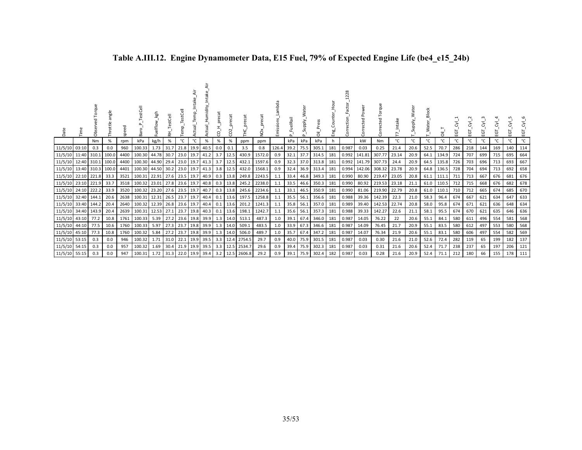| Date          |             | ð                | ăue<br>σtτi | speed | estCell                | Fuelflow_kgh | estCell |             | Tem  | ctual_Humidity<br>è | precat | 늅<br>$\sim$<br>g | precat | _precat<br>ğ | mbda<br>Emissions | FuelRail<br>$\Delta$ | Supply.<br>$\Delta$ | Press<br>淸 | H <sub>our</sub><br>Counte<br>Engi | Ñ<br>Factor<br>Correction | Power<br>Corrected |                | Intake | Supply. | Block<br>$_$ Water | គ          | EGT | EGT.         | ΕGΤ | ΕGΤ | 5<br>ш | হ'<br>EGT |
|---------------|-------------|------------------|-------------|-------|------------------------|--------------|---------|-------------|------|---------------------|--------|------------------|--------|--------------|-------------------|----------------------|---------------------|------------|------------------------------------|---------------------------|--------------------|----------------|--------|---------|--------------------|------------|-----|--------------|-----|-----|--------|-----------|
|               |             | Nm               | %           | rpm   | kPa                    | kg/h         | $\%$    | °C          | °C   | %                   | $\%$   | %                | ppm    | ppm          |                   | kPa                  | kPa                 | kPa        |                                    |                           | kW                 | N <sub>m</sub> | °C     | °C      | °C                 | °⊂         | °C  | $^{\circ}$ C | °C  | °С  | ۰c     | °C        |
| 11/5/10       | 03:10       | 0.3              | 0.0         | 960   | 100.33                 | 1.73         | 31.7    | 21.8        | 19.9 | 40.5                | 0.0    | 0.1              | 3.5    | 0.8          | 126.4             | 39.2                 | 75.5                | 305.1      | 181                                | 0.987                     | 0.03               | 0.25           | 21.4   | 20.6    | 52.5               | 70.7       | 286 | 218          | 144 | 169 | 140    | 114       |
| 11/5/10       | 11:40 310.1 |                  | 100.0       | 4400  | 100.30 44.78 30.7      |              |         | 23.0        | 19.7 | 41.2                | 3.7    | 12.5             | 430.9  | 1572.0       | 0.9               | 32.1                 | 37.7                | 314.5      | 181                                | 0.992                     | 141.81             | 307.77         | 23.14  | 20.9    | 64.1               | 134.9      | 724 | 707          | 699 | 715 | 695    | 664       |
| 11/5/10       | 12:40 310.1 |                  | 100.0       | 4400  | 100.30 44.90 29.4      |              |         | 23.0        | 19.7 | 41.3                | 3.7    | 12.5             | 432.1  | 1597.6       | 0.9               | 32.3                 | 37.0                | 313.8      | 181                                | 0.992                     |                    | 141.79 307.73  | 24.4   | 20.9    | 64.5               | 135.8      | 726 | 703          | 696 | 713 | 693    | 667       |
| 11/5/10       |             | 13:40 310.3      | 100.0       | 4401  | 100.30 44.50 30.2      |              |         | 23.0        | 19.7 | 41.3                |        | $3.8$ 12.5       | 432.0  | 1568.1       | 0.9               | 32.4                 | 36.9                | 313.4      | 181                                | 0.994                     |                    | 142.06 308.32  | 23.78  | 20.9    | 64.8               | 136.5      | 728 | 704          | 694 | 713 | 692    | 658       |
| 11/5/10       |             | 22:10 221.8      | 33.3        | 3521  | 100.31 22.91           |              | 27.6    | 23.5        | 19.7 | 40.9                |        | $0.3$ 13.8       | 249.8  | 2243.5       | 1.1               | 33.4                 | 46.8                | 349.3      | 181                                | 0.990                     | 80.90              | 219.47         | 23.05  | 20.8    | 61.1               | 111.1      | 711 | 713          | 667 | 676 | 681    | 676       |
| 11/5/10       |             | 23:10 221.9 33.7 |             | 3518  | 100.32 23.01 27.8 23.6 |              |         |             | 19.7 | 40.8                |        | $0.3$ 13.8       | 245.2  | 2238.0       | 1.1               | 33.5                 | 46.6                | 350.3      | 181                                | 0.990                     | 80.92              | 219.53 23.18   |        | 21.1    |                    | 61.0 110.5 | 712 | 715          | 668 | 676 | 682    | 678       |
| 11/5/10       | 24:10 222.2 |                  | 33.9        | 3520  | 100.32 23.20 27.6 23.5 |              |         |             | 19.7 | 40.7                |        | $0.3$ 13.8       | 245.6  | 2234.6       | 1.1               | 33.1                 | 46.5                | 350.9      | 181                                | 0.990                     | 81.06              | 219.90         | 22.79  | 20.8    | 61.0               | 110.1      | 710 | 712          | 665 | 674 | 685    | 670       |
| 11/5/10       | 32:40 144.1 |                  | 20.6        | 2638  | 100.31 12.31 26.5 23.7 |              |         |             | 19.7 | 40.4                | 0.1    | 13.6             | 197.5  | 1258.8       | 1.1               |                      | 35.5 56.1           | 356.6      | 181                                | 0.988                     |                    | 39.36 142.39   | 22.3   | 21.0    | 58.3               | 96.4       | 674 | 667          | 621 | 634 | 647    | 633       |
| 11/5/10       | 33:40 144.2 |                  | 20.4        | 2640  | 100.32                 | 12.39 26.8   |         | 23.6        | 19.7 | 40.4                | 0.1    | 13.6             | 201.2  | 1241.3       | 1.1               |                      | 35.8 56.1           | 357.0      | 181                                | 0.989                     | 39.40              | 142.53         | 22.74  | 20.8    | 58.0               | 95.8       | 674 | 671          | 621 | 636 | 648    | 634       |
| 11/5/10       | 34:40 143.9 |                  | 20.4        | 2639  | 100.31 12.53 27.1 23.7 |              |         |             | 19.8 | 40.3                | 0.1    | 13.6             | 198.1  | 1242.7       | 1.1               |                      | 35.6 56.1           | 357.3 181  |                                    | 0.988                     |                    | 39.33 142.27   | 22.6   | 21.1    | 58.1               | 95.5       | 674 | 670          | 621 | 635 | 646    | 636       |
| 11/5/10       | 43:10       | 77.2             | 10.8        | 1761  | 100.33                 | 5.39         | 27.2    | 23.6        | 19.8 | 39.9                |        | 1.3 14.0         | 513.1  | 487.3        | 1.0               | 39.1                 | 67.4                | 346.0      | 181                                | 0.987                     | 14.05              | 76.22          | 22     | 20.6    | 55.1               | 84.1       | 580 | 611          | 496 | 554 | 581    | 568       |
| 11/5/10       | 44:10 77.5  |                  | 10.6        | 1760  | 100.33                 | 5.97         | 27.3    | 23.7        | 19.8 | 39.9                |        | 1.3 14.0         | 509.1  | 483.5        | 1.0               | 33.9                 | 67.3                | 346.6 181  |                                    | 0.987                     | 14.09              | 76.45          | 21.7   | 20.9    | 55.1               | 83.5       | 580 | 612          | 497 | 553 | 580    | 568       |
| 11/5/10       | 45:10       | 77.3             | 10.8        | 1760  | 100.32                 | 5.84         | 27.2    | 23.7        | 19.8 | 39.9                |        | 1.3 14.0         | 506.0  | 489.7        | 1.0               | 35.7                 | 67.4                | 347.2      | 181                                | 0.987                     | 14.07              | 76.34          | 21.9   | 20.6    | 55.1               | 83.1       | 580 | 606          | 497 | 554 | 582    | 569       |
| 11/5/10       | 53:15       | 0.3              | 0.0         | 946   | 100.32                 | 1.71         | 31.0    | 22.1        | 19.9 | 39.5                |        | 3.3 12.4         | 2754.5 | 29.7         | 0.9               | 40.0                 | 75.9                | 301.5      | 181                                | 0.987                     | 0.03               | 0.30           | 21.6   | 21.0    | 52.6               | 72.4       | 282 | 119          | 65  | 199 | 182    | 137       |
| 11/5/10       | 54:15       | 0.3              | 0.0         | 957   | 100.32                 | 1.69         | 30.4    | 21.9        | 19.9 | 39.5                | 3.3    | 12.5             | 2534.7 | 29.6         | 0.9               | 39.4                 | 75.9                | 302.3      | 181                                | 0.987                     | 0.03               | 0.31           | 21.6   | 20.6    | 52.4               | 71.7       | 238 | 237          | 65  | 197 | 206    | 121       |
| 11/5/10 55:15 |             | 0.3              | 0.0         | 947   | 100.31                 | 1.72         |         | $31.3$ 22.0 | 19.9 | 39.4                |        | $3.2$ 12.5       | 2606.8 | 29.2         | 0.9               | 39.1                 |                     | 75.9 302.4 | 182                                | 0.987                     | 0.03               | 0.28           | 21.6   | 20.9    | 52.4               | 71.1       | 212 | 180          | 66  | 155 | 178    | 111       |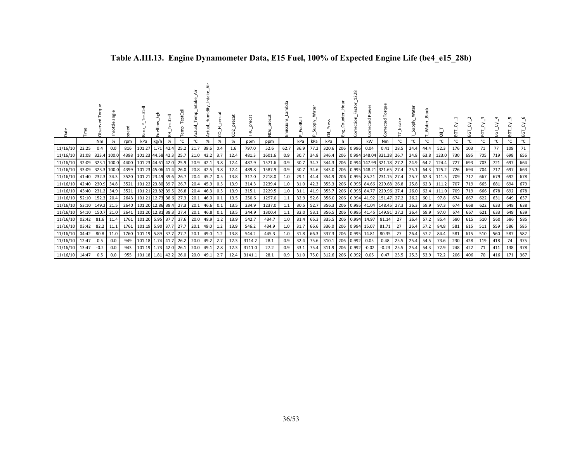| Date           |                   | ಗೆ         | ăue<br>Throttle | 8    | estCell<br>har <sub></sub> | kgh       | ₫<br>푽    | emp  | Φ         | Humidity | precat<br>g | coz  | tā     | precat<br>ð<br>Ż. | mbda<br><b>Emissions</b> | 둖<br>€Ë | ater<br>upply.<br>S. | $\overline{5}$       | ٤g<br>تا | ction<br>ō | $\Delta$<br>rected<br>š  | Torque<br>ected<br>ă |      | ater<br><b>Alddn</b><br>Ū. | <b>Block</b><br><b>Water</b> | నే    | ГÖ  | Ġ   | ن<br>m | Σ,<br>요 | Σ,<br>ĒΘ | ΣÓ<br>EGT |
|----------------|-------------------|------------|-----------------|------|----------------------------|-----------|-----------|------|-----------|----------|-------------|------|--------|-------------------|--------------------------|---------|----------------------|----------------------|----------|------------|--------------------------|----------------------|------|----------------------------|------------------------------|-------|-----|-----|--------|---------|----------|-----------|
|                |                   | Nm         | %               | rpm  | kPa                        | kg/h      | %         | °C   | °C        | $\%$     | %           | %    | ppm    | ppm               |                          | kPa     | kPa                  | kPa                  |          |            | kW                       | Nm                   | °C   | °C                         | °c                           | °C    | °C  | °C  | °C     | °C      | °C       | °C        |
| 11/16/10       | 22:25             | 0.4        | 0.0             | 816  | 101.27                     |           | 1.71 42.4 | 25.2 | 21.7      | 39.6     | 0.4         | 1.6  | 797.0  | 52.6              | 62.7                     | 36.9    | 77.2                 | 320.6                | 206      | 0.996      | 0.04                     | 0.41                 | 28.5 | 24.4                       | 44.4                         | 52.3  | 176 | 103 | 71     | 77      | 109      | 71        |
| 11/16/10       | 31:08             |            | 323.4 100.0     |      | 4398 101.23 44.58 42.3     |           |           | 25.7 | 21.0 42.2 |          | 3.7         | 12.4 | 481.3  | 1601.6            | 0.9                      | 30.7    | 34.8                 | 346.4                | 206      |            | 0.994 148.04 321.28 26.7 |                      |      |                            | 24.8 63.8                    | 123.0 | 730 | 695 | 705    | 719     | 698      | 656       |
| 11/16/10       | 32:09 323.1 100.0 |            |                 | 4400 | 101.23 44.61 42.0          |           |           | 25.9 | 20.9 42.1 |          | 3.8         | 12.4 | 487.9  | 1571.6            | 0.9                      | 30.7    | 34.7                 | 344.3                | 206      |            | 0.994 147.99 321.18 27.2 |                      |      |                            | 24.9 64.2                    | 124.4 | 727 | 693 | 703    | 721     | 697      | 664       |
| 11/16/10       | 33:09 323.3 100.0 |            |                 |      | 4399 101.23 45.06 41.4     |           |           | 26.0 | 20.8 42.5 |          | 3.8         | 12.4 | 489.8  | 1587.9            | 0.9                      | 30.7    | 34.6                 | 343.0                | 206      |            | 0.995 148.21 321.65 27.4 |                      |      | 25.1                       | 64.3                         | 125.2 | 726 | 694 | 704    | 717     | 697      | 663       |
| 11/16/10       | 41:40             | 232.3 34.3 |                 | 3520 | 101.21 23.49 39.6          |           |           | 26.7 | 20.4 45.7 |          | 0.5         | 13.8 | 317.0  | 2218.0            | 1.0                      | 29.1    | 44.4                 | 354.9                | 206      | 0.995      | 85.21                    | 231.15 27.4          |      | 25.7                       | 62.3                         | 111.5 | 709 | 717 | 667    | 679     | 692      | 678       |
| 11/16/10       | 42:40 230.9 34.8  |            |                 | 3521 | 101.22 23.80 39.7          |           |           | 26.7 | 20.4 45.9 |          | 0.5         | 13.9 | 314.3  | 2239.4            | 1.0                      | 31.0    | 42.3                 | 355.3                |          | 206 0.995  |                          | 84.66 229.68 26.8    |      |                            | 25.8 62.3                    | 111.2 | 707 | 719 | 665    | 681     | 694      | 679       |
| 11/16/10       | 43:40 231.2 34.9  |            |                 | 3521 | 101.21 23.82 39.5          |           |           | 26.8 | 20.4 46.3 |          | 0.5         | 13.9 | 315.1  | 2229.5            | 1.0                      | 31.1    | 41.9                 | 355.7                |          | 206 0.995  | 84.77                    | 229.96 27.4          |      |                            | 26.0 62.4                    | 111.0 | 709 | 719 | 666    | 678     | 692      | 678       |
| 11/16/10       | 52:10 152.3       |            | 20.4            |      | 2643 101.21 12.73 38.6     |           |           | 27.3 | 20.1 46.0 |          | 0.1         | 13.5 | 250.6  | 1297.0            | 1.1                      | 32.9    | 52.6                 | 356.0                |          | 206 0.994  |                          | 41.92 151.47 27.2    |      | 26.2                       | 60.1                         | 97.8  | 674 | 667 | 622    | 631     | 649      | 637       |
| 11/16/10       | 53:10 149.2 21.5  |            |                 | 2640 | 101.20 12.86 38.4          |           |           | 27.3 | 20.1      | 46.6     | 0.1         | 13.5 | 234.9  | 1237.0            | 1.1                      | 30.5    | 52.7                 | 356.3                |          | 206 0.995  |                          | 41.04 148.45 27.3    |      |                            | 26.3 59.9                    | 97.3  | 674 | 668 | 622    | 633     | 648      | 638       |
| 11/16/10       | 54:10 150.7 21.0  |            |                 | 2641 | 101.20 12.81 38.3          |           |           | 27.4 | 20.1      | 46.8     | 0.1         | 13.5 | 244.9  | 1300.4            | 1.1                      | 32.0    | 53.1                 | 356.5                |          | 206 0.995  |                          | 41.45 149.91 27.2    |      |                            | 26.4 59.9                    | 97.0  | 674 | 667 | 621    | 633     | 649      | 639       |
| 11/16/10       | 02:42             | 81.6       | 11.4            | 1761 | 101.20                     |           | 5.95 37.7 | 27.6 | 20.0      | 48.9     | 1.2         | 13.9 | 542.7  | 434.7             | 1.0                      | 31.4    | 65.3                 | 335.5                | 206      | 0.994      | 14.97                    | 81.14                | 27   |                            | 26.4 57.2                    | 85.4  | 580 | 615 | 510    | 560     | 586      | 585       |
| 11/16/10       | 03:42             | 82.2       | 11.1            | 1761 | 101.19                     |           | 5.90 37.7 | 27.7 | 20.1      | 49.0     | 1.2         | 13.9 | 546.2  | 434.9             | 1.0                      | 31.7    |                      | 66.6 336.0           |          | 206 0.994  | 15.07                    | 81.71                | 27   | 26.4 57.2                  |                              | 84.8  | 581 | 615 | 511    | 559     | 586      | 585       |
| 11/16/10       | 04:42             | 80.8       | 11.0            | 1760 | 101.19                     |           | 5.89 37.7 | 27.7 | 20.1      | 49.0     | 1.2         | 13.8 | 544.2  | 445.3             | 1.0                      | 31.8    | 66.3                 | 337.3                |          | 206 0.995  | 14.81                    | 80.35                | 27   | 26.4 57.2                  |                              | 84.4  | 581 | 615 | 510    | 560     | 587      | 582       |
| 11/16/10       | 12:47             | 0.5        | 0.0             | 949  | 101.18                     | 1.74 41.7 |           | 26.2 | 20.0      | 49.2     | 2.7         | 12.3 | 3114.2 | 28.1              | 0.9                      | 32.4    | 75.6                 | 310.1                |          | 206 0.992  | 0.05                     | 0.48                 | 25.5 |                            | 25.4 54.5                    | 73.6  | 230 | 428 | 119    | 418     | 74       | 375       |
| 11/16/10       | 13:47             | $-0.2$     | 0.0             | 943  | 101.19                     |           | 1.73 42.0 | 26.1 | 20.0      | 49.1     | 2.8         | 12.3 | 3711.0 | 27.2              | 0.9                      | 33.1    | 75.4                 | 311.9                |          | 206 0.992  | $-0.02$                  | $-0.23$              | 25.5 |                            | 25.4 54.3                    | 72.9  | 248 | 422 | 71     | 411     | 138      | 378       |
| 11/16/10 14:47 |                   | 0.5        | 0.0             | 955  | 101.18 1.81 42.2           |           |           | 26.0 | 20.0 49.1 |          | 2.7         | 12.4 | 3141.1 | 28.1              | 0.9                      | 31.0    |                      | 75.0 312.6 206 0.992 |          |            | 0.05                     | 0.47                 | 25.5 | 25.3                       | 53.9                         | 72.2  | 206 | 406 | 70     | 416     | 171      | 367       |

# **Table A.III.13. Engine Dynamometer Data, E15 Fuel, 100% of Expected Engine Life (be4\_e15\_28b)**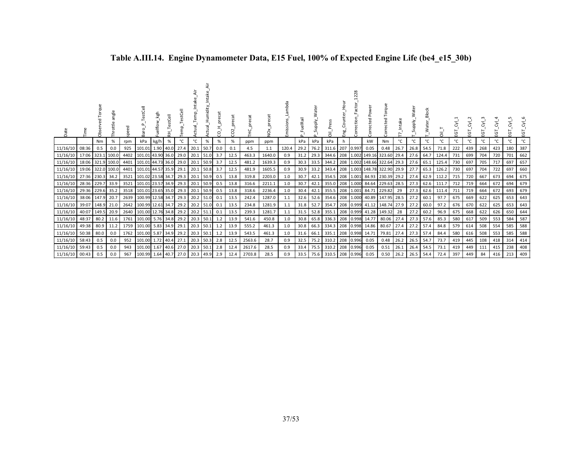| Date           |       | å     | ăng         | speed | estCell                | kgh       | 王         |      | ξ           | Humidity<br>Actual | ā<br>pre<br>O<br>Ō | $\sim$<br>g |        | δ×     | Emissions | FuelRail<br>$\Omega$ | Supply. | ਨੋਂ                  |    | 28<br>š         | ected                        | Torque<br>ected                    |      | Supply    | Water | ⊼້    | ᠋᠖  | EGT | ĒΘ  | ш.  | ਨੋਂ<br>5<br>ய | ਣਂ<br>ΕGΤ |
|----------------|-------|-------|-------------|-------|------------------------|-----------|-----------|------|-------------|--------------------|--------------------|-------------|--------|--------|-----------|----------------------|---------|----------------------|----|-----------------|------------------------------|------------------------------------|------|-----------|-------|-------|-----|-----|-----|-----|---------------|-----------|
|                |       | Nm    | %           | rpm   | kPa                    | kg/h      | %         | °C   | °C          | %                  | %                  | %           | ppm    | ppm    |           | kPa                  | kPa     | kPa                  | h. |                 | kW                           | Nm                                 | °C   | °C        | °C    | °C    | °C  | °C  | °C  | °C  | °c            | °C        |
| 11/16/10       | 08:36 | 0.5   | 0.0         | 925   | 101.01                 |           | 1.90 40.0 | 27.4 | 20.1        | 50.7               | $0.0\,$            | 0.1         | 4.5    | 1.1    | 120.4     | 29.2                 | 76.2    | 311.6 207 0.997      |    |                 | 0.05                         | 0.48                               | 26.7 | 26.8      | 54.5  | 71.8  | 222 | 439 | 268 | 423 | 180           | 387       |
| 11/16/10       | 17:06 | 323.1 | 100.0       |       | 4402 101.01 43.90 36.0 |           |           | 29.0 | 20.1        | 51.0               | 3.7                | 12.5        | 463.3  | 1640.0 | 0.9       | 31.2                 | 29.3    |                      |    |                 |                              | 344.6 208 1.002 149.16 323.60 29.4 |      | 27.6      | 64.7  | 124.4 | 731 | 699 | 704 | 720 | 701           | 662       |
| 11/16/10       | 18:06 |       | 321.9 100.0 | 4401  | 101.01 44.73 36.0      |           |           | 29.0 | 20.1        | 50.9               | 3.7                | 12.5        | 481.2  | 1639.3 | 0.9       | 30.3                 | 33.5    | 344.2                |    |                 |                              | 208 1.002 148.66 322.64            | 29.3 | 27.6      | 65.1  | 125.4 | 730 | 697 | 705 | 717 | 697           | 657       |
| 11/16/10       | 19:06 |       | 322.0 100.0 | 4401  | 101.01 44.57 35.9      |           |           | 29.1 | 20.1        | 50.8               | 3.7                | 12.5        | 481.9  | 1605.5 | 0.9       | 30.9                 | 33.2    |                      |    |                 |                              | 343.4 208 1.003 148.78 322.90 29.9 |      | 27.7      | 65.3  | 126.2 | 730 | 697 | 704 | 722 | 697           | 660       |
| 11/16/10       | 27:36 | 230.3 | 34.2        | 3521  | 101.02 23.58 34.7      |           |           | 29.3 | 20.1        | 50.9               | 0.5                | 13.8        | 319.8  | 2203.0 | 1.0       | 30.7                 | 42.1    |                      |    |                 |                              | 354.5 208 1.001 84.93 230.39       | 29.2 | 27.4      | 62.9  | 112.2 | 715 | 720 | 667 | 673 | 694           | 675       |
| 11/16/10       | 28:36 | 229.7 | 33.9        | 3521  | 101.01 23.57 34.9      |           |           | 29.3 | 20.1        | 50.9               | 0.5                | 13.8        | 316.6  | 2211.1 | 1.0       | 30.7                 | 42.1    | 355.0                |    |                 |                              | 208 1.000 84.64 229.63             | 28.5 | 27.3      | 62.6  | 111.7 | 712 | 719 | 664 | 672 | 694           | 679       |
| 11/16/10       | 29:36 | 229.6 | 35.2        |       | 3518 101.01 23.65 35.0 |           |           | 29.3 | 20.1        | 50.9               | 0.5                | 13.8        | 318.6  | 2236.4 | 1.0       | 30.4                 | 42.1    |                      |    |                 |                              | 355.5 208 1.001 84.71 229.82       | 29   | 27.3      | 62.6  | 111.4 | 711 | 719 | 664 | 672 | 693           | 679       |
| 11/16/10       | 38:06 | 147.9 | 20.7        |       | 2639 100.99 12.58 34.7 |           |           | 29.3 | 20.2        | 51.0               | 0.1                | 13.5        | 242.4  | 1287.0 | 1.1       | 32.6                 | 52.6    |                      |    |                 |                              | 354.6 208 1.000 40.89 147.95       | 28.5 | 27.2      | 60.1  | 97.7  | 675 | 669 | 622 | 625 | 653           | 643       |
| 11/16/10       | 39:07 | 148.9 | 21.0        |       | 2642 100.99 12.61 34.7 |           |           | 29.2 | 20.2        | 51.0               | 0.1                | 13.5        | 234.8  | 1281.9 | 1.1       | 31.8                 | 52.7    |                      |    |                 | 354.7 208 0.999 41.12 148.74 |                                    | 27.9 | 27.2      | 60.0  | 97.2  | 676 | 670 | 622 | 625 | 653           | 643       |
| 11/16/10       | 40:07 | 149.5 | 20.9        |       | 2640 101.00 12.76 34.8 |           |           | 29.2 | 20.2        | 51.1               | 0.1                | 13.5        | 239.3  | 1281.7 | 1.1       | 31.5                 | 52.8    |                      |    |                 | 355.1 208 0.999 41.28 149.32 |                                    | 28   | 27.2      | 60.2  | 96.9  | 675 | 668 | 622 | 626 | 650           | 644       |
| 11/16/10       | 48:37 | 80.2  | 11.6        |       | 1761 101.00            | 5.76 34.8 |           | 29.2 | $20.3$ 50.1 |                    | 1.2                | 13.9        | 541.6  | 450.8  | 1.0       | 30.8                 | 65.8    |                      |    |                 | 336.3 208 0.998 14.77        | 80.06                              | 27.4 | 27.3      | 57.6  | 85.3  | 580 | 617 | 509 | 553 | 584           | 587       |
| 11/16/10       | 49:38 | 80.9  | 11.2        |       | 1759 101.00            |           | 5.83 34.9 | 29.1 | 20.3        | 50.1               | 1.2                | 13.9        | 555.2  | 461.3  | 1.0       | 30.8                 | 66.3    |                      |    |                 | 334.3 208 0.998 14.86        | 80.67                              | 27.4 | 27.2      | 57.4  | 84.8  | 579 | 614 | 508 | 554 | 585           | 588       |
| 11/16/10       | 50:38 | 80.0  | 0.0         | 1762  | 101.00                 | 5.87      | 34.9      | 29.2 | 20.3        | 50.1               | 1.2                | 13.9        | 543.5  | 461.3  | 1.0       | 31.6                 | 66.1    | 335.1                |    | 208 0.998 14.71 |                              | 79.81                              | 27.4 | 27.3      | 57.4  | 84.4  | 580 | 616 | 508 | 553 | 585           | 588       |
| 11/16/10       | 58:43 | 0.5   | 0.0         | 952   | 101.00                 | 1.72      | 40.4      | 27.1 |             | $20.3$ 50.3        | 2.8                | 12.5        | 2563.6 | 28.7   | 0.9       | 32.5                 | 75.2    | 310.2 208 0.996 0.05 |    |                 |                              | 0.48                               | 26.2 | 26.5 54.7 |       | 73.7  | 419 | 445 | 108 | 418 | 314           | 414       |
| 11/16/10       | 59:43 | 0.5   | 0.0         | 943   | 101.00                 | 1.67      | 40.6      | 27.0 | 20.3        | 50.1               | 2.8                | 12.4        | 2617.6 | 28.5   | 0.9       | 33.4                 | 75.5    | 310.2                |    | 208 0.996 0.05  |                              | 0.51                               | 26.1 | 26.4      | 54.5  | 73.1  | 419 | 449 | 111 | 415 | 238           | 408       |
| 11/16/10 00:43 |       | 0.5   | 0.0         | 967   | 100.99                 | 1.64      | 40.7      | 27.0 | 20.3        | 49.9               | 2.9                | 12.4        | 2703.8 | 28.5   | 0.9       | 33.5                 | 75.6    | 310.5 208 0.996 0.05 |    |                 |                              | 0.50                               | 26.2 | 26.5      | 54.4  | 72.4  | 397 | 449 | 84  | 416 | 213           | 409       |

# **Table A.III.14. Engine Dynamometer Data, E15 Fuel, 100% of Expected Engine Life (be4\_e15\_30b)**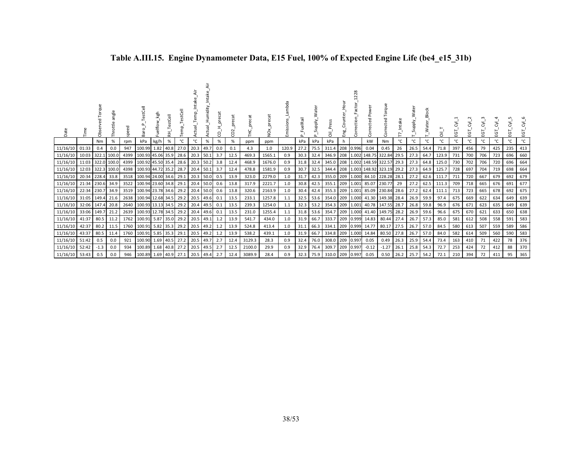| Date           |       | Obs    | angle<br>Throttle | speed | estCell<br>æ           | kgh  | estCell<br>푽 |      | €    | Humidity<br>Actual | precat<br>8 | precat<br>$\sim$<br>g |        | ă<br>o | mbda<br>Emissions | FuelRail<br>$\sim$ | Supply. | Press<br>ត      | Eng | $\infty$<br>$\overline{\mathsf{N}}$<br>actor<br>Correction | Pow<br>cted<br>Б,       | Torque<br>ected<br>م |      | ater<br>Supply. | Water Block | កី    | 5<br>ய | ĒΘ           | ঢ<br>ũ. | 5<br>ũ. | 5<br>ய | হ'<br>৳<br>ũ. |
|----------------|-------|--------|-------------------|-------|------------------------|------|--------------|------|------|--------------------|-------------|-----------------------|--------|--------|-------------------|--------------------|---------|-----------------|-----|------------------------------------------------------------|-------------------------|----------------------|------|-----------------|-------------|-------|--------|--------------|---------|---------|--------|---------------|
|                |       | Nm     | %                 | rpm   | kPa                    | kg/h | %            | °C   | °C   | %                  | %           | %                     | ppm    | ppm    |                   | kPa                | kPa     | kPa             | h   |                                                            | kW                      | Nm                   | °C   | °C              | °C          | °C    | °C     | $^{\circ}$ C | °C      | °C      | °c     | °C            |
| 11/16/10       | 01:33 | 0.4    | 0.0               | 947   | 100.99                 | 1.82 | 40.8         | 27.0 | 20.3 | 49.7               | 0.0         | 0.1                   | 4.3    | 1.0    | 120.9             | 27.2               | 75.5    | 311.4           | 208 | 0.996                                                      | 0.04                    | 0.45                 | 26   | 26.5            | 54.4        | 71.8  | 397    | 456          | 79      | 425     | 235    | 413           |
| 11/16/10       | 10:03 | 322.1  | 100.0             | 4399  | 100.93 45.06 35.9      |      |              | 28.6 | 20.3 | 50.1               | 3.7         | 12.5                  | 469.3  | 1565.1 | 0.9               | 30.3               | 32.4    | 346.9           |     | 208 1.002                                                  | 148.75 322.84           |                      | 29.5 | 27.3            | 64.7        | 123.9 | 731    | 700          | 706     | 723     | 696    | 660           |
| 11/16/10       | 11:03 | 322.0  | 100.0             | 4399  | 100.92 45.50 35.4      |      |              | 28.6 | 20.3 | 50.2               | 3.8         | 12.4                  | 468.9  | 1676.0 | 0.9               | 31.8               | 32.4    | 345.0           |     |                                                            | 208 1.002 148.59 322.57 |                      | 29.3 | 27.3            | 64.8        | 125.0 | 730    | 702          | 706     | 720     | 696    | 664           |
| 11/16/10       | 12:03 | 322.3  | 100.0             | 4398  | 100.93 44.72 35.2      |      |              | 28.7 | 20.4 | 50.1               | 3.7         | 12.4                  | 478.8  | 1581.9 | 0.9               | 30.7               | 32.5    | 344.4           |     | 208 1.003                                                  |                         | 148.92 323.19 29.2   |      | 27.3            | 64.9        | 125.7 | 728    | 697          | 704     | 719     | 698    | 664           |
| 11/16/10       | 20:34 | 228.4  | 33.8              |       | 3518 100.94 24.00 34.6 |      |              | 29.1 | 20.3 | 50.0               | 0.5         | 13.9                  | 323.0  | 2279.0 | 1.0               | 31.7               | 42.3    | 355.0 209 1.000 |     |                                                            |                         | 84.10 228.28         | 28.1 | 27.2            | 62.6        | 111.7 | 711    | 720          | 667     | 679     | 692    | 679           |
| 11/16/10       | 21:34 | 230.6  | 34.9              |       | 3522 100.94 23.60 34.8 |      |              | 29.1 | 20.4 | 50.0               | 0.6         | 13.8                  | 317.9  | 2221.7 | 1.0               | 30.8               | 42.5    | 355.1           |     | 209 1.001                                                  | 85.07 230.77            |                      | 29   | 27.2            | 62.5        | 111.3 | 709    | 718          | 665     | 676     | 691    | 677           |
| 11/16/10       | 22:34 | 230.7  | 34.9              | 3519  | 100.94 23.78 34.6      |      |              | 29.2 | 20.4 | 50.0               | 0.6         | 13.8                  | 320.6  | 2163.9 | 1.0               | 30.4               | 42.4    | 355.3           |     | 209 1.001                                                  |                         | 85.09 230.84         | 28.6 | 27.2            | 62.4        | 111.1 | 713    | 723          | 665     | 678     | 692    | 675           |
| 11/16/10       | 31:05 | 149.4  | 21.6              |       | 2638 100.94 12.68 34.5 |      |              | 29.2 | 20.5 | 49.6               | 0.1         | 13.5                  | 233.1  | 1257.8 | 1.1               | 32.5               | 53.6    | 354.0 209 1.000 |     |                                                            |                         | 41.30 149.38 28.4    |      | 26.9            | 59.9        | 97.4  | 675    | 669          | 622     | 634     | 649    | 639           |
| 11/16/10       | 32:06 | 147.4  | 20.8              | 2640  | 100.93 13.13 34.5      |      |              | 29.2 | 20.4 | 49.5               |             | 13.5                  | 239.3  | 1254.0 | 1.1               | 32.3               | 53.2    | 354.3 209       |     | 1.001                                                      |                         | 40.78 147.55         | 28.7 | 26.8            | 59.8        | 96.9  | 676    | 671          | 623     | 635     | 649    | 639           |
| 11/16/10       | 33:06 | 149.7  | 21.2              | 2639  | 100.93                 |      | 12.78 34.5   | 29.2 | 20.4 | 49.6               | 0.1         | 13.5                  | 231.0  | 1255.4 | 1.1               | 31.8               | 53.6    | 354.7           | 209 | 1.000                                                      |                         | 41.40 149.75         | 28.2 | 26.9            | 59.6        | 96.6  | 675    | 670          | 621     | 633     | 650    | 638           |
| 11/16/10       | 41:37 | 80.5   | 11.2              | 1762  | 100.91                 | 5.87 | 35.0         | 29.2 | 20.5 | 49.1               |             | 13.9                  | 541.7  | 434.0  | 1.0               | 31.9               | 66.7    | 333.7           | 209 | 0.999                                                      | 14.83                   | 80.44                | 27.4 | 26.7            | 57.3        | 85.0  | 581    | 612          | 508     | 558     | 591    | 583           |
| 11/16/10       | 42:37 | 80.2   | 11.5              |       | 1760 100.91            | 5.82 | 35.3         | 29.2 | 20.5 | 49.2               | 1.2         | 13.9                  | 524.8  | 413.4  | 1.0               | 31.1               | 66.3    | 334.1           | 209 | 0.999                                                      | 14.77                   | 80.17                | 27.5 | 26.7            | 57.0        | 84.5  | 580    | 613          | 507     | 559     | 589    | 586           |
| 11/16/10       | 43:37 | 80.5   | 11.4              | 1760  | 100.91                 | 5.85 | 35.3         | 29.1 | 20.5 | 49.2               |             | 13.9                  | 538.2  | 439.1  | 1.0               | 31.9               | 66.7    | 334.8           | 209 | 1.000                                                      | 14.84                   | 80.50                | 27.8 | 26.7            | 57.0        | 84.0  | 582    | 614          | 509     | 560     | 590    | 583           |
| 11/16/10 51:42 |       | 0.5    | 0.0               | 921   | 100.90                 | 1.69 | 40.5         | 27.2 | 20.5 | 49.7               | 2.7         | 12.4                  | 3129.3 | 28.3   | 0.9               | 32.4               | 76.0    | 308.0           | 209 | 0.997                                                      | 0.05                    | 0.49                 | 26.3 | 25.9 54.4       |             | 73.4  | 163    | 410          | 71      | 422     | 78     | 376           |
| 11/16/10       | 52:42 | $-1.3$ | 0.0               | 934   | 100.89                 | 1.68 | 40.8         | 27.2 | 20.5 | 49.5               | 2.7         | 12.5                  | 2100.0 | 29.9   | 0.9               | 32.9               | 76.4    | 309.7           | 209 | 0.997                                                      | $-0.12$                 | $-1.27$              | 26.1 | 25.8            | 54.3        | 72.7  | 253    | 424          | 72      | 412     | 88     | 370           |
| 11/16/10 53:43 |       | 0.5    | 0.0               | 946   | 100.89                 | 1.69 | 40.9         | 27.1 | 20.5 | 49.4               | 2.7         | 12.4                  | 3089.9 | 28.4   | 0.9               | 32.3               | 75.9    | 310.0 209 0.997 |     |                                                            | 0.05                    | 0.50                 | 26.2 | 25.7            | 54.2        | 72.1  | 210    | 394          | 72      | 411     | 95     | 365           |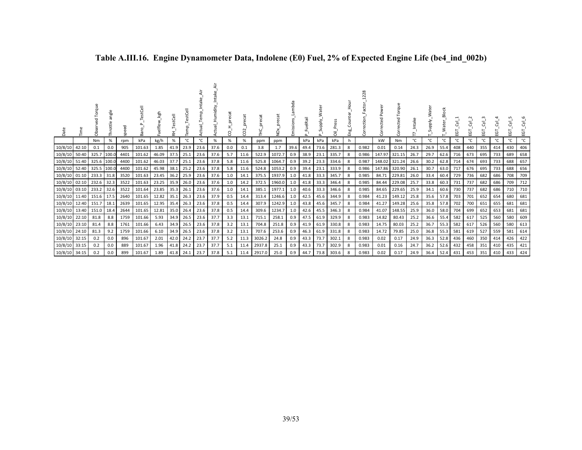| Ĕ             |       | dbs   | ăng<br>Throttle | eed<br>ā | TestCell<br>Baro <sub>.</sub> | Fuelflow_kgh | estCell<br>王 | emp.      | ă<br>Ę | Intake<br>Humidity<br><b>Actual</b> | precat<br>S | precat<br>$\sim$<br>8 | 울      | ş      | mbda<br>Emissions | elRail<br>Δ | Water<br>Supply. | Press<br>ᄛ | 모<br>민국 | ă<br>Ō | Power<br>ected | orque<br>ected<br>ğ | Intake<br>$\overline{ }$ | ater<br>Supply. | <b>Block</b> | Σ,<br>ĒΘ | ĒΘ  | ĒΘ  | ĒΘ  | ਨੋਂ<br>瓦 | $\overline{\delta}^{\prime}$<br>EGT |
|---------------|-------|-------|-----------------|----------|-------------------------------|--------------|--------------|-----------|--------|-------------------------------------|-------------|-----------------------|--------|--------|-------------------|-------------|------------------|------------|---------|--------|----------------|---------------------|--------------------------|-----------------|--------------|----------|-----|-----|-----|----------|-------------------------------------|
|               |       | Nm    | $\%$            | rpm      | kPa                           | kg/h         | %            | °C        | °C     | $\%$                                | %           | %                     | ppm    | ppm    |                   | kPa         | kPa              | kPa        | h       |        | kW             | Nm                  | °C                       | °C              | °C           | °C       | °C  | °C  | °C  | °C       | °C                                  |
| 10/8/10       | 42:10 | 0.1   | 0.0             | 905      | 101.63                        | 1.85         | 41.9         | 23.9      | 23.6   | 37.6                                | 0.0         | 0.1                   | 3.8    | 1.7    | 39.6              | 49.4        | 73.6             | 281.3      | 8       | 0.982  | 0.01           | 0.14                | 24.3                     | 26.9            | 55.4         | 408      | 440 | 355 | 414 | 430      | 406                                 |
| 10/8/10       | 50:40 | 325.7 | 100.0           | 4401     | 101.62                        | 46.09        | 37.5         | 25.1      | 23.6   | 37.6                                | 5.7         | 11.6                  | 522.9  | 1072.7 | 0.9               | 38.9        | 23.1             | 335.7      | 8       | 0.986  | 147.97         | 321.15              | 26.7                     | 29.7            | 62.6         | 716      | 673 | 695 | 733 | 689      | 658                                 |
| 10/8/10       | 51:40 | 325.6 | 100.0           | 4400     | 101.62                        | 46.03        | 37.7         | 25.1      | 23.6   | 37.8                                | 5.8         | 11.6                  | 525.8  | 1064.7 | 0.9               | 39.2        | 23.3             | 334.6      | 8       | 0.987  | 148.02         | 321.24              | 26.6                     | 30.2            | 62.8         | 714      | 674 | 693 | 733 | 688      | 657                                 |
| 10/8/10       | 52:40 | 325.5 | 100.0           | 4400     | 101.62                        | 45.98        | 38.1         | 25.2      | 23.6   | 37.8                                | 5.8         | 11.6                  | 524.8  | 1053.2 | 0.9               | 39.4        | 23.1             | 333.9      | 8       | 0.986  | 147.86         | 320.90              | 26.1                     | 30.7            | 63.0         | 717      | 676 | 695 | 733 | 688      | 656                                 |
| 10/8/10       | 01:10 | 233.3 | 31.8            | 3520     | 101.63                        | 23.45        | 36.2         | 25.9      | 23.6   | 37.6                                | 1.0         | 14.1                  | 375.5  | 1937.9 | 1.0               | 41.8        | 33.3             | 345.7      | 8       | 0.985  | 84.71          | 229.81              | 26.0                     | 33.4            | 60.4         | 729      | 736 | 682 | 686 | 708      | 709                                 |
| 10/8/10       | 02:10 | 232.6 | 32.3            | 3522     | 101.63                        | 23.25        | 35.9         | 26.0      | 23.6   | 37.6                                | 1.0         | 14.2                  | 372.5  | 1960.0 | 1.0               | 41.8        | 33.3             | 346.4      | 8       | 0.985  | 84.44          | 229.08              | 25.7                     | 33.8            | 60.3         | 731      | 737 | 682 | 686 | 709      | 712                                 |
| 10/8/10       | 03:10 | 233.2 | 32.6            | 3522     | 101.64                        | 23.85        |              | 35.3 26.1 | 23.6   | 37.6                                | 1.0         | 14.1                  | 385.1  | 1977.1 | 1.0               | 40.6        | 33.3             | 346.6      | 8       | 0.985  | 84.65          | 229.65              | 25.9                     | 34.1            | 60.6         | 730      | 737 | 682 | 686 | 710      | 710                                 |
| 10/8/10       | 11:40 | 151.6 | 17.5            | 2640     | 101.65                        | 12.82        | 35.1         | 26.3      | 23.6   | 37.9                                | 0.5         | 14.4                  | 313.4  | 1246.6 | 1.0               | 42.5        | 45.6             | 344.9      | 8       | 0.984  | 41.23          | 149.12              | 25.8                     | 35.6            | 57.8         | 703      | 701 | 652 | 654 | 680      | 681                                 |
| 10/8/10       | 12:40 | 151.7 | 18.1            | 2639     | 101.65                        | 12.95        | 35.4         | 26.3      | 23.6   | 37.8                                | 0.5         | 14.4                  | 307.9  | 1242.9 | 1.0               | 43.8        | 45.6             | 345.7      | 8       | 0.984  | 41.27          | 149.28              | 25.6                     | 35.8            | 57.8         | 702      | 700 | 651 | 655 | 681      | 681                                 |
| 10/8/10       | 13:40 | 151.0 | 18.4            | 2644     | 101.65                        | 12.81        | 35.0         | 26.4      | 23.6   | 37.8                                | 0.5         | 14.4                  | 309.6  | 1234.7 | 1.0               | 42.6        | 45.5             | 346.3      | 8       | 0.984  | 41.07          | 148.55              | 25.9                     | 36.0            | 58.0         | 704      | 699 | 652 | 653 | 681      | 681                                 |
| 10/8/10       | 22:10 | 81.8  | 8.8             | 1759     | 101.66                        | 5.93         | 34.9         | 26.5      | 23.6   | 37.7                                | 3.3         | 13.1                  | 715.1  | 258.1  | 0.9               | 47.5        | 61.9             | 329.9      | 8       | 0.983  | 14.82          | 80.43               | 25.2                     | 36.6            | 55.4         | 582      | 617 | 525 | 560 | 580      | 609                                 |
| 10/8/10       | 23:10 | 81.4  | 8.8             | 1761     | 101.66                        | 6.43         | 34.9         | 26.5      | 23.6   | 37.8                                | 3.2         | 13.1                  | 704.8  | 251.8  | 0.9               | 41.9        | 61.9             | 330.8      | 8       | 0.983  | 14.75          | 80.03               | 25.2                     | 36.7            | 55.3         | 582      | 617 | 526 | 560 | 580      | 613                                 |
| 10/8/10       | 24:10 | 81.3  | 9.2             | 1759     | 101.66                        | 6.10         |              | 34.9 26.5 | 23.6   | 37.8                                | 3.2         | 13.1                  | 707.6  | 253.6  | 0.9               | 46.3        | 61.9             | 331.8      | 8       | 0.983  | 14.72          | 79.85               | 25.0                     | 36.8            | 55.3         | 581      | 619 | 527 | 559 | 581      | 614                                 |
| 10/8/10 32:15 |       | 0.2   | 0.0             | 896      | 101.67                        | 2.01         |              | 42.0 24.2 | 23.7   | 37.7                                | 5.2         | 11.3                  | 3026.2 | 24.8   | 0.9               | 43.3        | 73.7             | 302.1      | 8       | 0.983  | 0.02           | 0.17                | 24.9                     | 36.3            | 52.8         | 436      | 460 | 350 | 414 | 426      | 422                                 |
| 10/8/10       | 33:15 | 0.2   | 0.0             | 889      | 101.67                        | 1.96         | 41.8         | 24.2      | 23.7   | 37.7                                | 5.1         | 11.4                  | 2937.8 | 25.1   | 0.9               | 43.3        | 73.7             | 302.9      | 8       | 0.983  | 0.01           | 0.16                | 24.7                     | 36.2            | 52.6         | 432      | 458 | 351 | 410 | 435      | 421                                 |
| 10/8/10 34:15 |       | 0.2   | 0.0             | 899      | 101.67                        | 1.89         | 41.8 24.1    |           | 23.7   | 37.8                                | 5.1         | 11.4                  | 2917.0 | 25.0   | 0.9               | 44.7        | 73.8             | 303.6      | 8       | 0.983  | 0.02           | 0.17                | 24.9                     | 36.4            | 52.4         | 431      | 453 | 351 | 410 | 433      | 424                                 |

# **Table A.III.16. Engine Dynamometer Data, Indolene (E0) Fuel, 2% of Expected Engine Life (be4\_ind\_002b)**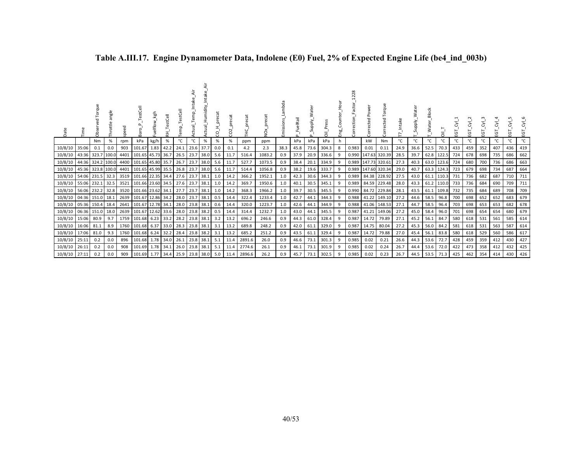| Date                     | Ě                 | orque<br>Ö        | angle<br>Throttle | ᄝ<br>gee | TestCell<br>ਫ਼ੋ        | kgh<br>uelflow | estCell<br>₹ | TestCell<br>emp. | ä<br>Intake<br>Temp.<br>kctual | Humidity<br>ctual <sub>.</sub> | ς   | pre<br>$\sim$<br>S | нr.    | š      | Lambda<br>Emissions | uelRail<br>$\Delta$ | Water<br>Supply. | قع<br>م<br>ᄛ | Ъон<br>Д<br>Counte<br>Eng. | 1228<br>Factor<br>Correction | Corrected Power | orque<br>۴<br>Corrected | ntake<br>∼ | ater<br>Supply. | Block<br>_Water_ | πÏ         | ΕGΤ | $\sim$<br>ĒΟ | হ্র<br>EGT | ĒΘ  | ਣੱ<br>EGT | ΣŚ<br>EGT |
|--------------------------|-------------------|-------------------|-------------------|----------|------------------------|----------------|--------------|------------------|--------------------------------|--------------------------------|-----|--------------------|--------|--------|---------------------|---------------------|------------------|--------------|----------------------------|------------------------------|-----------------|-------------------------|------------|-----------------|------------------|------------|-----|--------------|------------|-----|-----------|-----------|
|                          |                   | Nm                | %                 | rpm      | kPa                    | kg/h           | %            | °C               | °C                             | %                              | %   | %                  | ppm    | ppm    |                     | kPa                 | kPa              | kPa          | h.                         |                              | kW              | <b>Nm</b>               | °C         | °C              | °C               | °C         | °C  | °C           | °C         | °c  | °C        | °C        |
| 10/8/10                  | 35:06             | 0.1               | 0.0               | 903      | 101.67 1.83            |                | 42.2         | 24.1             | 23.6 37.7                      |                                | 0.0 | 0.1                | 4.2    | 2.3    | 38.3                | 45.8                | 73.6             | 304.3        | 8                          | 0.983                        | 0.01            | 0.11                    | 24.9       | 36.6            | 52.5             | 70.3       | 433 | 459          | 352        | 407 | 436       | 419       |
| 10/8/10                  | 43:36 323.7 100.0 |                   |                   | 4401     | 101.65 45.73 36.7      |                |              | 26.5             | 23.7                           | 38.0                           | 5.6 | 11.7               | 516.4  | 1083.2 | 0.9                 | 37.9                | 20.9             | 336.6        | 9                          | 0.990                        | 147.63 320.39   |                         | 28.5       | 39.7            |                  | 62.8 122.5 | 724 | 678          | 698        | 735 | 686       | 662       |
| 10/8/10                  |                   | 44:36 324.2 100.0 |                   | 4400     | 101.65 45.80           |                | 35.7         | 26.7             | 23.7                           | 38.0                           | 5.6 | 11.7               | 527.7  | 1073.5 | 0.9                 | 38.4                | 20.1             | 334.9        | 9                          | 0.989                        | 147.73 320.61   |                         | 27.3       | 40.3            |                  | 63.0 123.6 | 724 | 680          | 700        | 736 | 686       | 663       |
| 10/8/10                  | 45:36 323.8 100.0 |                   |                   | 4401     | 101.65 45.99 35.5      |                |              | 26.8             | 23.7                           | 38.0                           | 5.6 | 11.7               | 514.4  | 1056.8 | 0.9                 | 38.2                | 19.6             | 333.7        | 9                          | 0.989                        | 147.60 320.34   |                         | 29.0       | 40.7            |                  | 63.3 124.3 | 723 | 679          | 698        | 734 | 687       | 664       |
| 10/8/10 54:06 231.5 32.3 |                   |                   |                   | 3519     | 101.66 22.35 34.4 27.6 |                |              |                  | 23.7                           | 38.1                           | 1.0 | 14.2               | 366.2  | 1952.1 | 1.0                 | 42.3                | 30.6             | 344.3        | 9                          | 0.989                        |                 | 84.38 228.92            | 27.5       | 43.0            |                  | 61.1 110.3 | 731 | 736          | 682        | 687 | 710       | 711       |
| 10/8/10 55:06 232.1 32.5 |                   |                   |                   | 3521     | 101.66 23.60 34.5 27.6 |                |              |                  | 23.7                           | 38.1                           | 1.0 | 14.2               | 369.7  | 1950.6 | 1.0                 | 40.1                | 30.5             | 345.1        | 9                          | 0.989                        |                 | 84.59 229.48            | 28.0       | 43.3            |                  | 61.2 110.0 | 733 | 736          | 684        | 690 | 709       | 711       |
| 10/8/10                  | 56:06 232.2 32.8  |                   |                   | 3520     | 101.66 23.62 34.1      |                |              | 27.7             | 23.7                           | 38.1                           | 1.0 | 14.2               | 368.3  | 1966.2 | 1.0                 | 39.7                | 30.5             | 345.5        | 9                          | 0.990                        |                 | 84.72 229.84            | 28.1       | 43.5            |                  | 61.1 109.8 | 732 | 735          | 684        | 689 | 708       | 709       |
| 10/8/10 04:36 151.0 18.1 |                   |                   |                   | 2639     | 101.67 12.86 34.2      |                |              | 28.0             | 23.7                           | 38.1                           | 0.5 | 14.4               | 322.4  | 1233.4 | 1.0                 | 42.7                | 44.1             | 344.3        | 9                          | 0.988                        |                 | 41.22 149.10            | 27.2       | 44.6            |                  | 58.5 96.8  | 700 | 698          | 652        | 652 | 683       | 679       |
| 10/8/10                  |                   | 05:36 150.4       | 18.4              | 2641     | 101.67 12.78 34.1      |                |              | 28.0             | 23.8 38.1                      |                                | 0.6 | 14.4               | 320.0  | 1223.7 | 1.0                 | 42.6                | 44.1             | 344.9        | -9                         | 0.988                        |                 | 41.06 148.53            | 27.1       | 44.7            | 58.5             | 96.4       | 703 | 698          | 653        | 653 | 682       | 678       |
| 10/8/10 06:36 151.0 18.0 |                   |                   |                   | 2639     | 101.67 12.62 33.6      |                |              | 28.0             | 23.8 38.2                      |                                | 0.5 | 14.4               | 314.4  | 1232.7 | 1.0                 | 43.0                | 44.1             | 345.5        | 9                          | 0.987                        |                 | 41.21 149.06            | 27.2       | 45.0            | 58.4             | 96.0       | 701 | 698          | 654        | 654 | 680       | 679       |
| 10/8/10 15:06            |                   | 80.9              | 9.7               | 1759     | 101.68 6.23 33.2       |                |              | 28.2             | 23.8 38.1                      |                                | 3.2 | 13.2               | 696.2  | 246.6  | 0.9                 | 44.3                | 61.0             | 328.4        | 9                          | 0.987                        | 14.72           | 79.89                   | 27.1       | 45.2            | 56.1             | 84.7       | 580 | 618          | 531        | 561 | 585       | 614       |
| 10/8/10                  | 16:06             | 81.1              | 8.9               | 1760     | 101.68 6.37            |                | 33.0         | 28.3             | 23.8 38.1                      |                                | 3.1 | 13.2               | 689.8  | 248.2  | 0.9                 | 42.0                | 61.1             | 329.0        | 9                          | 0.987                        | 14.75           | 80.04                   | 27.2       | 45.3            | 56.0             | 84.2       | 581 | 618          | 531        | 563 | 587       | 614       |
| 10/8/10                  | 17:06             | 81.0              | 9.3               | 1760     | 101.68 6.24            |                | 32.2         | 28.4             | 23.8 38.2                      |                                | 3.1 | 13.2               | 685.2  | 251.2  | 0.9                 | 43.5                | 61.1             | 329.4        | 9                          | 0.987                        | 14.72           | 79.88                   | 27.0       | 45.4            | 56.1             | 83.8       | 580 | 618          | 529        | 560 | 586       | 617       |
| 10/8/10 25:11            |                   | 0.2               | 0.0               | 896      | 101.68 1.78 34.0 26.1  |                |              |                  | 23.8 38.1                      |                                | 5.1 | 11.4               | 2891.6 | 26.0   | 0.9                 | 46.6                | 73.1             | 301.3        | 9                          | 0.985                        | 0.02            | 0.21                    | 26.6       | 44.3            | 53.6             | 72.7       | 428 | 459          | 359        | 412 | 430       | 427       |
| 10/8/10                  | 26:11             | 0.2               | 0.0               | 908      | 101.69 1.78            |                | 34.1         | 26.0             | 23.8                           | 38.1                           | 5.1 | 11.4               | 2774.6 | 26.1   | 0.9                 | 46.1                | 73.1             | 301.9        | 9                          | 0.985                        | 0.02            | 0.24                    | 26.7       | 44.4            | 53.6             | 72.0       | 422 | 473          | 358        | 412 | 432       | 425       |
| 10/8/10 27:11            |                   | 0.2               | 0.0               | 909      | 101.69 1.77            |                |              | 34.4 25.9        |                                | 23.8 38.0                      | 5.0 | 11.4               | 2896.6 | 26.2   | 0.9                 | 45.7                | 73.1             | 302.5        | 9                          | 0.985                        | 0.02            | 0.23                    | 26.7       | 44.5            | 53.5             | 71.3       | 425 | 462          | 354        | 414 | 430       | 426       |

# **Table A.III.17. Engine Dynamometer Data, Indolene (E0) Fuel, 2% of Expected Engine Life (be4\_ind\_003b)**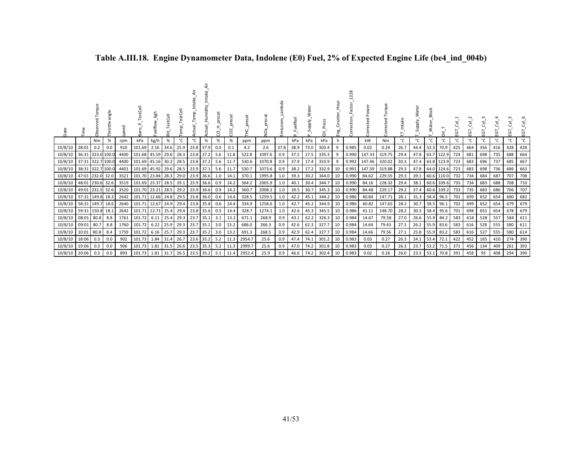| Date          | 言                 | ಕೆ                | ngle<br>ottle | 꿈<br>spe | estCell<br>Baro        | kgh<br>uelflow_ | TestCell<br>臣 | estCell<br>emp.<br>E | ≒<br>Temp_In<br>g<br>ರ | Intake<br>ctual_Humidity | cat<br>ă<br>O | o<br>O |        | δ      | Lambda<br>Emissions | uelRail<br>$\Omega$ | Supply.<br>$\Omega$ | Press<br>ᄛ | ى<br>Eng | 228<br>Correction |        | Torque<br>ected | ntake | ater<br>Supply. | <b>Block</b><br>≥ | $\overline{\overline{\overline{o}}}$ | ë   | ن<br>⊞ | EGT | EGT | Ù.<br>Œ | ਣੰ<br>EGT |
|---------------|-------------------|-------------------|---------------|----------|------------------------|-----------------|---------------|----------------------|------------------------|--------------------------|---------------|--------|--------|--------|---------------------|---------------------|---------------------|------------|----------|-------------------|--------|-----------------|-------|-----------------|-------------------|--------------------------------------|-----|--------|-----|-----|---------|-----------|
|               |                   | Nm                | %             | rpm      | kPa                    | kg/h            | %             | °C                   | °C                     | $\%$                     | $\%$          | %      | ppm    | ppm    |                     | kPa                 | kPa                 | kPa        |          |                   | kW     | Nm              | °C    | °C              | °C                | °C                                   | °C  | °C     | °C  | °C  | °C      | °C        |
| 10/8/10       | 28:01             | 0.2               | 0.0           | 910      | 101.69                 | 2.16            | 34.6          | 25.9                 |                        | 23.8 37.9                | 0.0           | 0.1    | 4.2    | 2.6    | 37.8                | 38.9                | 73.0                | 303.4      | 9        | 0.985             | 0.02   | 0.24            | 26.7  | 44.4            | 53.3              | 70.9                                 | 425 | 464    | 356 | 416 | 428     | 428       |
| 10/8/10       |                   | 36:31 323.0 100.0 |               | 4400     | 101.68 45.59           |                 | 29.6          | 28.3                 |                        | 23.8 37.2                | 5.6           |        | 522.8  | 1097.6 | 0.9                 | 37.5                | 17.5                | 335.3      | 9        | 0.990             | 147.33 | 319.75          | 29.4  | 47.8            |                   | 63.7 122.9                           | 724 | 681    | 698 | 735 | 688     | 664       |
| 10/8/10       |                   | 37:31 322.7 100.0 |               | 4400     | 101.69 45.16 30.2      |                 |               | 28.5                 |                        | 23.8 37.2                | 5.6           |        | 530.6  | 1070.8 | 0.9                 | 37.9                | 17.4                | 333.9      | 9        | 0.992             | 147.46 | 320.02          | 30.3  | 47.4            |                   | 63.8 123.9                           | 723 | 683    | 696 | 737 | 685     | 667       |
| 10/8/10       | 38:31 322.7 100.0 |                   |               | 4401     | 101.69 45.92 29.6 28.5 |                 |               |                      |                        | 23.9 37.1                | 5.6           |        | 530.7  | 1073.6 | 0.9                 | 38.2                | 17.2                | 332.9      | 10       | 0.991             | 147.39 | 319.88          | 29.3  | 47.8            |                   | 64.0 124.6                           | 723 | 683    | 698 | 736 | 686     | 663       |
| 10/8/10       |                   | 47:01 232.0 32.0  |               | 3521     | 101.70 23.84 28.3 29.0 |                 |               |                      |                        | 23.9 36.6                |               |        | 370.1  | 1995.8 | 1.0                 | 39.3                | 30.2                | 344.0      | 10       | 0.990             | 84.62  | 229.55          | 29.3  | 39.1            |                   | 60.6 110.0                           | 732 | 734    | 684 | 687 | 707     | 708       |
| 10/8/10       |                   | 48:01 230.6 32.6  |               | 3519     | 101.69 23.37 28.5      |                 |               | 29.1                 |                        | 23.9 36.6                | 0.9           |        | 364.2  | 2005.9 | 1.0                 | 40.1                | 30.4                | 344.7      | 10       | 0.990             | 84.16  | 228.32          | 29.4  | 38.1            |                   | 60.6 109.6                           | 735 | 734    | 683 | 688 | 708     | 710       |
| 10/8/10       |                   | 49:01 231.5 32.6  |               | 3520     | 101.70 23.21           |                 |               | 28.5 29.2            |                        | 23.9 36.6                | 0.9           | 14.2   | 360.7  | 2008.2 | 1.0                 | 39.5                | 30.7                | 345.3      | 10       | 0.990             | 84.48  | 229.17          | 29.2  | 37.4            |                   | 60.6 109.2                           | 733 | 735    | 683 | 686 | 706     | 707       |
| 10/8/10       | 57:31 149.8 18.3  |                   |               | 2642     | 101.71                 | 12.66 24.8      |               | 29.5                 |                        | 23.8 36.0 0.6            |               | 14.4   | 328.5  | 1259.5 | 1.0                 | 42.2                | 45.1                | 344.2      | 10       | 0.986             | 40.84  | 147.71          | 28.1  | 31.3            | 58.4              | 96.5                                 | 701 | 699    | 652 | 654 | 680     | 682       |
| 10/8/10       |                   | 58:31 149.7 18.6  |               | 2640     | 101.71                 | 12.67 24.9      |               | 29.4                 |                        | 23.8 35.8                | 0.6           |        | 334.9  | 1258.6 | 1.0                 | 42.7                | 45.2                | 344.9      | 10       | 0.986             | 40.82  | 147.65          | 28.2  | 30.7            | 58.5              | 96.1                                 | 702 | 699    | 652 | 654 | 679     | 679       |
| 10/8/10       | 59:31 150.8 18.1  |                   |               | 2642     | 101.71 12.71           |                 | 25.4          | 29.4                 |                        | 23.8 35.6                | 0.5           | 14.4   | 328.7  | 1274.1 | 1.0                 | 42.6                | 45.3                | 345.5      | 10       | 0.986             | 41.11  | 148.70          | 28.2  | 30.3            | 58.4              | 95.6                                 | 701 | 698    | 651 | 654 | 678     | 679       |
| 10/8/10       |                   | 08:01 80.8        | 8.8           | 1761     | 101.72                 | 6.11            | 25.4          | 29.3                 |                        | 23.7 35.1                | 3.1           |        | 671.1  | 268.9  | 0.9                 | 43.1                | 62.2                | 326.3      | 10       | 0.984             | 14.67  | 79.58           | 27.0  | 26.6            | 55.9              | 84.2                                 | 583 | 618    | 528 | 557 | 584     | 611       |
| 10/8/10       | 09:01 80.7        |                   | 8.8           | 1760     | 101.72                 | 6.22            | 25.9          | 29.3                 |                        | $23.7$ 35.1              | 3.0           | 13.2   | 686.0  | 266.3  | 0.9                 | 42.6                | 62.3                | 327.7      | 10       | 0.984             | 14.64  | 79.43           | 27.1  | 26.2            | 55.9              | 83.6                                 | 583 | 616    | 528 | 555 | 580     | 611       |
| 10/8/10       | 10:01 80.8        |                   | 8.4           | 1759     | 101.72                 | 6.16            | 25.7          | 29.3                 |                        | 23.7 35.2                | 3.0           | 13.2   | 691.3  | 268.5  | 0.9                 | 42.9                | 62.4                | 327.7      | 10       | 0.984             | 14.66  | 79.56           | 27.1  | 25.8            | 55.9              | 83.2                                 | 583 | 616    | 527 | 555 | 580     | 614       |
| 10/8/10       | 18:06             | 0.3               | 0.0           | 902      | 101.73                 | 1.84 31.4       |               | 26.7                 |                        | 23.6 35.2                | 5.2           |        | 2954.7 | 25.6   | 0.9                 | 47.4                | 74.1                | 301.2      | 10       | 0.983             | 0.03   | 0.27            | 26.3  | 24.1            | 53.4              | 72.1                                 | 422 | 452    | 165 | 410 | 274     | 390       |
| 10/8/10       | 19:06             | 0.3               | 0.0           | 906      | 101.73                 | 1.81            | 31.5          | 26.6                 |                        | 23.5 35.3                | 5.2           |        | 2999.  | 25.6   | 0.9                 | 47.0                | 74.2                | 301.8      | 10       | 0.983             | 0.03   | 0.27            | 26.3  | 23.7            | 53.2              | 71.5                                 | 371 | 456    | 134 | 409 | 261     | 393       |
| 10/8/10 20:06 |                   | 0.3               | 0.0           | 893      | 101.73                 | 1.81            | 31.7          | 26.5                 |                        | 23.5 35.2                | 5.1           |        | 2952.4 | 25.9   | 0.9                 | 46.6                | 74.2                | 302.4      | 10       | 0.983             | 0.02   | 0.26            | 26.0  | 23.3            | 53.1              | 70.8                                 | 391 | 458    | 95  | 408 | 294     | 390       |

# **Table A.III.18. Engine Dynamometer Data, Indolene (E0) Fuel, 2% of Expected Engine Life (be4\_ind\_004b)**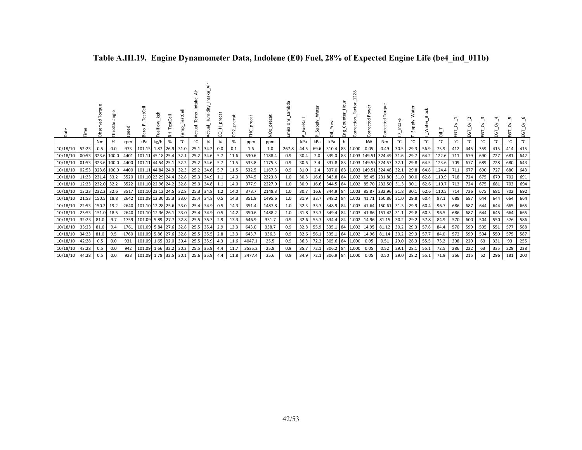| Date           |                   | Torqu<br>ಗೆ | angl<br>hrottle | speed | TestCell<br>ਨੋ<br>$\infty$  | uelflow_kgh      | stCell<br>푽 |      | emp.        | Humidity | precat<br>8 | $\sigma$<br>prec<br>$\sim$<br>$\circ$ | precat | Ň,     | Ë<br>issions | uelRail | ater | ៑              | Eng | 28<br>ction<br>Č | Pow<br>cted<br>Corre       | orque<br>⊢<br>cted<br>ه<br>š               |      | ater<br>≳<br>_Vlqqu <sub>S</sub> _ | <b>Block</b><br>Water | ≔'<br>C | 5<br>ш | ট<br>ш. | र्ट.<br>5<br>ய | $\overline{\delta}$<br>EGT | ਣੰ<br>5<br>τŪ | $\overline{\delta}_{I}^{I}$<br>৳<br>ய |
|----------------|-------------------|-------------|-----------------|-------|-----------------------------|------------------|-------------|------|-------------|----------|-------------|---------------------------------------|--------|--------|--------------|---------|------|----------------|-----|------------------|----------------------------|--------------------------------------------|------|------------------------------------|-----------------------|---------|--------|---------|----------------|----------------------------|---------------|---------------------------------------|
|                |                   | Nm          | %               | rpm   | kPa                         | kg/h             | %           | °C   | °C          | $\%$     | %           | $\%$                                  | ppm    | ppm    |              | kPa     | kPa  | kPa            |     |                  | kW                         | Nm                                         | °C   | °C                                 | ۰c                    | ℃       | °C     | °C      | °C             | °C                         |               | °C                                    |
| 10/18/10       | 52:23             | 0.5         | 0.0             | 973   | 101.15                      |                  | 1.87 26.9   | 31.0 | 25.1        | 34.2     | 0.0         | 0.1                                   | 1.6    | 1.0    | 267.8        | 44.5    | 69.6 | 310.4 83 1.000 |     |                  | 0.05                       | 0.49                                       | 30.5 | $29.3$ 56.9                        |                       | 73.9    | 412    | 445     | 359            | 415                        | 414           | 415                                   |
| 10/18/10       | 00:53 323.6       |             | 100.0           | 4401  | 101.11 45.18 25.4           |                  |             | 32.1 | $25.2$ 34.6 |          | 5.7         | 11.6                                  | 530.6  | 1188.4 | 0.9          | 30.4    | 2.0  |                |     |                  |                            | 339.0 83 1.003 149.51 324.49 31.6          |      |                                    | 29.7 64.2             | 122.6   | 711    | 679     | 690            | 727                        | 681           | 642                                   |
| 10/18/10       | 01:53 323.6 100.0 |             |                 |       | 4400 101.11 44.54 25.1      |                  |             | 32.2 | 25.2 34.6   |          | -5.7        | 11.5                                  | 533.8  | 1175.3 | 0.9          | 30.6    | 3.4  |                |     |                  |                            | 337.8 83 1.003 149.55 324.57 32.1          |      |                                    | 29.8 64.5             | 123.6   | 709    | 677     | 689            | 728                        | 680           | 643                                   |
| 10/18/10       | 02:53 323.6 100.0 |             |                 |       | 4400 101.11 44.84 24.9 32.3 |                  |             |      | 25.2 34.6   |          | 5.7         | 11.5                                  | 532.5  | 1167.3 | 0.9          | 31.0    | 2.4  |                |     |                  |                            | 337.0 83 1.003 149.51 324.48 32.1          |      |                                    | 29.8 64.8             | 124.4   | 711    | 677     | 690            | 727                        | 680           | 643                                   |
| 10/18/10       | 11:23   231.4     |             | 33.2            | 3520  | 101.10 23.29 24.4           |                  |             | 32.8 | 25.3 34.9   |          | 1.1         | 14.0                                  | 374.5  | 2223.8 | 1.0          | 30.3    |      |                |     |                  |                            | 16.6 343.8 84 1.002 85.45 231.80 31.0      |      |                                    | $30.0$ 62.8           | 110.9   | 718    | 724     | 675            | 679                        | 702           | 691                                   |
| 10/18/10       | 12:23 232.0       |             | 32.2            | 3522  | 101.10 22.96 24.2           |                  |             | 32.8 | 25.3 34.8   |          | 1.1         | 14.0                                  | 377.9  | 2227.9 | 1.0          | 30.9    |      |                |     |                  |                            | 16.6 344.5 84 1.002 85.70 232.50 31.3 30.1 |      |                                    | 62.6                  | 110.7   | 713    | 724     | 675            | 681                        | 703           | 694                                   |
| 10/18/10       | 13:23 232.2       |             | 32.6            | 3517  | 101.10 23.12 24.5 32.8      |                  |             |      | 25.3 34.8   |          | 1.2         | 14.0                                  | 373.7  | 2148.3 | 1.0          | 30.7    |      |                |     |                  |                            | 16.6 344.9 84 1.003 85.87 232.96           | 31.8 | 30.1                               | 62.6                  | 110.5   | 714    | 726     | 675            | 681                        | 702           | 692                                   |
| 10/18/10       | 21:53   150.5     |             | 18.8            |       | 2642 101.09 12.30 25.3 33.0 |                  |             |      | 25.4 34.8   |          | 0.5         | 14.3                                  | 351.9  | 1495.6 | 1.0          | 31.9    | 33.7 |                |     |                  |                            | 348.2 84 1.002 41.71 150.86 31.0           |      | 29.8                               | 60.4                  | 97.1    | 688    | 687     | 644            | 644                        | 664           | 664                                   |
| 10/18/10       | 22:53 150.2       |             | 19.2            | 2640  | 101.10 12.28 25.6 33.0      |                  |             |      | 25.4 34.9   |          | 0.5         | 14.3                                  | 351.4  | 1487.8 | 1.0          | 32.3    | 33.7 | 348.9 84 1.003 |     |                  |                            | 41.64 150.61                               | 31.3 | 29.9 60.4                          |                       | 96.7    | 686    | 687     | 644            | 644                        | 665           | 665                                   |
| 10/18/10       | 23:53 151.0       |             | 18.5            |       | 2640 101.10 12.36 26.1 33.0 |                  |             |      | 25.4 34.9   |          | 0.5         | 14.2                                  | 350.6  | 1488.2 | 1.0          | 31.8    | 33.7 |                |     |                  |                            | 349.4 84 1.003 41.86 151.42 31.1           |      | 29.8                               | 60.3                  | 96.5    | 686    | 687     | 644            | 645                        | 664           | 665                                   |
| 10/18/10       | 32:23             | 81.0        | 9.7             | 1759  | 101.09 5.89 27.7            |                  |             | 32.8 | $25.5$ 35.3 |          | 2.9         | 13.3                                  | 646.9  | 331.7  | 0.9          | 32.6    | 55.7 |                |     |                  | 334.4 84 1.002 14.96       | 81.15                                      | 30.2 | 29.2                               | 57.8                  | 84.9    | 570    | 600     | 504            | 550                        | 576           | 586                                   |
| 10/18/10       | 33:23             | 81.0        | 9.4             |       | 1761   101.09   5.84   27.6 |                  |             | 32.8 | 25.5 35.4   |          | 2.9         | 13.3                                  | 643.0  | 338.7  | 0.9          | 32.8    | 55.9 |                |     |                  | 335.1 84 1.002 14.95 81.12 |                                            | 30.2 |                                    | 29.3 57.8             | 84.4    | 570    | 599     | 505            | 551                        | 577           | 588                                   |
| 10/18/10       | 34:23             | 81.0        | 9.5             | 1760  |                             | 101.09 5.86 27.6 |             | 32.8 | 25.5 35.5   |          | 2.8         | 13.3                                  | 643.7  | 336.3  | 0.9          | 32.6    | 56.1 | 335.1 84 1.002 |     |                  | 14.96                      | 81.14                                      | 30.2 | 29.3 57.7                          |                       | 84.0    | 572    | 599     | 504            | 550                        | 575           | 587                                   |
| 10/18/10       | 42:28             | 0.5         | 0.0             | 931   |                             | 101.09 1.65 32.0 |             | 30.4 | 25.5 35.9   |          | 4.3         | 11.6                                  | 4047.1 | 25.5   | 0.9          | 36.3    | 72.2 | 305.6 84 1.000 |     |                  | 0.05                       | 0.51                                       | 29.0 |                                    | 28.3 55.5             | 73.2    | 308    | 220     | 63             | 331                        | 93            | 255                                   |
| 10/18/10       | 43:28             | 0.5         | 0.0             | 942   | 101.09                      | 1.66 32.2        |             | 30.2 | 25.5 35.9   |          | 4.4         | 11.7                                  | 3535.2 | 25.8   | 0.9          | 35.7    | 72.1 | 306.2 84 1.000 |     |                  | 0.05                       | 0.52                                       | 29.1 | 28.1                               | 55.1                  | 72.5    | 286    | 222     | 63             | 335                        | 229           | 238                                   |
| 10/18/10 44:28 |                   | 0.5         | 0.0             | 923   | 101.09 1.78 32.5 30.1       |                  |             |      | 25.6 35.9   |          | 4.4         | 11.8                                  | 3477.4 | 25.6   | 0.9          | 34.9    | 72.1 | 306.9 84 1.000 |     |                  | 0.05                       | 0.50                                       | 29.0 | 28.2 55.1                          |                       | 71.9    | 266    | 215     | 62             | 296                        | 181           | 200                                   |

### **Table A.III.19. Engine Dynamometer Data, Indolene (E0) Fuel, 28% of Expected Engine Life (be4\_ind\_011b)**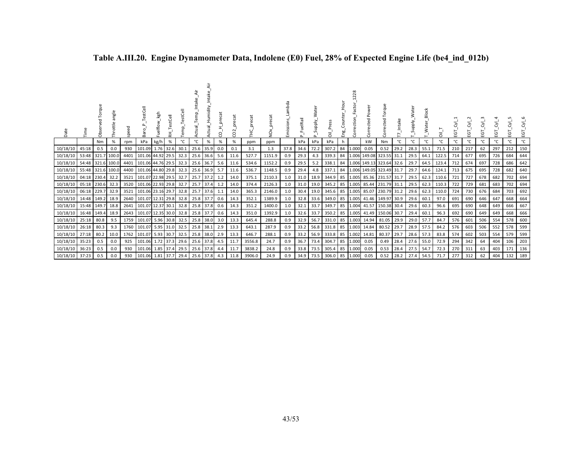| Date           |       | සි    | ăng<br>Throttle | eed<br>≏ | TestCell<br>æ                 | kgh                    | stCell<br>玉 |      | emp.      | Humidity<br>ą | precat<br>8 | preca |        | š      | bda<br>Emissions | uelRail<br>$\Omega$ | ਨਿ<br>Supply.<br>≏ | ᄛ          | Но<br>Ч<br>٤ã<br>Eng | $\alpha$<br>č<br>ection | Power<br>Corrected | orque<br>⊢<br>ected<br>Čە |      | ater<br>Nedrn | <b>Block</b><br>Water <sub>.</sub> | ā     | ā   | ē   | ن<br>ŭ | EGT | ΣŚ<br>EGT | $\overline{\delta}^{\mathsf{I}}$<br>EGT |
|----------------|-------|-------|-----------------|----------|-------------------------------|------------------------|-------------|------|-----------|---------------|-------------|-------|--------|--------|------------------|---------------------|--------------------|------------|----------------------|-------------------------|--------------------|---------------------------|------|---------------|------------------------------------|-------|-----|-----|--------|-----|-----------|-----------------------------------------|
|                |       | Nm    | %               | rpm      | kPa                           | kg/h                   | %           | °C   | °C        | %             | $\%$        | %     | ppm    | ppm    |                  | kPa                 | kPa                | kPa        | h                    |                         | kW                 | Nm                        | °C   | °C            | °C                                 | °C    | °C  | °C  | °C     | °C  | °C        | °C                                      |
| 10/18/10       | 45:18 | 0.5   | 0.0             | 930      |                               | 101.09 1.76 32.6       |             | 30.1 | 25.6 35.9 |               | 0.0         | 0.1   | 3.1    | 1.3    | 37.8             | 34.6                | 72.2               | 307.2      | 84                   | 1.000                   | 0.05               | 0.52                      | 29.2 | 28.3 55.1     |                                    | 71.5  | 210 | 217 | 62     | 297 | 212       | 150                                     |
| 10/18/10       | 53:48 | 321.7 | 100.0           | 4401     |                               | 101.06 44.92 29.5 32.3 |             |      | 25.6 36.6 |               | 5.6         | 11.6  | 527.7  | 1151.9 | 0.9              | 29.3                | 4.3                | 339.3      | 84                   | 1.006                   |                    | 149.08 323.55 31.1        |      | 29.5          | 64.1                               | 122.5 | 714 | 677 | 695    | 726 | 684       | 644                                     |
| 10/18/10       | 54:48 |       | 321.6 100.0     | 4401     |                               | 101.06 44.76 29.5      |             | 32.3 | 25.6      | 36.7          | 5.6         | 11.6  | 534.6  | 1152.2 | 0.9              | 29.5                | 5.2                | 338.1      | 84                   | 1.006                   |                    | 149.13 323.64             | 32.6 | 29.7          | 64.5                               | 123.4 | 712 | 674 | 697    | 728 | 686       | 642                                     |
| 10/18/10       | 55:48 |       | 321.6 100.0     | 4400     | 101.06 44.80 29.8 32.3        |                        |             |      | 25.6 36.9 |               | 5.7         | 11.6  | 536.7  | 1148.5 | 0.9              | 29.4                | 4.8                | 337.1      | 84                   | 1.006                   |                    | 149.05 323.49 31.7        |      | 29.7          | 64.6                               | 124.1 | 713 | 675 | 695    | 728 | 682       | 640                                     |
| 10/18/10       | 04:18 | 230.4 | 32.2            | 3521     |                               | 101.07 22.98 29.5      |             | 32.7 | 25.7      | 37.2          | 1.2         | 14.0  | 375.1  | 2110.3 | 1.0              | 31.0                | 18.9               | 344.9 85   |                      | 1.005                   |                    | 85.36 231.57              | 31.7 | 29.5          | 62.3                               | 110.6 | 721 | 727 | 678    | 682 | 702       | 694                                     |
| 10/18/10       | 05:18 | 230.6 | 32.3            | 3520     | 101.06 22.93 29.8             |                        |             | 32.7 | 25.7 37.4 |               | 1.2         | 14.0  | 374.4  | 2126.3 | 1.0              | 31.0                | 19.0               | 345.2 85   |                      | 1.005                   |                    | 85.44 231.79 31.1         |      | 29.5          | 62.3                               | 110.3 | 722 | 729 | 681    | 683 | 702       | 694                                     |
| 10/18/10       | 06:18 | 229.7 | 32.9            | 3521     |                               | 101.06 23.16 29.7      |             | 32.8 | 25.7      | 37.6          | 1.1         | 14.0  | 365.3  | 2146.0 | 1.0              | 30.4                | 19.0               | 345.6      | 85                   | 1.005                   |                    | 85.07 230.79              | 31.2 | 29.6          | 62.3                               | 110.0 | 724 | 730 | 676    | 684 | 703       | 692                                     |
| 10/18/10       | 14:48 | 149.2 | 18.9            | 2640     | 101.07 12.31 29.8 32.8        |                        |             |      | 25.8 37.7 |               | 0.6         | 14.3  | 352.1  | 1389.9 | 1.0              | 32.8                | 33.6               | 349.0 85   |                      | 1.005                   |                    | 41.46 149.97              | 30.9 | 29.6          | 60.1                               | 97.0  | 691 | 690 | 646    | 647 | 668       | 664                                     |
| 10/18/10       | 15:48 | 149.7 | 18.8            | 2641     | 101.07 12.37 30.1             |                        |             | 32.8 | 25.8 37.8 |               | 0.6         | 14.3  | 351.2  | 1400.0 | 1.0              | 32.1                | 33.7               | 349.7      | 85                   | 1.004                   |                    | 41.57 150.38              | 30.4 | 29.6          | 60.3                               | 96.6  | 695 | 690 | 648    | 649 | 666       | 667                                     |
| 10/18/10       | 16:48 | 149.4 | 18.9            |          | 2643   101.07 12.35 30.0 32.8 |                        |             |      | 25.8 37.7 |               | 0.6         | 14.3  | 351.0  | 1392.9 | 1.0              | 32.6                | 33.7               | $350.2$ 85 |                      | 1.005                   |                    | 41.49 150.06              | 30.7 | 29.4          | 60.1                               | 96.3  | 692 | 690 | 649    | 649 | 668       | 666                                     |
| 10/18/10       | 25:18 | 80.8  | 9.5             | 1759     | 101.07 5.96 30.8              |                        |             | 32.5 | 25.8 38.0 |               | 3.0         | 13.3  | 645.4  | 288.8  | 0.9              | 32.9                | 56.7               | 331.0      | 85                   | 1.003                   | 14.94              | 81.05                     | 29.9 | 29.0          | 57.7                               | 84.7  | 576 | 601 | 506    | 554 | 578       | 600                                     |
| 10/18/10       | 26:18 | 80.3  | 9.3             |          | 1760 101.07 5.95 31.0         |                        |             | 32.5 | 25.8 38.1 |               | 2.9         | 13.3  | 643.1  | 287.9  | 0.9              | 33.2                | 56.8               | 331.8 85   |                      | 1.003                   | 14.84              | 80.52                     | 29.7 |               | 28.9 57.5                          | 84.2  | 576 | 603 | 506    | 552 | 578       | 599                                     |
| 10/18/10       | 27:18 | 80.2  | 10.0            | 1762     |                               | 101.07 5.93 30.7       |             | 32.5 | 25.8 38.0 |               | 2.9         | 13.3  | 646.7  | 288.1  | 0.9              | 33.2                | 56.9               | 333.8 85   |                      | 1.002                   | 14.81              | 80.37                     | 29.7 |               | 28.6 57.3                          | 83.8  | 574 | 602 | 503    | 554 | 579       | 599                                     |
| 10/18/10       | 35:23 | 0.5   | 0.0             | 925      |                               | 101.06 1.72 37.3       |             | 29.6 | 25.6 37.8 |               | 4.5         | 11.7  | 3556.8 | 24.7   | 0.9              | 36.7                | 73.4               | 304.7      | 85                   | 1.000                   | 0.05               | 0.49                      | 28.4 |               | 27.6 55.0                          | 72.9  | 294 | 342 | 64     | 404 | 106       | 203                                     |
| 10/18/10       | 36:23 | 0.5   | 0.0             | 930      |                               | 101.06 1.85 37.4       |             | 29.5 | 25.6      | 37.8          | 4.4         | 11.7  | 3838.2 | 24.8   | 0.9              | 33.8                | 73.5               | 305.4      | 85                   | 1.000                   | 0.05               | 0.53                      | 28.4 | 27.5          | 54.7                               | 72.3  | 270 | 311 | 63     | 403 | 171       | 136                                     |
| 10/18/10 37:23 |       | 0.5   | 0.0             | 930      | 101.06 1.81 37.7              |                        |             | 29.4 | 25.6 37.8 |               | 4.3         | 11.8  | 3906.0 | 24.9   | 0.9              | 34.9                | 73.5               | 306.0 85   |                      | 1.000                   | 0.05               | 0.52                      | 28.2 | 27.4          | 54.5                               | 71.7  | 277 | 312 | 62     | 404 | 132       | 189                                     |

### **Table A.III.20. Engine Dynamometer Data, Indolene (E0) Fuel, 28% of Expected Engine Life (be4\_ind\_012b)**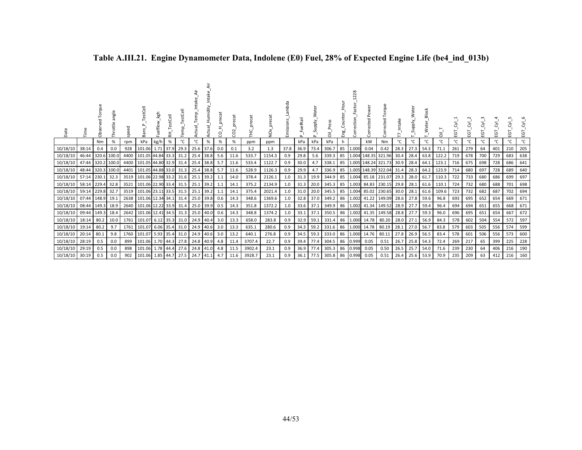| Date           |       | 킁<br>ಗೆ | angle<br>Throttle | speed | TestCell<br>유          | kgh  | stCell<br>돉 | ξī   |           | Humidity  | precat<br>8 | precat<br>$\sim$<br>O | precat<br>Ξ | precat<br>δ× | mbda<br>Emissions | uelRail<br>௳ | 눕<br>듢<br>Supply<br>n. | គី       | Hour<br>ى<br>Eng | $\frac{8}{2}$<br>$\sim$<br>ction<br>š | ە<br>Pow<br>Corrected | orque<br>⊢<br>cted<br>ه<br>້ອຸ |      | ater<br>W_Vlqqu<br>S | <b>Block</b><br>_Water | నే    | ΕGΤ | ပ္မ | ن<br>ũ. | ية  | ΣŚ<br>ΞGΤ | হ'<br>ē |
|----------------|-------|---------|-------------------|-------|------------------------|------|-------------|------|-----------|-----------|-------------|-----------------------|-------------|--------------|-------------------|--------------|------------------------|----------|------------------|---------------------------------------|-----------------------|--------------------------------|------|----------------------|------------------------|-------|-----|-----|---------|-----|-----------|---------|
|                |       | Nm      | %                 | rpm   | kPa                    | kg/h | %           | °C   | °C        | %         | $\%$        | %                     | ppm         | ppm          |                   | kPa          | kPa                    | kPa      | h                |                                       | kW                    | Nm                             | °C   | °C                   | °С                     | °C    | °C  | °C  | °C      | °C  | °C        | ℃       |
| 10/18/10       | 38:14 | 0.4     | 0.0               | 928   | 101.06 1.71 37.9       |      |             | 29.3 | 25.6      | 37.6      | 0.0         | 0.1                   | 3.2         | 1.3          | 37.8              | 36.9         | 73.4                   | 306.7    | 85               | 1.000                                 | 0.04                  | 0.42                           | 28.3 | 27.3                 | 54.3                   | 71.1  | 261 | 279 | 64      | 401 | 210       | 205     |
| 10/18/10       | 46:44 | 320.6   | 100.0             |       | 4400 101.05 44.84 33.3 |      |             | 31.2 | 25.4 38.8 |           | 5.6         | 11.6                  | 533.7       | 1154.3       | 0.9               | 29.8         | 5.6                    | 339.3    | 85               |                                       |                       | 1.004 148.35 321.96            | 30.4 | 28.4                 | 63.8                   | 122.2 | 719 | 678 | 700     | 729 | 683       | 638     |
| 10/18/10       | 47:44 |         | 320.2 100.0       |       | 4400 101.05 44.80 32.9 |      |             | 31.4 | 25.4      | 38.8      | 5.7         | 11.6                  | 533.4       | 1122.7       | 0.9               | 30.0         | 4.7                    | 338.1    | 85               |                                       |                       | 1.005 148.24 321.73            | 30.9 | 28.4                 | 64.1                   | 123.1 | 716 | 675 | 698     | 728 | 686       | 641     |
| 10/18/10       | 48:44 |         | 320.3 100.0       |       | 4401 101.05 44.88 33.0 |      |             | 31.3 | 25.4      | 38.8      | 5.7         | 11.6                  | 528.9       | 1126.3       | 0.9               | 29.9         | 4.7                    | 336.9    | 85               |                                       |                       | 1.005 148.39 322.04            | 31.4 | 28.3                 | 64.2                   | 123.9 | 714 | 680 | 697     | 728 | 689       | 640     |
| 10/18/10       | 57:14 | 230.1   | 32.3              |       | 3519 101.06 22.98 33.2 |      |             | 31.6 | 25.1 39.2 |           | 1.1         | 14.0                  | 378.4       | 2126.1       | 1.0               | 31.3         | 19.9                   | 344.9    | 85               | 1.004                                 |                       | 85.18 231.07                   | 29.3 | 28.0                 | 61.7                   | 110.3 | 722 | 733 | 680     | 686 | 699       | 697     |
| 10/18/10       | 58:14 | 229.4   | 32.8              | 3521  | 101.06 22.90 33.4      |      |             | 31.5 | 25.1 39.2 |           | 1.1         | 14.1                  | 375.2       | 2134.9       | 1.0               | 31.3         | 20.0                   | 345.3    | 85               | 1.003                                 |                       | 84.83 230.15                   | 29.8 | 28.1                 | 61.6                   | 110.1 | 724 | 732 | 680     | 688 | 701       | 698     |
| 10/18/10       | 59:14 | 229.8   | 32.7              | 3519  | 101.06 23.11 33.5      |      |             | 31.5 | 25.1      | 39.2      | 1.1         | 14.1                  | 375.4       | 2021.4       | 1.0               | 31.0         | 20.0                   | 345.5    | 85               | 1.004                                 |                       | 85.02 230.65                   | 30.0 | 28.1                 | 61.6                   | 109.6 | 723 | 732 | 682     | 687 | 702       | 694     |
| 10/18/10       | 07:44 | 148.9   | 19.1              |       | 2638 101.06 12.34 34.1 |      |             | 31.4 | 25.0 39.8 |           | 0.6         | 14.3                  | 348.6       | 1369.6       | 1.0               | 32.8         | 37.0                   | 349.2    | 86               | 1.002                                 |                       | 41.22 149.09                   | 28.6 | 27.8                 | 59.6                   | 96.8  | 693 | 695 | 652     | 654 | 669       | 671     |
| 10/18/10       | 08:44 | 149.3   | 18.9              |       | 2640 101.06 12.22 33.9 |      |             | 31.4 |           | 25.0 39.9 | 0.5         | 14.3                  | 351.8       | 1372.2       | 1.0               | 33.6         | 37.1                   | 349.9    | 86               | 1.0021                                |                       | 41.34 149.52                   | 28.9 | 27.7                 | 59.4                   | 96.4  | 694 | 694 | 651     | 655 | 668       | 671     |
| 10/18/10 09:44 |       | 149.3   | 18.4              |       | 2642 101.06 12.41 34.5 |      |             | 31.3 | 25.0      | 40.0      | 0.6         | 14.3                  | 348.8       | 1374.2       | 1.0               | 33.1         | 37.1                   | 350.5    | 86               | 1.002                                 |                       | 41.35 149.58                   | 28.8 | 27.7                 | 59.3                   | 96.0  | 696 | 695 | 651     | 654 | 667       | 672     |
| 10/18/10       | 18:14 | 80.2    | 10.0              | 1761  | 101.07 6.12 35.3       |      |             | 31.0 | 24.9      | 40.4      | 3.0         | 13.3                  | 658.0       | 283.8        | 0.9               | 32.9         | 59.1                   | 331.4    | 86               | 1.000                                 | 14.78                 | 80.20                          | 28.0 | 27.1                 | 56.9                   | 84.3  | 578 | 602 | 504     | 554 | 572       | 597     |
| 10/18/10       | 19:14 | 80.2    | 9.7               | 1761  | 101.07 6.06 35.4       |      |             | 31.0 | 24.9 40.6 |           | 3.0         | 13.3                  | 635.1       | 280.6        | 0.9               | 34.3         | 59.2                   | 331.6    | 86               | 1.000                                 |                       | 14.78 80.19                    | 28.1 | 27.0                 | 56.7                   | 83.8  | 579 | 603 | 505     | 556 | 574       | 599     |
| 10/18/10       | 20:14 | 80.1    | 9.8               | 1760  | 101.07 5.93 35.4       |      |             | 31.0 | 24.9      | 40.6      | 3.0         | 13.2                  | 640.1       | 276.8        | 0.9               | 34.5         | 59.3                   | 333.0    | 86               | 1.000                                 | 14.76                 | 80.11                          | 27.8 | 26.9                 | 56.5                   | 83.4  | 578 | 601 | 506     | 556 | 573       | 600     |
| 10/18/10       | 28:19 | 0.5     | 0.0               | 899   | 101.06 1.70 44.3       |      |             | 27.8 | 24.8      | 40.9      | 4.8         | 11.4                  | 3707.4      | 22.7         | 0.9               | 39.4         | 77.4                   | 304.5    | 86               | 0.999                                 | 0.05                  | 0.51                           | 26.7 | 25.8                 | 54.3                   | 72.4  | 269 | 217 | 65      | 399 | 225       | 228     |
| 10/18/10       | 29:19 | 0.5     | 0.0               | 898   | 101.06 1.78 44.4       |      |             | 27.6 | 24.8 41.0 |           | 4.8         | 11.5                  | 3902.4      | 23.1         | 0.9               | 36.9         | 77.4                   | 305.3    | 86               | 0.998                                 | 0.05                  | 0.50                           | 26.5 | 25.7                 | 54.0                   | 71.6  | 239 | 230 | 64      | 406 | 216       | 190     |
| 10/18/10 30:19 |       | 0.5     | 0.0               | 902   | 101.06 1.85 44.7       |      |             | 27.5 | 24.7 41.1 |           | 4.7         | 11.6                  | 3928.7      | 23.1         | 0.9               | 36.1         | 77.5                   | 305.8 86 |                  | 0.998                                 | 0.05                  | 0.51                           | 26.4 | 25.6                 | 53.9                   | 70.9  | 235 | 209 | 63      | 412 | 216       | 160     |

### **Table A.III.21. Engine Dynamometer Data, Indolene (E0) Fuel, 28% of Expected Engine Life (be4\_ind\_013b)**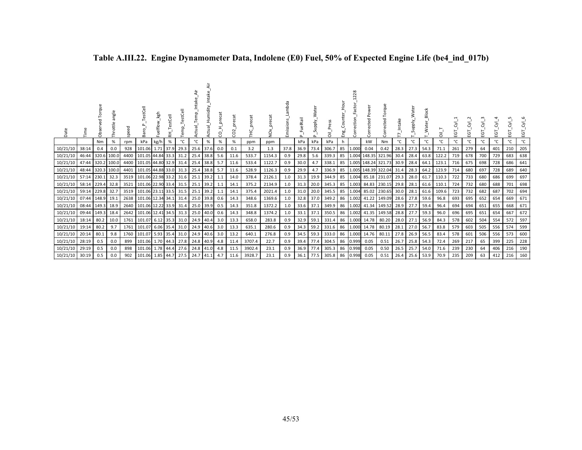| Date           |       | සි    | angle<br>Throttle | speed | TestCell<br>Βāτ        | kgh              | stCell<br>돉 |      | g         | Humidity  | precat<br>g | precat<br>$\sim$<br>႙ | precat | precat<br>δ× | mbda<br>Emissions | FuelRail<br>௳ | ৯<br>ਛ<br>Supply<br>$\sim$ | គី       | Hour<br>Ĕ<br>ិញ<br>អ្ន | 28<br>$\sim$<br>ection<br>م<br>S | ৯<br>Pow<br>Corrected | orque<br>۴<br>Corrected |      | ater<br>W <sub>-</sub> Widdne<br>S | <b>Block</b><br>Water | ಸ     | Ξ   | ĒΘ  | ĒΘ  | ΕGΤ | ΣŚ<br>EGT | Σ.<br>EGT |
|----------------|-------|-------|-------------------|-------|------------------------|------------------|-------------|------|-----------|-----------|-------------|-----------------------|--------|--------------|-------------------|---------------|----------------------------|----------|------------------------|----------------------------------|-----------------------|-------------------------|------|------------------------------------|-----------------------|-------|-----|-----|-----|-----|-----------|-----------|
|                |       | Nm    | %                 | rpm   | kPa                    | kg/h             | %           | °C   | °C        | %         | %           | %                     | ppm    | ppm          |                   | kPa           | kPa                        | kPa      | h                      |                                  | kW                    | Nm                      | °C   | °C                                 | °C                    | °C    | °C  | °C  | °C  | °C  | °C        | ℃         |
| 10/21/10       | 38:14 | 0.4   | 0.0               | 928   |                        | 101.06 1.71 37.9 |             | 29.3 | 25.6      | 37.6      | 0.0         | 0.1                   | 3.2    | 1.3          | 37.8              | 36.9          | 73.4                       | 306.7    | 85                     | 1.000                            | 0.04                  | 0.42                    | 28.3 | 27.3                               | 54.3                  | 71.1  | 261 | 279 | 64  | 401 | 210       | 205       |
| 10/21/10       | 46:44 | 320.6 | 100.0             | 4400  | 101.05 44.84 33.3      |                  |             | 31.2 | 25.4      | 38.8      | 5.6         | 11.6                  | 533.7  | 1154.3       | 0.9               | 29.8          | 5.6                        | 339.3    | 85                     |                                  |                       | 1.004 148.35 321.96     | 30.4 | 28.4                               | 63.8                  | 122.2 | 719 | 678 | 700 | 729 | 683       | 638       |
| 10/21/10       | 47:44 |       | 320.2 100.0       | 4400  | 101.05 44.80 32.9      |                  |             | 31.4 | 25.4      | 38.8      | 5.7         | 11.6                  | 533.4  | 1122.7       | 0.9               | 30.0          | 4.7                        | 338.1    | 85                     |                                  |                       | 1.005 148.24 321.73     | 30.9 | 28.4                               | 64.1                  | 123.1 | 716 | 675 | 698 | 728 | 686       | 641       |
| 10/21/10       | 48:44 |       | 320.3 100.0       |       | 4401 101.05 44.88 33.0 |                  |             | 31.3 | 25.4      | 38.8      | 5.7         | 11.6                  | 528.9  | 1126.3       | 0.9               | 29.9          | 4.7                        | 336.9    | 85                     |                                  |                       | 1.005 148.39 322.04     | 31.4 | 28.3                               | 64.2                  | 123.9 | 714 | 680 | 697 | 728 | 689       | 640       |
| 10/21/10       | 57:14 | 230.1 | 32.3              | 3519  | 101.06 22.98 33.2      |                  |             | 31.6 | 25.1      | 39.2      | 1.1         | 14.0                  | 378.4  | 2126.1       | 1.0               | 31.3          | 19.9                       | 344.9    | 85                     | 1.004                            |                       | 85.18 231.07            | 29.3 | 28.0                               | 61.7                  | 110.3 | 722 | 733 | 680 | 686 | 699       | 697       |
| 10/21/10       | 58:14 | 229.4 | 32.8              | 3521  | 101.06 22.90 33.4      |                  |             | 31.5 | 25.1 39.2 |           | 1.1         | 14.1                  | 375.2  | 2134.9       | 1.0               | 31.3          | 20.0                       | 345.3    | 85                     | 1.003                            |                       | 84.83 230.15            | 29.8 | 28.1                               | 61.6                  | 110.1 | 724 | 732 | 680 | 688 | 701       | 698       |
| 10/21/10       | 59:14 | 229.8 | 32.7              | 3519  | 101.06 23.11 33.5      |                  |             | 31.5 | 25.1 39.2 |           | 1.1         | 14.1                  | 375.4  | 2021.4       | 1.0               | 31.0          | 20.0                       | 345.5    | 85                     | 1.004                            |                       | 85.02 230.65            | 30.0 | 28.1                               | 61.6                  | 109.6 | 723 | 732 | 682 | 687 | 702       | 694       |
| 10/21/10       | 07:44 | 148.9 | 19.1              |       | 2638 101.06 12.34 34.1 |                  |             | 31.4 |           | 25.0 39.8 | 0.6         | 14.3                  | 348.6  | 1369.6       | 1.0               | 32.8          | 37.0                       | 349.2    | 86                     | 1.002                            |                       | 41.22 149.09            | 28.6 | 27.8                               | 59.6                  | 96.8  | 693 | 695 | 652 | 654 | 669       | 671       |
| 10/21/10       | 08:44 | 149.3 | 18.9              |       | 2640 101.06 12.22 33.9 |                  |             | 31.4 | 25.0      | 39.9      | 0.5         | 14.3                  | 351.8  | 1372.2       | 1.0               | 33.6          | 37.1                       | 349.9    | 86                     | 1.002                            |                       | 41.34 149.52            | 28.9 | 27.7                               | 59.4                  | 96.4  | 694 | 694 | 651 | 655 | 668       | 671       |
| 10/21/10       | 09:44 | 149.3 | 18.4              |       | 2642 101.06 12.41 34.5 |                  |             | 31.3 | 25.0      | 40.0      | 0.6         | 14.3                  | 348.8  | 1374.2       | 1.0               | 33.1          | 37.1                       | 350.5    | 86                     | 1.002                            |                       | 41.35 149.58            | 28.8 | 27.7                               | 59.3                  | 96.0  | 696 | 695 | 651 | 654 | 667       | 672       |
| 10/21/10       | 18:14 | 80.2  | 10.0              | 1761  | 101.07 6.12 35.3       |                  |             | 31.0 | 24.9      | 40.4      | 3.0         | 13.3                  | 658.0  | 283.8        | 0.9               | 32.9          | 59.1                       | 331.4    | 86                     | 1.000                            | 14.78                 | 80.20                   | 28.0 | 27.1                               | 56.9                  | 84.3  | 578 | 602 | 504 | 554 | 572       | 597       |
| 10/21/10       | 19:14 | 80.2  | 9.7               | 1761  | 101.07 6.06 35.4       |                  |             | 31.0 | 24.9 40.6 |           | 3.0         | 13.3                  | 635.1  | 280.6        | 0.9               | 34.3          | 59.2                       | 331.6    | 86                     | 1.000                            |                       | 14.78 80.19             | 28.1 | 27.0                               | 56.7                  | 83.8  | 579 | 603 | 505 | 556 | 574       | 599       |
| 10/21/10       | 20:14 | 80.1  | 9.8               | 1760  | 101.07 5.93 35.4       |                  |             | 31.0 | 24.9      | 40.6      | 3.0         | 13.2                  | 640.1  | 276.8        | 0.9               | 34.5          | 59.3                       | 333.0    | 86                     | 1.000                            |                       | 14.76 80.11             | 27.8 | 26.9                               | 56.5                  | 83.4  | 578 | 601 | 506 | 556 | 573       | 600       |
| 10/21/10       | 28:19 | 0.5   | 0.0               | 899   | 101.06 1.70 44.3       |                  |             | 27.8 | 24.8 40.9 |           | 4.8         | 11.4                  | 3707.4 | 22.7         | 0.9               | 39.4          | 77.4                       | 304.5    | 86                     | 0.999                            | 0.05                  | 0.51                    | 26.7 | 25.8                               | 54.3                  | 72.4  | 269 | 217 | 65  | 399 | 225       | 228       |
| 10/21/10       | 29:19 | 0.5   | 0.0               | 898   | 101.06 1.78 44.4       |                  |             | 27.6 | 24.8      | 41.0      | 4.8         | 11.5                  | 3902.4 | 23.1         | 0.9               | 36.9          | 77.4                       | 305.3    | 86                     | 0.998                            | 0.05                  | 0.50                    | 26.5 | 25.7                               | 54.0                  | 71.6  | 239 | 230 | 64  | 406 | 216       | 190       |
| 10/21/10 30:19 |       | 0.5   | 0.0               | 902   | 101.06 1.85 44.7       |                  |             | 27.5 | 24.7 41.1 |           | 4.7         | 11.6                  | 3928.7 | 23.1         | 0.9               | 36.1          | 77.5                       | 305.8 86 |                        | 0.998                            | 0.05                  | 0.51                    | 26.4 |                                    | 25.6 53.9             | 70.9  | 235 | 209 | 63  | 412 | 216       | 160       |

### **Table A.III.22. Engine Dynamometer Data, Indolene (E0) Fuel, 50% of Expected Engine Life (be4\_ind\_017b)**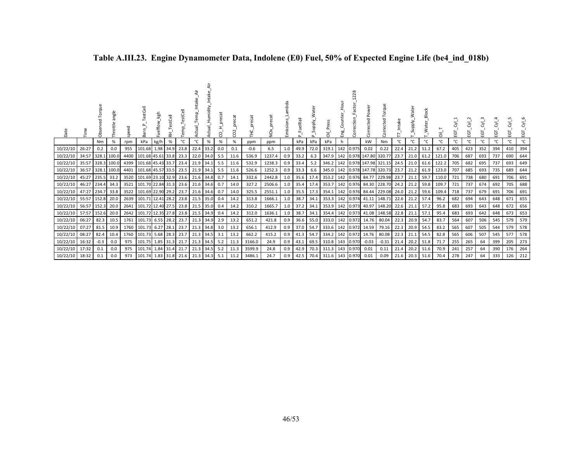| Date                 |                | 킁<br>ಗೆ             | angle<br>Throttle |              | estCell<br>යි                          | kgh<br>uelflow | tCell<br>盂 | $\omega$     | emp <sub>.</sub><br>ರ  | umidity | precat<br>8 | نه<br>$\sim$<br>$\circ$<br>Ō |                | ğ                | mbda<br>Emissions | uelRail      | <b>Alddn</b><br>Ū. | ā                              |    | 228<br>Correction | Power<br>Corrected                 | rque<br>Ō<br>ected                                    |              | ater<br><b>Viddn</b><br>თ. | Block<br>_Water_ | ā,             | ΕGΤ        | ĒΘ         | ن<br>ū     | ਣਂ<br>Ξā   | ਣੱ<br>Ξ    | ਣਂ<br>EGT  |
|----------------------|----------------|---------------------|-------------------|--------------|----------------------------------------|----------------|------------|--------------|------------------------|---------|-------------|------------------------------|----------------|------------------|-------------------|--------------|--------------------|--------------------------------|----|-------------------|------------------------------------|-------------------------------------------------------|--------------|----------------------------|------------------|----------------|------------|------------|------------|------------|------------|------------|
|                      |                | Nm                  | %                 | rpm          | kPa                                    | kg/h           | %          | °C           | °C                     | %       | $\%$        | %                            | ppm            | ppm              |                   | kPa          | kPa                | kPa                            | h. |                   | kW                                 | Nm                                                    | °C           | °C                         | °C               | $^{\circ}$ C   | °C         | °C         | °C         | °C         |            | °C         |
| 10/22/10             | 26:27          | 0.2                 | 0.0               | 955          | 101.68 1.98 34.9                       |                |            | 23.8         | 22.4                   | 33.2    | 0.0         | 0.1                          | -0.6           | 6.5              | 1.0               | 49.9         |                    | 72.0 319.1                     |    | 142 0.975         | 0.02                               | 0.22                                                  | 22.4         | 21.2                       | 51.2             | 67.2           | 405        | 423        | 352        | 394        | 410        | 394        |
| 10/22/10             | 34:57          |                     | 328.1 100.0       | 4400         | 101.68 45.61 33.8                      |                |            | 23.3         | 22.0 34.0              |         | 5.5         | 11.6                         | 536.9          | 1237.4           | 0.9               | 33.2         | 6.3                | 347.9                          |    |                   |                                    | 142 0.978 147.80 320.77                               | 23.7         | 21.0                       | 61.2             | 121.0          | 706        | 687        | 693        | 737        | 690        | 644        |
| 10/22/10             | 35:57          |                     | 328.3 100.0       | 4399         | 101.68 45.43 33.7                      |                |            | 23.4         | 21.9 34.1              |         | 5.5         | 11.6                         | 532.9          | 1238.3           | 0.9               | 33.4         | 5.2                | 346.2                          |    |                   |                                    | 142 0.978 147.98 321.15                               | 24.5         | 21.0                       | 61.6             | 122.2          | 705        | 682        | 695        | 737        | 693        | 649        |
| 10/22/10             | 36:57          |                     | 328.1 100.0       | 4401         | 101.68 45.57 33.5                      |                |            | 23.5         | 21.9 34.1              |         | 5.5         | 11.6                         | 526.6          | 1252.3           | 0.9               | 33.3         | 6.6 <sup>1</sup>   | 345.0                          |    |                   |                                    | 142 0.978 147.78 320.73                               | 23.7         | 21.2                       | 61.9             | 123.0          | 707        | 685        | 693        | 735        | 689        | 644        |
| 10/22/10             | 45:27          | 235.5               | 33.2              | 3520         | 101.69 23.10 32.9                      |                |            | 23.6         | 21.6 34.8              |         | 0.7         | 14.1                         | 332.6          | 2442.8           | 1.0               | 35.6         | 17.4               |                                |    |                   | 353.2 142 0.976 84.77              | 229.98                                                | 23.7         | 21.1                       | 59.7             | 110.0          | 721        | 738        | 680        | 691<br>692 | 706        | 691<br>688 |
| 10/22/10<br>10/22/10 | 46:27<br>47:27 | 234.4 34.3<br>234.7 | 33.8              | 3521<br>3522 | 101.70 22.84 31.3<br>101.69 22.90 29.2 |                |            | 23.6<br>23.7 | 21.6 34.6<br>21.6 34.6 |         | 0.7<br>0.7  | 14.0<br>14.0                 | 327.2<br>325.5 | 2506.6<br>2551.1 | 1.0<br>1.0        | 35.4<br>35.5 |                    | 17.3 354.1                     |    |                   | 142 0.976 84.44                    | 17.4   353.7   142   0.976   84.30   228.70<br>229.08 | 24.2<br>24.0 | 21.2<br>21.2               | 59.8<br>59.6     | 109.7<br>109.4 | 721<br>718 | 737<br>737 | 674<br>679 | 691        | 705<br>706 | 691        |
| 10/22/10             | 55:57          | 152.8               | 20.0              | 2639         | 101.71 12.41 28.2                      |                |            | 23.8         | 21.5 35.0              |         | 0.4         | 14.2                         | 313.8          | 1666.1           | 1.0               | 38.7         |                    |                                |    |                   | 34.1 353.3 142 0.974 41.11         | 148.71                                                | 22.6         | 21.2                       | 57.4             | 96.2           | 682        | 694        | 643        | 648        | 671        | 655        |
| 10/22/10             | 56:57          | 152.3               | 20.0              | 2641         | 101.72 12.40 27.5                      |                |            | 23.8         | 21.5 35.0              |         | 0.4         | 14.2                         | 310.2          | 1665.7           | 1.0               | 37.2         | 34.1               |                                |    |                   | 353.9 142 0.973 40.97              | 148.20                                                | 22.6         | 21.1                       | 57.2             | 95.8           | 683        | 693        | 643        | 648        | 672        | 656        |
| 10/22/10 57:57       |                | 152.6               | 20.0              | 2642         | 101.72 12.35 27.8                      |                |            | 23.8         | 21.5 34.9              |         | 0.4         | 14.2                         | 312.0          | 1636.1           | 1.0               | 38.7         |                    |                                |    |                   | 34.1 354.4 142 0.973 41.08         | 148.58                                                | 22.8         | 21.1                       | 57.1             | 95.4           | 683        | 693        | 642        | 648        | 673        | 653        |
| 10/22/10             | 06:27          | 82.3                | 10.5              |              | 1761 101.73 6.55 28.2                  |                |            | 23.7         | 21.3 34.9              |         | 2.9         | 13.2                         | 651.2          | 421.8            | 0.9               | 36.6         |                    | 55.0 333.0                     |    |                   | 142 0.972 14.76                    | 80.04                                                 | 22.3         | 20.9                       | 54.7             | 83.7           | 564        | 607        | 506        | 545        | 579        | 579        |
| 10/22/10 07:27       |                | 81.5                | 10.9              |              | 1760 101.73 6.27 28.1                  |                |            | 23.7         | 21.3 34.8              |         | 3.0         | 13.2                         | 656.1          | 412.9            | 0.9               | 37.0         |                    |                                |    |                   | 54.7   333.6   142   0.972   14.59 | 79.16                                                 | 22.3         | 20.9                       | 54.5             | 83.2           | 565        | 607        | 505        | 544        | 579        | 578        |
| 10/22/10             | 08:27          | 82.4                | 10.4              | 1760         | 101.73 5.68 28.3                       |                |            | 23.7         | 21.3 34.5              |         | 3.1         | 13.2                         | 662.2          | 415.2            | 0.9               | 41.3         | 54.7               | 334.2                          |    |                   | 142 0.972 14.76                    | 80.08                                                 | 22.3         | 21.1                       | 54.5             | 82.8           | 565        | 606        | 507        | 545        | 577        | 578        |
| 10/22/10             | 16:32          | $-0.3$              | 0.0               | 975          | 101.75 1.85 31.3                       |                |            | 21.7         | 21.3 34.5              |         | 5.2         | 11.3                         | 3166.0         | 24.9             | 0.9               | 43.1         |                    | 69.5 310.8 143 0.970           |    |                   | $-0.03$                            | $-0.31$                                               | 21.4         | 20.2                       | 51.8             | 71.7           | 255        | 265        | 64         | 399        | 205        | 273        |
| 10/22/10             | 17:32          | 0.1                 | 0.0               | 975          | 101.74 1.84 31.4                       |                |            | 21.7         | 21.3 34.5              |         | 5.2         | 11.3                         | 3599.9         | 24.8             | 0.9               | 42.9         |                    | 70.3 311.3 143                 |    | 0.970             | 0.01                               | 0.11                                                  | 21.4         | 20.2                       | 51.6             | 70.9           | 241        | 257        | 64         | 390        | 176        | 264        |
| 10/22/10 18:32       |                | 0.1                 | 0.0               | 973          | 101.74 1.83 31.8 21.6                  |                |            |              | 21.3 34.3              |         | 5.1         | 11.2                         | 3486.1         | 24.7             | 0.9               |              |                    | 42.5 70.4 311.6 143 0.970 0.01 |    |                   |                                    | 0.09                                                  | 21.6         | 20.3                       | 51.6             | 70.4           | 278        | 247        | 64         | 333        | 126        | 212        |

# **Table A.III.23. Engine Dynamometer Data, Indolene (E0) Fuel, 50% of Expected Engine Life (be4\_ind\_018b)**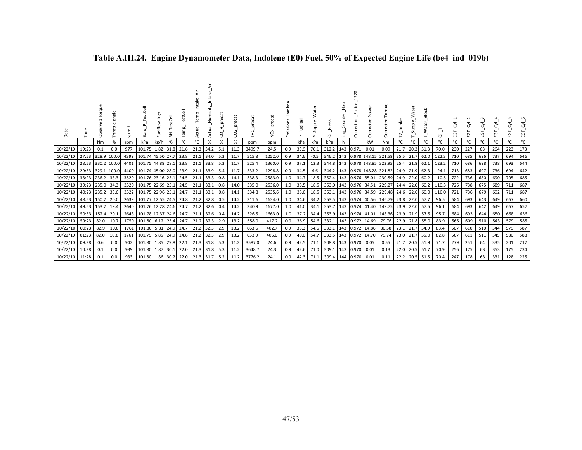| Date     | Time             | orau<br><b>Obs</b> | angle<br>Throttle | ğ,   | 눎<br>Bar               | kgh<br>Fuelflow | estCell<br>준 | emp  | Temp<br>ಕ<br>ţ | _Intak<br>Humidity<br>Actual | eca<br>ă<br>ς | precat<br>CO <sub>2</sub> | ecat   | ð      | Emission | uelRail<br>௨    | atēr<br>Supply.<br>$\Omega$ | ᇹ               | Eng. | $\mathbf{\tilde{N}}$<br>ction<br>Corr | Power<br>cted<br>Ğ | gue<br>۳<br>cted<br>P,  | Intake<br>$\overline{ }$ | ater<br>-Niddn<br>S | ater<br>≷      | $\overline{\overline{\sigma}}$ | ĒΘ  | $\sim$<br>ਣਂ<br>ΕGΤ | ē   | 궁<br>ē | S<br>Σ,<br>53 | ङ<br>EGT |
|----------|------------------|--------------------|-------------------|------|------------------------|-----------------|--------------|------|----------------|------------------------------|---------------|---------------------------|--------|--------|----------|-----------------|-----------------------------|-----------------|------|---------------------------------------|--------------------|-------------------------|--------------------------|---------------------|----------------|--------------------------------|-----|---------------------|-----|--------|---------------|----------|
|          |                  | Nm                 | %                 | rpm  | kPa                    | kg/h            | %            | °C   | °C             | %                            | %             | %                         | ppm    | ppm    |          | kPa             | kPa                         | kPa             | n.   |                                       | kW                 | Nm                      | °C                       | °C                  | °C             | °C                             | ℃   | °C                  | °C  | °C     | °C            | °C       |
| 10/22/10 | 19:23            | 0.1                | 0.0               | 977  | 101.75                 | 1.82            | 31.8         | 21.6 | 21.3 34.2      |                              | 5.1           | 11.3                      | 3499.7 | 24.5   | 0.9      | 39.9            | 70.1                        | 312.2           |      | 143 0.971                             | 0.01               | 0.09                    | 21.7                     | 20.2                | 51.3           | 70.0                           | 230 | 227                 | 63  | 264    | 223           | 173      |
| 10/22/10 |                  |                    | 27:53 328.9 100.0 |      | 4399 101.74 45.50 27.7 |                 |              | 23.8 | 21.1 34.0      |                              | 5.3           | 11.7                      | 515.8  | 1252.0 | 0.9      | 34.6            | $-0.5$                      | 346.2           |      |                                       |                    | 143 0.978 148.15 321.58 | 25.5 21.7 62.0           |                     |                | 122.3                          | 710 | 685                 | 696 | 737    | 694           | 646      |
| 10/22/10 |                  |                    | 28:53 330.2 100.0 | 4401 | 101.75 44.88 28.1      |                 |              | 23.8 | 21.1           | 33.8                         | 5.3           | 11.7                      | 525.4  | 1360.0 | 0.9      | 37.1            | 12.3                        | 344.8           |      |                                       |                    | 143 0.978 148.85 322.95 |                          | 25.4 21.8           | 62.1           | 123.2                          | 710 | 686                 | 698 | 738    | 693           | 644      |
| 10/22/10 |                  |                    | 29:53 329.1 100.0 |      | 4400 101.74 45.00 28.0 |                 |              | 23.9 | 21.1 33.9      |                              | 5.4           | 11.7                      | 533.2  | 1298.8 | 0.9      | 34.5            | 4.6                         | 344.2           |      |                                       |                    | 143 0.978 148.28 321.82 | 24.9 21.9                |                     | 62.3           | 124.1                          | 713 | 683                 | 697 | 736    | 694           | 642      |
| 10/22/10 | 38:23            | 236.2 33.3         |                   | 3520 | 101.76 23.16 25.1      |                 |              | 24.5 | 21.1           | 33.3                         | 0.8           | 14.1                      | 338.3  | 2583.0 | 1.0      | 34.7            | 18.5                        | 352.4           |      | 143 0.976                             |                    | 85.01 230.59            | 24.9 22.0                |                     | 60.2           | 110.5                          | 722 | 736                 | 680 | 690    | 705           | 685      |
| 10/22/10 | 39:23 235.0 34.3 |                    |                   |      | 3520 101.75 22.69 25.1 |                 |              | 24.5 | 21.1 33.1      |                              | 0.8           | 14.0                      | 335.0  | 2536.0 | 1.0      |                 | $35.5$ 18.5                 | 353.0           |      |                                       |                    | 143 0.976 84.51 229.27  | 24.4 22.0                |                     | 60.2           | 110.3                          | 726 | 738                 | 675 | 689    | 711           | 687      |
| 10/22/10 |                  | 40:23 235.2 33.6   |                   | 3522 | 101.75 22.96 25.1      |                 |              | 24.7 | 21.1           | 33.1                         | 0.8           | 14.1                      | 334.8  | 2535.6 | 1.0      | 35.0            | 18.5                        | 353.1           |      |                                       |                    | 143 0.976 84.59 229.48  | 24.6 22.0                |                     | 60.0           | 110.0                          | 721 | 736                 | 679 | 692    | 711           | 687      |
| 10/22/10 | 48:53 150.7 20.0 |                    |                   |      | 2639 101.77 12.55 24.5 |                 |              | 24.8 | 21.2           | 32.8                         | 0.5           | 14.2                      | 311.6  | 1634.0 | 1.0      | 34.6            | 34.2                        | 353.5 143 0.974 |      |                                       |                    | 40.56 146.79            | 23.8 22.0 57.7           |                     |                | 96.5                           | 684 | 693                 | 643 | 649    | 667           | 660      |
| 10/22/10 |                  | 49:53 153.7        | 19.4              | 2640 | 101.76 12.28 24.6      |                 |              | 24.7 | 21.2           | 32.6                         | 0.4           | 14.2                      | 340.9  | 1677.0 | 1.0      | 41.0            | 34.1                        | 353.7           |      | 143 0.974                             |                    | 41.40 149.75            | 23.9 22.0                |                     | 57.5           | 96.1                           | 684 | 693                 | 642 | 649    | 667           | 657      |
| 10/22/10 | 50:53 152.4      |                    | 20.1              |      | 2643 101.78 12.37 24.6 |                 |              | 24.7 | 21.1           | 32.6                         | 0.4           | 14.2                      | 326.5  | 1663.0 | 1.0      | 37.2            | 34.4                        | 353.9           |      | 143 0.974                             |                    | 41.01 148.36            |                          | 23.9 21.9           | 57.5           | 95.7                           | 684 | 693                 | 644 | 650    | 668           | 656      |
| 10/22/10 | 59:23            | 82.0               | 10.7              | 1759 | 101.80                 | 6.12            | 25.4         | 24.7 | 21.2           | 32.3                         | 2.9           | 13.2                      | 658.0  | 417.2  | 0.9      | 36.9            | 54.6                        | 332.1           |      | 143 0.972                             | 14.69              | 79.76                   | 22.9                     | 21.8                | 55.0           | 83.9                           | 565 | 609                 | 510 | 543    | 579           | 585      |
| 10/22/10 | 00:23            | 82.9               | 10.6              | 1761 | 101.80                 | 5.81            | 24.9         | 24.7 | 21.2           | 32.3                         | 2.9           | 13.2                      | 663.6  | 402.7  | 0.9      | 38.3            | 54.6                        | 333.1           | 143  | 0.972                                 | 14.86              | 80.58                   | 23.1 21.7                |                     | 54.9           | 83.4                           | 567 | 610                 | 510 | 544    | 579           | 587      |
| 10/22/10 | 01:23            | 82.0               | 10.8              | 1761 | 101.79                 | 5.85            | 24.9         | 24.6 | 21.2           | 32.3                         | 2.9           | 13.2                      | 653.9  | 406.0  | 0.9      | 40.0            | 54.7                        | 333.5           | 143  | 0.972                                 | 14.70              | 79.74                   | 23.0 21.7                |                     | 55.0           | 82.8                           | 567 | 611                 | 511 | 545    | 580           | 588      |
| 10/22/10 | 09:28            | 0.6                | 0.0               | 942  | 101.80 1.85            |                 | 29.8         | 22.1 | 21.3 31.8      |                              | 5.3           | 11.2                      | 3587.0 | 24.6   | 0.9      | 42.5            | 71.1                        | 308.8           | 143  | 0.970                                 | 0.05               | 0.55                    |                          | 21.7 20.5 51.9      |                | 71.7                           | 279 | 251                 | 64  | 335    | 201           | 217      |
| 10/22/10 | 10:28            | 0.1                | 0.0               | 939  | 101.80                 | 1.87            | 30.1         | 22.0 | 21.3           | 31.8                         | 5.3           | 11.2                      | 3648.7 | 24.3   | 0.9      | 42.6            | 71.0                        | 309.1           | 143  | 0.970                                 | 0.01               | 0.13                    | 22.0                     | 20.5                | 51.7           | 70.9                           | 256 | 175                 | 63  | 353    | 175           | 234      |
| 10/22/10 | 11:28            | 0.1                | 0.0               | 933  | 101.80 1.86 30.2       |                 |              |      | 22.0 21.3      | 31.7                         | 5.2           | 11.2                      | 3776.2 | 24.1   |          | $0.9$ 42.3 71.1 |                             | 309.4           |      | 144 0.970                             | 0.01               | 0.11                    |                          |                     | 22.2 20.5 51.5 | 70.4                           | 247 | 178                 | 63  | 331    | 128           | 225      |

### **Table A.III.24. Engine Dynamometer Data, Indolene (E0) Fuel, 50% of Expected Engine Life (be4\_ind\_019b)**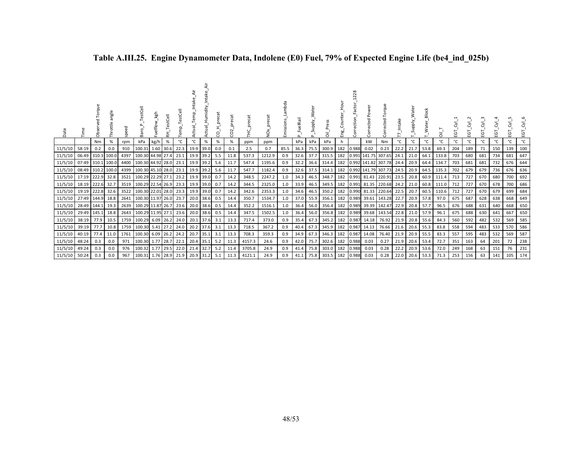| Date    | Time          | Torque<br>요<br>Obsei | angle<br>Throttle | speed | යි                | _kgh<br>Fuelflow | TestCell<br>臣 | estCell<br>emp.<br>E | ≑<br>ctual_Temp_Int | _Intake<br>Actual_Humidity | cat<br>ã<br>g | precat<br>$\mathbf{a}$<br>$\circ$ | precat<br>ご<br>上 | ğ      | Lambda<br>Emissions | FuelRail<br>$\Delta$ | Water<br>Supply<br>$\Omega$ | Press<br>ā | Eng.<br>Eng | 28<br>ction<br>Corr | Power<br>Corrected | orque<br>⊢<br>Corrected  | Intake | ater<br>Supply. | Block<br>_Water_ | ā     | ĒΘ  | EGT | EGT | ĒΘ  | Σ,<br>EGT | Σ,<br>EGT |
|---------|---------------|----------------------|-------------------|-------|-------------------|------------------|---------------|----------------------|---------------------|----------------------------|---------------|-----------------------------------|------------------|--------|---------------------|----------------------|-----------------------------|------------|-------------|---------------------|--------------------|--------------------------|--------|-----------------|------------------|-------|-----|-----|-----|-----|-----------|-----------|
|         |               | Nm                   | $\%$              | rpm   | kPa               | kg/h             | %             |                      | °C                  | $\%$                       | %             | %                                 | ppm              | ppm    |                     | kPa                  | kPa                         | kPa        | h.          |                     | kW                 | Nm                       | °C     | °C              | °C               | °C    | °C  | °C  | °C  | °C  | °c        | °C        |
| 11/5/10 | 58:19         | 0.2                  | 0.0               | 910   | 100.31            | 1.60             | 30.6          | 22.3                 | 19.9                | 39.0                       | 0.0           | 0.1                               | 2.5              | 0.7    | 85.5                | 36.3                 | 75.5                        | 300.9      | 182         | 0.988               | 0.02               | 0.23                     | 22.2   | 21.7            | 53.8             | 69.3  | 204 | 189 | 71  | 150 | 139       | 100       |
| 11/5/10 | 06:49         |                      | 310.3 100.0       | 4397  | 100.30            | 44.98            | 27.4          | 23.1                 | 19.9                | 39.2                       | 5.5           | 11.8                              | 537.3            | 1212.9 | 0.9                 | 32.6                 | 37.7                        | 315.5      | 182         |                     |                    | 0.991 141.75 307.65      | 24.1   | 21.0            | 64.1             | 133.8 | 703 | 680 | 681 | 734 | 681       | 647       |
| 11/5/10 | 07:49         | 310.1 100.0          |                   | 4400  | 100.30 44.92      |                  | 28.0          | 23.1                 | 19.9                | 39.2                       | 5.6           | 11.7                              | 547.4            | 1195.6 | 0.9                 | 32.2                 | 36.6                        | 314.4      | 182         |                     |                    | 0.992 141.82 307.78 24.4 |        | 20.9            | 64.4             | 134.7 | 703 | 681 | 681 | 732 | 676       | 644       |
| 11/5/10 |               | 08:49 310.2 100.0    |                   |       | 4399 100.30 45.10 |                  | 28.0          | 23.1                 | 19.9                | 39.2                       | 5.6           | 11.7                              | 547.7            | 1182.4 | 0.9                 | 32.6                 | 37.5                        | 314.1      | 182         |                     |                    | 0.992 141.79 307.73      | 24.5   | 20.9            | 64.5             | 135.3 | 702 | 679 | 679 | 736 | 676       | 636       |
| 11/5/10 | 17:19 222.9   |                      | 32.8              |       | 3521 100.29       | 22.29            | 27.1          | 23.2                 | 19.9                | 39.0                       | 0.7           | 14.2                              | 348.5            | 2247.2 | 1.0                 | 34.3                 | 46.5                        | 348.7      | 182         |                     |                    | 0.991 81.43 220.91       | 23.5   | 20.8            | 60.9             | 111.4 | 713 | 727 | 670 | 680 | 700       | 692       |
| 11/5/10 | 18:19   222.6 |                      | 32.7              |       | 3519 100.29       | 22.54            | 26.9          | 23.3                 | 19.9                | 39.0                       | 0.7           | 14.2                              | 344.5            | 2325.0 | 1.0                 | 33.9                 | 46.5                        | 349.5      | 182         |                     |                    | 0.991 81.35 220.68 24.2  |        | 21.0            | 60.8             | 111.0 | 712 | 727 | 670 | 678 | 700       | 686       |
| 11/5/10 | 19:19         | 222.8                | 32.6              | 3522  | 100.30            | 22.01            | 28.0          | 23.3                 | 19.9                | 39.0                       | 0.7           | 14.2                              | 342.6            | 2353.3 | 1.0                 | 34.6                 | 46.5                        | 350.2      | 182         | 0.990               |                    | 81.33 220.64             | 22.5   | 20.7            | 60.5             | 110.6 | 712 | 727 | 670 | 679 | 699       | 684       |
| 11/5/10 | 27:49 144.9   |                      | 18.8              |       | 2641 100.30       | 11.97            | 26.0          | 23.7                 | 20.0                | 38.6                       | 0.5           | 14.4                              | 350.7            | 1534.7 | 1.0                 | 37.0                 | 55.9                        | 356.1      | 182         | 0.989               | 39.61              | 143.28 22.7              |        | 20.9            | 57.8             | 97.0  | 675 | 687 | 628 | 638 | 668       | 649       |
| 11/5/10 |               | 28:49 144.1          | 19.3              | 2639  | 100.29            | 11.87            | 26.7          | 23.6                 | 20.0                | 38.6                       | 0.5           | 14.4                              | 352.2            | 1516.1 | 1.0                 | 36.4                 | 56.0                        | 356.4      | 182         | 0.989               | 39.39              | 142.47                   | 22.9   | 20.8            | 57.7             | 96.5  | 676 | 688 | 631 | 640 | 668       | 650       |
| 11/5/10 |               | 29:49 145.1          | 18.8              |       | 2643 100.29       | 11.95            | 27.1          | 23.6                 | 20.0                | 38.6                       | 0.5           | 14.4                              | 347.5            | 1502.5 | 1.0                 | 36.4                 | 56.0                        | 356.8      | 182         | 0.989               | 39.68              | 143.54 22.8              |        | 21.0            | 57.9             | 96.1  | 675 | 688 | 630 | 641 | 667       | 650       |
| 11/5/10 | 38:19         | 77.9                 | 10.5              | 1759  | 100.29            | 6.09             | 26.2          | 24.0                 | 20.1                | 37.6                       | 3.1           | 13.3                              | 717.4            | 373.0  | 0.9                 | 35.4                 | 67.3                        | 345.2      | 182         | 0.987               | 14.18              | 76.92                    | 21.9   | 20.8            | 55.6             | 84.3  | 560 | 592 | 482 | 532 | 569       | 585       |
| 11/5/10 | 39:19         | 77.7                 | 10.8              |       | 1759 100.30       | 5.41 27.2        |               | 24.0                 | 20.2                | 37.6                       | 3.1           | 13.3                              | 718.5            | 367.2  | 0.9                 | 40.4                 | 67.3                        | 345.9      | 182         |                     | 0.987 14.13        | 76.66                    | 21.6   | 20.6            | 55.3             | 83.8  | 558 | 594 | 483 | 533 | 570       | 586       |
| 11/5/10 | 40:19         | 77.4                 | 11.0              | 1761  | 100.30            | 6.09             | 26.2          | 24.2                 | 20.7                | 35.1                       | 3.1           | 13.3                              | 708.3            | 359.3  | 0.9                 | 34.9                 | 67.3                        | 346.3      | 182         | 0.987               | 14.08              | 76.40                    | 21.9   | 20.9            | 55.5             | 83.3  | 557 | 595 | 483 | 532 | 569       | 587       |
| 11/5/10 | 48:24         | 0.3                  | 0.0               | 971   | 100.30            | 1.77 28.7        |               | 22.1                 | 20.4                | 35.1                       | 5.2           | 11.3                              | 4157.3           | 24.6   | 0.9                 | 42.0                 | 75.7                        | 302.6      | 182         | 0.988               | 0.03               | 0.27                     | 21.9   | 20.6            | 53.4             | 72.7  | 351 | 163 | 64  | 201 | 72        | 238       |
| 11/5/10 | 49:24         | 0.3                  | 0.0               | 976   | 100.32            | 1.77 29.5        |               | 22.0                 | 21.4                | 32.7                       | 5.2           | 11.4                              | 3705.8           | 24.9   | 0.9                 | 41.4                 | 75.8                        | 303.0      | 182         | 0.988               | 0.03               | 0.28                     | 22.2   | 20.9            | 53.6             | 72.0  | 249 | 168 | 63  | 151 | 76        | 231       |
| 11/5/10 | 50:24         | 0.3                  | 0.0               | 967   | 100.31            |                  | 1.76 28.9     | 21.9                 | 20.9                | 31.2                       | 5.1           | 11.3                              | 4121.1           | 24.9   | 0.9                 | 41.1                 | 75.8                        | 303.5      | 182         | 0.988               | 0.03               | 0.28                     | 22.0   | 20.6            | 53.3             | 71.3  | 253 | 156 | 63  | 141 | 105       | 174       |

# **Table A.III.25. Engine Dynamometer Data, Indolene (E0) Fuel, 79% of Expected Engine Life (be4\_ind\_025b)**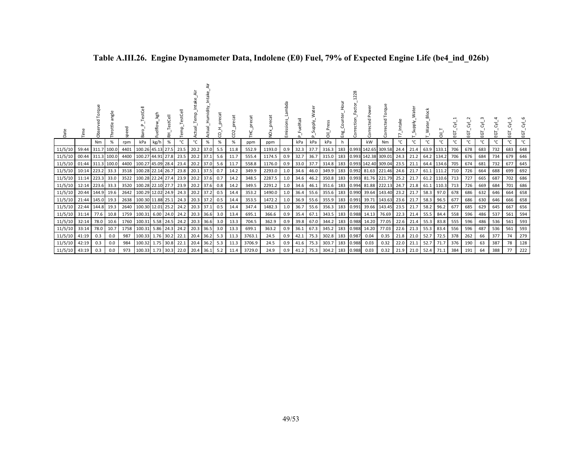| Date                      |                   | orque<br>ä        | angle<br>Throttle |      | Ba                         | kgh<br>Fuelflow. | 돉         | Temp | emp.<br>Τēυ<br>ಕ | umidity     | $\overline{\overline{a}}$<br>prec<br>8 | $\sim$<br>8 | Ě      | $\frac{8}{2}$ | Emissions_La | FuelRail | ≳<br>Supply. | ᇹ          | Eng | $\tilde{\sim}$<br>$\sim$<br>ection<br>Corr | Corrected | Torque<br>ected<br>ξ                                          |      | ater<br>_Supply | Block<br><b>L_Water</b> | $\overline{5}$ | EGT | ပ္မ | EGT | EGT | ē   | EGT |
|---------------------------|-------------------|-------------------|-------------------|------|----------------------------|------------------|-----------|------|------------------|-------------|----------------------------------------|-------------|--------|---------------|--------------|----------|--------------|------------|-----|--------------------------------------------|-----------|---------------------------------------------------------------|------|-----------------|-------------------------|----------------|-----|-----|-----|-----|-----|-----|
|                           |                   | Nm                | %                 | rpm  | kPa                        | kg/h             | %         | °C   | °C               | %           | %                                      | %           | ppm    | ppm           |              | kPa      | kPa          | kPa        | h   |                                            | kW        | Nm                                                            | °C   | °C              | °c                      | °C             | °C  | °C  | ℃   | °C  | °C  | °C  |
| 11/5/10                   |                   | 59:44 311.7 100.0 |                   | 4401 | 100.26 45.13 27.5          |                  |           | 23.5 | 20.2 37.0        |             | 5.5                                    | 11.8        | 552.9  | 1193.0        | 0.9          | 32.3     | 37.7         | 316.3      | 183 |                                            |           | 0.993 142.65 309.58 24.4                                      |      | 21.4            | 63.9 133.1              |                | 706 | 678 | 683 | 732 | 683 | 648 |
| 11/5/10                   | 00:44 311.3 100.0 |                   |                   |      | 4400 100.27 44.91 27.8     |                  |           | 23.5 | 20.2 37.1        |             | 5.6                                    | 11.7        | 555.4  | 1174.5        | 0.9          | 32.7     | 36.7         | 315.0      | 183 |                                            |           | 0.993 142.38 309.01                                           | 24.3 | 21.2            |                         | 64.2 134.2     | 706 | 676 | 684 | 734 | 679 | 646 |
| 11/5/10 01:44 311.3 100.0 |                   |                   |                   |      | 4400 100.27 45.09 28.4     |                  |           | 23.4 | 20.2 37.0        |             | 5.6                                    | 11.7        | 558.8  | 1176.0        | 0.9          | 33.0     | 37.7         | 314.8      | 183 |                                            |           | 0.993 142.40 309.04 23.5                                      |      | 21.1            |                         | 64.4 134.6     | 705 | 674 | 681 | 732 | 677 | 645 |
| 11/5/10                   | 10:14 223.2 33.3  |                   |                   |      | 3518 100.28 22.14 26.7     |                  |           | 23.8 | 20.1 37.5        |             | 0.7                                    | 14.2        | 349.9  | 2293.0        | 1.0          | 34.6     | 46.0         | 349.9      | 183 |                                            |           | $0.992$ 81.63 221.46 24.6                                     |      | 21.7            |                         | 61.1 111.2     | 710 | 726 | 664 | 688 | 699 | 692 |
| 11/5/10                   | 11:14 223.3 33.0  |                   |                   |      | 3522 100.28 22.24 27.4     |                  |           | 23.9 | 20.2 37.6        |             | 0.7                                    | 14.2        | 348.5  | 2287.5        | 1.0          | 34.6     | 46.2         | 350.8 183  |     |                                            |           | $\begin{bmatrix} 0.993 & 81.76 & 221.79 & 25.2 \end{bmatrix}$ |      | 21.7            |                         | 61.2 110.6     | 713 | 727 | 665 | 687 | 702 | 686 |
| 11/5/10                   | 12:14 223.6 33.3  |                   |                   |      | 3520 100.28 22.10 27.7     |                  |           | 23.9 | 20.2 37.6        |             | 0.8                                    | 14.2        | 349.5  | 2291.2        | 1.0          | 34.6     | 46.1         | 351.6      | 183 |                                            |           | 0.994 81.88 222.13 24.7                                       |      | 21.8            |                         | 61.1 110.3     | 713 | 726 | 669 | 684 | 701 | 686 |
| 11/5/10                   |                   | 20:44 144.9       | 19.6              |      | 2642 100.29 12.02 24.9     |                  |           | 24.3 | 20.2 37.2        |             | 0.5                                    | 14.4        | 353.2  | 1490.0        | 1.0          | 36.4     |              | 55.6 355.6 | 183 |                                            |           | 0.990 39.64 143.40 23.2                                       |      | 21.7            | 58.3 97.0               |                | 678 | 686 | 632 | 646 | 664 | 658 |
| 11/5/10                   | 21:44 145.0 19.3  |                   |                   |      | 2638 100.30 11.88 25.1     |                  |           | 24.3 | 20.3 37.2        |             | 0.5                                    | 14.4        | 353.5  | 1472.2        | 1.0          | 36.9     | 55.6         | 355.9      | 183 |                                            |           | 0.991 39.71 143.63 23.6                                       |      | 21.7            | 58.3                    | 96.5           | 677 | 686 | 630 | 646 | 666 | 658 |
| 11/5/10                   | 22:44             | 144.8             | 19.3              |      | 2640 100.30 12.01 25.2     |                  |           | 24.2 | 20.3 37.1        |             | 0.5                                    | 14.4        | 347.4  | 1482.3        | 1.0          | 36.7     | 55.6         | 356.3      | 183 | 0.991                                      |           | 39.66 143.45                                                  | 23.5 | 21.7            | 58.2                    | 96.2           | 677 | 685 | 629 | 645 | 667 | 656 |
| 11/5/10 31:14             |                   | 77.6              | 10.8              |      | 1759 100.31 6.00 24.0 24.2 |                  |           |      | 20.3 36.6 3.0    |             |                                        | 13.4        | 695.1  | 366.6         | 0.9          |          | 35.4 67.1    | 343.5      | 183 | 0.988                                      |           | 14.13 76.69                                                   | 22.3 |                 | 21.4 55.5               | 84.4           | 558 | 596 | 486 | 537 | 561 | 594 |
| 11/5/10                   | 32:14             | 78.0              | 10.6              |      | 1760 100.31 5.58 24.5      |                  |           | 24.2 |                  | $20.3$ 36.6 | 3.0                                    | 13.3        | 704.5  | 362.9         | 0.9          | 39.8     | 67.0         | 344.2      | 183 | 0.988                                      | 14.20     | 77.05                                                         | 22.6 | 21.4            | 55.3                    | 83.8           | 555 | 596 | 486 | 536 | 561 | 593 |
| 11/5/10                   | 33:14             | 78.0              | 10.7              |      | 1758 100.31 5.86 24.3      |                  |           | 24.2 | 20.3 36.5        |             | 3.0                                    | 13.3        | 699.1  | 363.2         | 0.9          | 36.1     | 67.3         | 345.2      | 183 | 0.988                                      |           | 14.20 77.03                                                   | 22.6 |                 | 21.3 55.3 83.4          |                | 556 | 596 | 487 | 536 | 561 | 593 |
| 11/5/10                   | 41:19             | 0.3               | 0.0               | 987  |                            | 100.33 1.76 30.2 |           | 22.1 | 20.4 36.2        |             | 5.3                                    | 11.3        | 3763.1 | 24.5          | 0.9          | 42.1     | 75.3         | 302.8      | 183 | 0.987                                      | 0.04      | 0.35                                                          | 21.8 | 21.0            | 52.7                    | 72.5           | 378 | 262 | 66  | 377 | 74  | 279 |
| 11/5/10                   | 42:19             | 0.3               | 0.0               | 984  |                            | 100.32 1.75 30.8 |           | 22.1 | 20.4             | 36.2        | 5.3                                    | 11.3        | 3706.9 | 24.5          | 0.9          | 41.6     | 75.3         | 303.7      | 183 | 0.988                                      | 0.03      | 0.32                                                          | 22.0 | 21.1            | 52.7                    | 71.7           | 376 | 190 | 63  | 387 | 78  | 128 |
| 11/5/10                   | 43:19             | 0.3               | 0.0               | 973  | 100.33                     |                  | 1.73 30.3 | 22.0 | 20.4 36.1        |             | 5.2                                    | 11.4        | 3729.0 | 24.9          | 0.9          | 41.2     | 75.3         | 304.2      | 183 | 0.988                                      | 0.03      | 0.32                                                          | 21.9 | 21.0            | 52.4                    | 71.1           | 384 | 191 | 64  | 388 | 77  | 222 |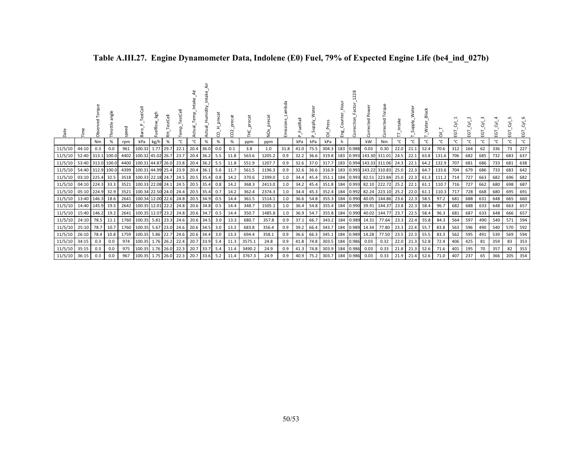| Date          |                   | Torque<br>Öbs | angle<br>Throttle | speed | estCell                | Fuelflow_kgh | _TestCell<br>₹ | ╦<br>TestCe<br>emp. | Actual_Temp | Intake<br>Actual_Humidity | precat<br>ς | precat<br>CO <sub>2</sub> | FHC'   | $\check{Q}$ | Lambda<br>Emissions | FuelRail<br>$\Omega$ | Supply.<br>$\mathbf{\Omega}$ | Press<br>ᄛ | Eng. | 228<br>Correction | Corrected Power     | Torque<br>Corrected    |      | Supply. | Water_Block | $\overline{a}$ | EGT. | EGT <sub>.</sub> | EGT <sub>.</sub> | EGT | ΕGΤ | ਣੰ<br>EGT. |
|---------------|-------------------|---------------|-------------------|-------|------------------------|--------------|----------------|---------------------|-------------|---------------------------|-------------|---------------------------|--------|-------------|---------------------|----------------------|------------------------------|------------|------|-------------------|---------------------|------------------------|------|---------|-------------|----------------|------|------------------|------------------|-----|-----|------------|
|               |                   | Nm            | %                 | rpm   | kPa                    | kg/h         | %              | °C                  | °C          | %                         | %           | %                         | ppm    | ppm         |                     | kPa                  | kPa                          | kPa        | h    |                   | kW                  | Nm                     | °C   | °C      | °C          | $^{\circ}$ C   | °C   | °C               | °C               | °C  | °C  | °C         |
| 11/5/10       | 44:10             | 0.3           | 0.0               | 961   | 100.32                 | 1.77 29.7    |                | 22.1                |             | 20.4 36.0 0.0             |             | 0.1                       | 3.8    | 1.0         | 31.8                | 41.0                 | 75.5                         | 304.3      | 183  | 0.988             | 0.03                | 0.30                   | 22.0 | 21.1    | 52.4        | 70.6           | 312  | 164              | 62               | 336 | 73  | 227        |
| 11/5/10       | 52:40 313.1 100.0 |               |                   | 4402  | 100.32 45.02 26.7 23.7 |              |                |                     |             | $20.4$ 36.2               | 5.5         | 11.8                      | 563.6  | 1205.2      | 0.9                 | 32.2                 | 36.6                         | 319.8      | 183  |                   | 0.993 143.30 311.01 |                        | 24.5 | 22.1    | 63.8        | 131.6          | 706  | 682              | 685              | 732 | 683 | 637        |
| 11/5/10       | 53:40 313.0 100.0 |               |                   | 4400  | 100.31 44.87 26.0 23.8 |              |                |                     |             | $20.4$ 36.2               | 5.5         | 11.8                      | 551.9  | 1207.7      | 0.9                 | 32.6                 | 37.0                         | 317.7      | 183  |                   | 0.994 143.33 311.06 |                        | 24.3 | 22.1    | 64.2        | 132.9          | 707  | 681              | 686              | 733 | 681 | 638        |
| 11/5/10       | 54:40 312.9 100.0 |               |                   | 4399  | 100.31 44.99 25.4 23.9 |              |                |                     | 20.4        | 36.1                      | 5.6         | 11.7                      | 561.5  | 1196.3      | 0.9                 | 32.6                 | 36.6                         | 316.9      | 183  |                   | 0.993 143.22 310.83 |                        | 25.0 | 22.3    | 64.7        | 133.6          | 704  | 679              | 686              | 733 | 683 | 642        |
| 11/5/10       | 03:10 225.4       |               | 32.5              | 3518  | 100.33 22.18 24.7 24.5 |              |                |                     | 20.5        | 35.4                      | 0.8         | 14.2                      | 370.6  | 2399.0      | 1.0                 | 34.4                 | 45.4                         | 351.1      | 184  |                   |                     | $0.993$ 82.51 223.84   | 25.0 | 22.3    | 61.3        | 111.2          | 714  | 727              | 663              | 682 | 696 | 682        |
| 11/5/10       | 04:10 224.3 33.3  |               |                   | 3521  | 100.33 22.08 24.1 24.5 |              |                |                     | 20.5        | $35.4$ 0.8                |             | 14.2                      | 368.3  | 2413.0      | 1.0                 | 34.2                 | 45.4                         | 351.8      | 184  |                   |                     | 0.993 82.10 222.72     | 25.2 | 22.1    | 61.1        | 110.7          | 716  | 727              | 662              | 680 | 698 | 687        |
| 11/5/10       | 05:10 224.9       |               | 32.9              | 3521  | 100.34 22.50 24.0 24.4 |              |                |                     |             | 20.5 35.4                 | 0.7         | 14.2                      | 362.4  | 2374.3      | 1.0                 | 34.4                 | 45.3                         | 352.4      | 184  |                   |                     | 0.992 82.24 223.10     | 25.2 | 22.0    | 61.1        | 110.3          | 717  | 728              | 668              | 680 | 695 | 691        |
| 11/5/10       | 13:40 146.3 18.6  |               |                   | 2641  | 100.34 12.00 22.6 24.8 |              |                |                     |             | 20.5 34.9 0.5             |             | 14.4                      | 361.5  | 1514.1      | 1.0                 | 36.6                 | 54.8                         | 355.3      |      |                   |                     | 184 0.990 40.05 144.86 | 23.6 | 22.3    | 58.5        | 97.2           | 681  | 688              | 631              | 648 | 665 | 660        |
| 11/5/10       | 14:40 145.9       |               | 19.5              | 2642  | 100.35 12.01 22.2 24.8 |              |                |                     |             | 20.6 34.8 0.5             |             | 14.4                      | 348.7  | 1505.1      | 1.0                 | 36.4                 | 54.8                         | 355.4      | 184  |                   |                     | 0.990 39.91 144.37     | 23.8 | 22.3    | 58.4        | 96.7           | 682  | 688              | 633              | 648 | 663 | 657        |
| 11/5/10       | 15:40 146.2       |               | 19.2              | 2641  | 100.35 12.07 23.2 24.8 |              |                |                     |             | 20.6 34.7                 | 0.5         | 14.4                      | 350.7  | 1485.8      | 1.0                 | 36.9                 | 54.7                         | 355.8      |      |                   |                     | 184 0.990 40.02 144.77 | 23.7 | 22.5    | 58.4        | 96.3           | 681  | 687              | 633              | 648 | 666 | 657        |
| 11/5/10       | 24:10             | 78.5          | 11.1              | 1760  | 100.35                 |              |                | 5.81 23.3 24.6      |             | 20.6 34.5                 | 3.0         | 13.3                      | 680.7  | 357.8       | 0.9                 | 37.1                 | 66.7                         | 343.2      | 184  |                   | 0.989 14.31         | 77.64                  | 23.3 | 22.4    | 55.8        | 84.3           | 564  | 597              | 490              | 540 | 571 | 594        |
| 11/5/10       | 25:10 78.7        |               | 10.7              | 1760  | 100.35                 |              |                | 5.67 23.0 24.6      |             | 20.6 34.5                 | 3.0         | 13.3                      | 683.8  | 356.4       | 0.9                 | 39.2                 | 66.4                         | 343.7      |      |                   | 184 0.989 14.34     | 77.80                  | 23.3 | 22.4    | 55.7        | 83.8           | 563  | 596              | 490              | 540 | 570 | 592        |
| 11/5/10       | 26:10             | 78.4          | 10.8              | 1759  | 100.35                 |              |                | 5.86 22.7 24.6      |             | 20.6 34.4                 | 3.0         | 13.3                      | 694.4  | 358.1       | 0.9                 | 36.6                 | 66.3                         | 345.1      | 184  | 0.989             | 14.28               | 77.50                  | 23.5 | 22.3    | 55.5        | 83.3           | 562  | 595              | 491              | 539 | 569 | 594        |
| 11/5/10       | 34:15             | 0.3           | 0.0               | 974   | 100.35                 |              |                | 1.76 26.2 22.4      |             | 20.7 33.9                 | 5.4         | 11.3                      | 3575.1 | 24.8        | 0.9                 | 41.8                 | 74.8                         | 303.5      | 184  | 0.986             | 0.03                | 0.32                   | 22.0 | 21.3    | 52.8        | 72.4           | 406  | 425              | 81               | 359 | 83  | 353        |
| 11/5/10       | 35:15             | 0.3           | 0.0               | 975   | 100.35                 |              |                | 1.76 26.0 22.3      | 20.7        | 33.7                      | 5.4         | 11.4                      | 3490.2 | 24.9        | 0.9                 | 41.3                 | 74.8                         | 303.9      | 184  | 0.986             | 0.03                | 0.33                   | 21.8 | 21.3    | 52.6        | 71.6           | 401  | 195              | 70               | 357 | 82  | 353        |
| 11/5/10 36:15 |                   | 0.3           | 0.0               | 967   | 100.35                 |              |                | $1.75$ 26.0 22.3    |             | 20.7 33.6                 | 5.2         | 11.4                      | 3767.3 | 24.9        | 0.9                 | 40.9                 | 75.2                         | 303.7      |      | 184 0.986         | 0.03                | 0.33                   | 21.9 | 21.4    | 52.6        | 71.0           | 407  | 237              | 65               | 366 | 205 | 354        |

# **Table A.III.27. Engine Dynamometer Data, Indolene (E0) Fuel, 79% of Expected Engine Life (be4\_ind\_027b)**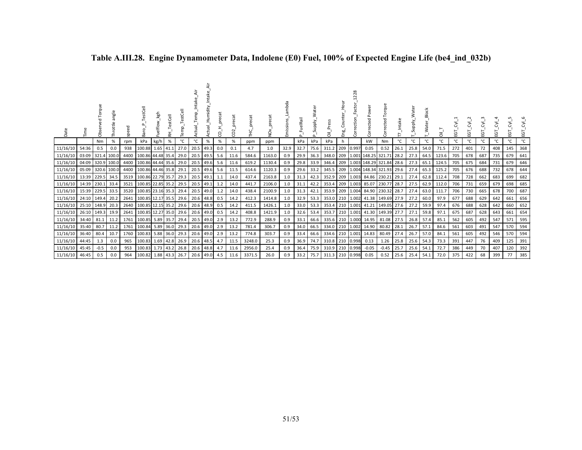| Date                      |                   | සි         | angle<br>Throttle | speed | estCell<br>Baro        | kgh       | stCell    | stCell<br>Εm | Temp <sub>.</sub> | umidity | ecat<br>ă<br>ς | CO <sub>2</sub> | precat<br>Ě | NO <sub>x_preca</sub> | mhda<br>Emissions | uelRail | ater<br>≶<br>Niddns <sup>-</sup> | $\overline{5}$  | Eng. | ă               | Power<br>Corrected | Torque<br>ected<br>δr              | Intak | ater<br>₹<br>_Supply | <b>Block</b><br>ater<br>≥ | ā     | ĒΘ  | EGT. | ΈŌ, | ਠੱ<br>EGT | ਣੋਂ<br>Ċ٦<br>Œ | $\overline{\delta}$<br>EGT |
|---------------------------|-------------------|------------|-------------------|-------|------------------------|-----------|-----------|--------------|-------------------|---------|----------------|-----------------|-------------|-----------------------|-------------------|---------|----------------------------------|-----------------|------|-----------------|--------------------|------------------------------------|-------|----------------------|---------------------------|-------|-----|------|-----|-----------|----------------|----------------------------|
|                           |                   | Nm         | %                 | rpm   | kPa                    | kg/h      | %         | °C           | °C                | %       | %              | %               | ppm         | ppm                   |                   | kPa     | kPa                              | kPa             | h    |                 | kW                 | Nm                                 | °C    | °C                   | °С                        | °C    | °C  | °C   | °C  | °C        |                | °C                         |
| 11/16/10                  | 54:36             | 0.5        | 0.0               | 938   | 100.88                 | 1.65 41.1 |           | 27.0         | 20.5 49.3         |         | 0.0            | 0.1             | 4.7         | 1.0                   | 32.9              | 32.7    | 75.6                             | 311.2           |      | 209 0.997       | 0.05               | 0.52                               | 26.1  | 25.8                 | 54.0                      | 71.5  | 272 | 401  | 72  | 408       | 145            | 368                        |
| 11/16/10                  | 03:09 321.4 100.0 |            |                   |       | 4400 100.86 44.48 35.4 |           |           | 29.0         | 20.5 49.5         |         | 5.6            | 11.6            | 584.6       | 1163.0                | 0.9               | 29.9    | 36.3                             |                 |      |                 |                    | 348.0 209 1.001 148.25 321.71 28.2 |       | 27.3                 | 64.5                      | 123.6 | 705 | 678  | 687 | 735       | 679            | 641                        |
| 11/16/10                  | 04:09 320.9 100.0 |            |                   |       | 4400 100.86 44.44 35.6 |           |           | 29.0         | 20.5 49.6         |         | 5.6            | 11.6            | 619.2       | 1130.4                | 0.9               | 29.8    | 33.9                             |                 |      |                 |                    | 346.4 209 1.003 148.29 321.84 28.6 |       | 27.3                 | 65.1                      | 124.5 | 705 | 675  | 684 | 731       | 679            | 646                        |
| 11/16/10                  | 05:09 320.6 100.0 |            |                   |       | 4400 100.86 44.46 35.8 |           |           | 29.1         | 20.5 49.6         |         | 5.6            | 11.5            | 614.6       | 1120.3                | 0.9               | 29.6    | 33.2                             |                 |      |                 |                    | 345.5 209 1.004 148.34 321.93 29.6 |       | 27.4                 | 65.3                      | 125.2 | 705 | 676  | 688 | 732       | 678            | 644                        |
| 11/16/10                  | 13:39 229.5 34.5  |            |                   |       | 3519 100.86 22.79 35.7 |           |           | 29.3         | 20.5 49.1         |         | 1.1            | 14.0            | 437.4       | 2163.8                | 1.0               | 31.3    | 42.3                             |                 |      | 352.9 209 1.003 |                    | 84.86 230.21 29.1                  |       | 27.4                 | 62.8                      | 112.4 | 708 | 728  | 662 | 683       | 699            | 682                        |
| 11/16/10 14:39 230.1 33.4 |                   |            |                   | 3521  | 100.85 22.85 35.2      |           |           | 29.5         | $20.5$ 49.1       |         | 1.2            | 14.0            | 441.7       | 2106.0                | 1.0               | 31.1    | 42.2                             |                 |      | 353.4 209 1.003 |                    | 85.07 230.77 28.7                  |       | 27.5                 | 62.9                      | 112.0 | 706 | 731  | 659 | 679       | 698            | 685                        |
| 11/16/10                  | 15:39 229.5 33.5  |            |                   | 3520  | 100.85 23.16 35.3      |           |           | 29.4         | 20.5 49.0         |         | 1.2            | 14.0            | 438.4       | 2100.9                | 1.0               | 31.3    | 42.1                             |                 |      | 353.9 209 1.004 |                    | 84.90 230.32 28.7                  |       | 27.4                 | 63.0                      | 111.7 | 706 | 730  | 665 | 678       | 700            | 687                        |
| 11/16/10                  | 24:10 149.4       |            | 20.2              | 2641  | 100.85 12.17 35.5      |           |           | 29.6         | 20.6 48.8         |         | 0.5            | 14.2            | 412.3       | 1414.8                | 1.0               | 32.9    | 53.3                             |                 |      | 353.0 210 1.002 |                    | 41.38 149.69 27.9                  |       | 27.2                 | 60.0                      | 97.9  | 677 | 688  | 629 | 642       | 661            | 656                        |
| 11/16/10                  | 25:10             | 148.9      | 20.3              | 2640  | 100.85 12.15 35.2      |           |           | 29.6         | 20.6 48.9         |         | 0.5            | 14.2            | 411.5       | 1426.1                | 1.0               | 33.0    | 53.3                             |                 |      | 353.4 210 1.001 |                    | 41.21 149.05                       | 27.6  | 27.2                 | 59.9                      | 97.4  | 676 | 688  | 628 | 642       | 660            | 652                        |
| 11/16/10                  | 26:10             | 149.3 19.9 |                   | 2641  | 100.85 12.27 35.0      |           |           | 29.6         | 20.6 49.0         |         | 0.5            | 14.2            | 408.8       | 1421.9                | 1.0               | 32.6    | 53.4                             |                 |      | 353.7 210 1.001 |                    | 41.30 149.39                       | 27.7  | 27.1                 | 59.8                      | 97.1  | 675 | 687  | 628 | 643       | 661            | 654                        |
| 11/16/10                  | 34:40             | 81.1       | 11.2              | 1761  | 100.85 5.89 35.7       |           |           | 29.4         | 20.5 49.0         |         | 2.9            | 13.2            | 772.9       | 288.9                 | 0.9               | 33.1    | 66.6                             |                 |      | 335.6 210 1.000 | 14.95              | 81.08                              | 27.5  | 26.8                 | 57.4                      | 85.1  | 562 | 605  | 492 | 547       | 571            | 595                        |
| 11/16/10 35:40            |                   | 80.7       | 11.2              | 1761  | 100.84 5.89 36.0       |           |           | 29.3         | 20.6 49.0         |         | 2.9            | 13.2            | 781.4       | 306.7                 | 0.9               | 34.0    | 66.5                             |                 |      | 334.0 210 1.002 | 14.90              | 80.82                              | 28.1  | 26.7                 | 57.1                      | 84.6  | 561 | 603  | 491 | 547       | 570            | 594                        |
| 11/16/10                  | 36:40             | 80.4       | 10.7              | 1760  | 100.83                 |           | 5.88 36.0 | 29.3         | 20.6 49.0         |         | 2.9            | 13.2            | 774.8       | 303.7                 | 0.9               | 33.4    | 66.6                             |                 |      | 334.6 210 1.001 | 14.83              | 80.49                              | 27.4  | 26.7                 | 57.0                      | 84.1  | 561 | 605  | 492 | 546       | 570            | 594                        |
| 11/16/10 44:45            |                   | 1.3        | 0.0               | 965   | 100.83                 |           | 1.69 42.8 | 26.9         | 20.6 48.5         |         | 4.7            | 11.5            | 3248.0      | 25.3                  | 0.9               | 36.9    | 74.7                             | 310.8 210 0.998 |      |                 | 0.13               | 1.26                               | 25.8  | 25.6                 | 54.3                      | 73.3  | 391 | 447  | 76  | 409       | 125            | 391                        |
| 11/16/10                  | 45:45             | $-0.5$     | 0.0               | 953   | 100.83                 |           | 1.73 43.2 | 26.8         | 20.6 48.8         |         | 4.7            | 11.6            | 2956.0      | 25.4                  | 0.9               | 36.4    | 75.9                             | 310.9 210 0.998 |      |                 | $-0.05$            | $-0.45$                            | 25.7  | 25.6                 | 54.1                      | 72.7  | 386 | 449  | 70  | 407       | 120            | 392                        |
| 11/16/10 46:45            |                   | 0.5        | 0.0               | 964   | 100.82 1.88 43.3       |           |           | 26.7         | 20.6 49.0         |         | 4.5            | 11.6            | 3371.5      | 26.0                  | 0.9               | 33.2    | 75.7                             | 311.3 210 0.998 |      |                 | 0.05               | 0.52                               | 25.6  | 25.4                 | 54.1                      | 72.0  | 375 | 422  | 68  | 399       | 77             | 385                        |

# **Table A.III.28. Engine Dynamometer Data, Indolene (E0) Fuel, 100% of Expected Engine Life (be4\_ind\_032b)**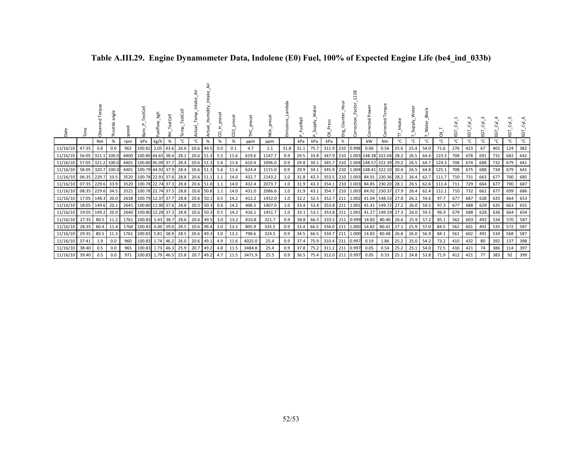| Date                 | Ě                         | Obs   | angl<br>ŧ | speed | estCell<br>ਫ਼ੋ                              | kgh  | 푽    |              | $\omega$               | Intake<br>umidity<br>I | precat<br>8 | coz          | te             | preca<br>ð<br>Ż. | mbda<br>Emissions | elRail       | ater<br>upply_<br>S.<br>௨ | $\overline{\sigma}$ | Eng | 228<br>ection <sub>.</sub> | Power<br>Corrected | Torque<br>ected<br>5<br>S         |      | ater<br><b>Viddn</b> | <b>Block</b><br>ater <sub>.</sub><br>ξ | ā                   | EGT        | ĒΣ         | ĒΣ         | ĒΣ         | ठं<br>EGT  | ΣŚ<br>EGT  |
|----------------------|---------------------------|-------|-----------|-------|---------------------------------------------|------|------|--------------|------------------------|------------------------|-------------|--------------|----------------|------------------|-------------------|--------------|---------------------------|---------------------|-----|----------------------------|--------------------|-----------------------------------|------|----------------------|----------------------------------------|---------------------|------------|------------|------------|------------|------------|------------|
|                      |                           | Nm    | %         | rpm   | kPa                                         | kg/h | %    | °C           | °C                     | %                      | %           | %            | ppm            | ppm              |                   | kPa          | kPa                       | kPa                 | h   |                            | kW                 | Nm                                | °C   | °C                   | °C                                     | °C                  | °C         | °C         | °C         | °C         | °C         | °C         |
| 11/16/10             | 47:35                     | 0.6   | 0.0       | 962   | 100.82                                      | 2.05 | 43.6 | 26.6         | 20.6                   | 49.5                   | 0.0         | 0.1          | 4.7            | 1.1              | 31.8              | 31.1         | 75.7                      | 311.9               | 210 | 0.998                      | 0.06               | 0.56                              | 25.6 | 25.4                 | 54.0                                   | 71.6                | 276        | 423        | 67         | 401        | 124        | 382        |
| 11/16/10             | 56:05                     | 321.1 | 100.0     |       | 4400 100.80 44.65 38.4                      |      |      | 28.2         |                        | 20.6 51.3              | 5.5         | 11.6         | 619.6          | 1147.7           | 0.9               | 29.5         | 33.8                      | 347.9               | 210 |                            |                    | 1.003 148.38 322.04               | 28.2 | 26.5                 | 64.4                                   | 123.3               | 708        | 678        | 691        | 731        | 682        | 642        |
| 11/16/10             | 57:05                     | 321.2 | 100.0     | 4401  | 100.80 45.09 37.7                           |      |      | 28.4         | 20.6 51.3              |                        | 5.6         | 11.6         | 610.4          | 1096.0           | 0.9               | 29.8         | 30.1                      | 345.7               | 210 |                            |                    | 1.004 148.57 322.39               | 29.2 | 26.5                 | 64.7                                   | 124.3               | 708        | 674        | 688        | 732        | 679        | 641        |
| 11/16/10             | 58:05 320.7 100.0         |       | 33.5      | 3520  | 4401 100.79 44.92 37.9                      |      |      | 28.4         | $20.6$ 51.3            |                        | 5.6         | 11.6         | 624.4          | 1115.0           | 0.9<br>1.0        | 29.9         | 34.1                      | 345.9               | 210 |                            |                    | 1.004 148.41 322.10 30.4          |      | 26.5                 | 64.8<br>62.7                           | 125.1               | 708        | 675        | 688<br>663 | 734<br>677 | 679<br>700 | 641<br>685 |
| 11/16/10             | 06:35 229.7               |       |           |       | 100.78 22.91 37.6                           |      |      | 28.8         | 20.6 51.1              |                        | 1.1         | 14.0<br>14.0 | 432.7<br>432.4 | 2143.2<br>2073.7 | 1.0               | 31.8<br>31.9 | 43.3                      | 353.5 210           |     | 1.003                      |                    | 84.91 230.36                      | 28.2 | 26.4                 |                                        | 111.7<br>62.6 111.4 | 710        | 731        | 664        | 677        | 700        | 687        |
| 11/16/10<br>11/16/10 | 07:35 229.6 33.9<br>08:35 | 229.6 | 34.5      | 3521  | 3520 100.78 22.74 37.3<br>100.78 22.74 37.5 |      |      | 28.8<br>28.8 | 20.6 51.0<br>20.6 50.8 |                        | 1.1<br>1.1  | 14.0         | 431.0          | 2086.6           | 1.0               | 31.9         | 43.3<br>43.1              | 354.1 210<br>354.7  | 210 | 1.003<br>1.003             |                    | 84.85 230.20 28.1<br>84.92 230.37 | 27.9 | 26.5<br>26.4         | 62.4                                   | 111.1               | 711<br>710 | 729<br>732 | 662        | 677        | 699        | 686        |
| 11/16/10             | 17:05                     | 148.3 | 20.0      |       | 2638 100.79 12.37 37.7                      |      |      | 28.8         | 20.6 50.1              |                        | 0.5         | 14.2         | 412.2          | 1452.0           | 1.0               | 32.2         | 52.5                      | 352.7               | 211 | 1.002                      |                    | 41.04 148.53 27.8                 |      | 26.1                 | 59.6                                   | 97.7                | 677        | 687        | 628        | 635        | 664        | 653        |
| 11/16/10             | 18:05                     | 149.6 | 20.1      | 2641  | 100.80 11.90 37.6                           |      |      | 28.8         | 20.5                   | 50.3                   | 0.6         | 14.2         | 406.5          | 1407.0           | 1.0               | 33.4         | 53.4                      | 353.8               | 211 |                            |                    | 1.001 41.41 149.72 27.2           |      | 26.0                 | 59.5                                   | 97.3                | 677        | 688        | 629        | 635        | 663        | 655        |
| 11/16/10             | 19:05                     | 149.2 | 20.0      |       | 2640 100.80 12.28 37.3                      |      |      | 28.8         | 20.6 50.3              |                        | 0.5         | 14.2         | 416.1          | 1451.7           | 1.0               | 33.1         | 53.1                      | 353.8 211           |     | 1.001                      |                    | 41.27 149.29 27.3                 |      | 26.0                 | 59.5                                   | 96.9                | 679        | 688        | 628        | 636        | 664        | 654        |
| 11/16/10             | 27:35                     | 80.5  | 11.2      |       | 1761 100.83 5.43 38.7                       |      |      | 28.6         | 20.6 49.5              |                        | 3.0         | 13.2         | 810.8          | 321.7            | 0.9               | 38.8         | 66.5                      | 333.5 211           |     | 0.999                      | 14.83              | 80.40                             | 26.6 | 25.9                 | 57.2                                   | 85.1                | 562        | 603        | 492        | 534        | 570        | 587        |
| 11/16/10             | 28:35                     | 80.4  | 11.4      |       | 1760 100.83 6.00 39.0                       |      |      | 28.5         | 20.6 49.4              |                        | 3.0         | 13.2         | 805.9          | 335.5            | 0.9               | 33.4         | 66.5                      | 334.0               | 211 | 1.000                      |                    | 14.82 80.41                       | 27.1 | 25.9                 | 57.0                                   | 84.5                | 562        | 601        | 492        | 535        | 572        | 587        |
| 11/16/10             | 29:35                     | 80.5  | 11.3      | 1761  | 100.83 5.81 38.9                            |      |      | 28.5         | 20.6                   | 49.3                   | 3.0         | 13.2         | 798.6          | 324.5            | 0.9               | 34.5         | 66.5                      | 334.7               | 211 | 1.000                      | 14.83              | 80.48                             | 26.8 | 26.0                 | 56.9                                   | 84.1                | 561        | 602        | 491        | 534        | 568        | 587        |
| 11/16/10 37:41       |                           | 1.9   | 0.0       | 960   | 100.83 1.74 46.2                            |      |      | 26.0         | 20.6 49.1              |                        | 4.9         | 11.6         | 4025.0         | 25.4             | 0.9               | 37.4         | 75.9                      | 310.4               | 211 | 0.997                      | 0.19               | 1.86                              | 25.2 | 25.0                 | 54.2                                   | 73.2                | 410        | 432        | 80         | 392        | 137        | 398        |
| 11/16/10             | 38:40                     | 0.5   | 0.0       | 965   | 100.83                                      | 1.73 | 46.3 | 25.9         | 20.7                   | 49.2                   | 4.8         | 11.5         | 3484.8         | 25.4             | 0.9               | 37.8         | 75.2                      | 311.2               | 211 | 0.997                      | 0.05               | 0.54                              | 25.2 | 25.1                 | 54.0                                   | 72.5                | 410        | 421        | 74         | 386        | 114        | 397        |
| 11/16/10 39:40       |                           | 0.5   | 0.0       | 971   | 100.83 1.79 46.5                            |      |      | 25.8         | 20.7                   | 49.2                   | 4.7         | 11.5         | 3471.9         | 25.5             | 0.9               | 36.5         | 75.4                      | 312.0               | 211 | 0.997                      | 0.05               | 0.53                              | 25.1 |                      | 24.8 53.8                              | 71.9                | 412        | 421        | 77         | 383        | 92         | 399        |

# **Table A.III.29. Engine Dynamometer Data, Indolene (E0) Fuel, 100% of Expected Engine Life (be4\_ind\_033b)**